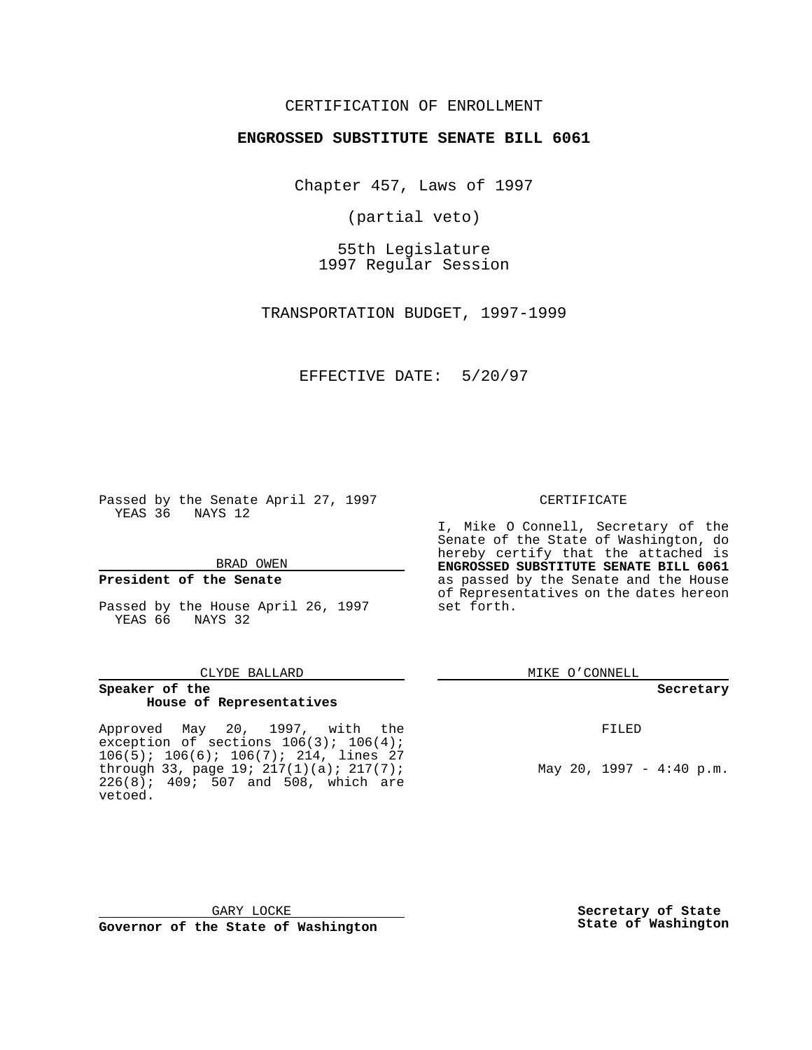#### CERTIFICATION OF ENROLLMENT

#### **ENGROSSED SUBSTITUTE SENATE BILL 6061**

Chapter 457, Laws of 1997

(partial veto)

55th Legislature 1997 Regular Session

TRANSPORTATION BUDGET, 1997-1999

#### EFFECTIVE DATE: 5/20/97

Passed by the Senate April 27, 1997 YEAS 36 NAYS 12

BRAD OWEN

#### **President of the Senate**

Passed by the House April 26, 1997 YEAS 66 NAYS 32

#### CLYDE BALLARD

#### **Speaker of the House of Representatives**

Approved May 20, 1997, with the exception of sections 106(3); 106(4); 106(5); 106(6); 106(7); 214, lines 27 through 33, page 19; 217(1)(a); 217(7);  $226(8)$ ;  $409$ ;  $507$  and  $508$ , which are vetoed.

#### CERTIFICATE

I, Mike O Connell, Secretary of the Senate of the State of Washington, do hereby certify that the attached is **ENGROSSED SUBSTITUTE SENATE BILL 6061** as passed by the Senate and the House of Representatives on the dates hereon set forth.

MIKE O'CONNELL

#### **Secretary**

FILED

May 20, 1997 - 4:40 p.m.

**Secretary of State State of Washington**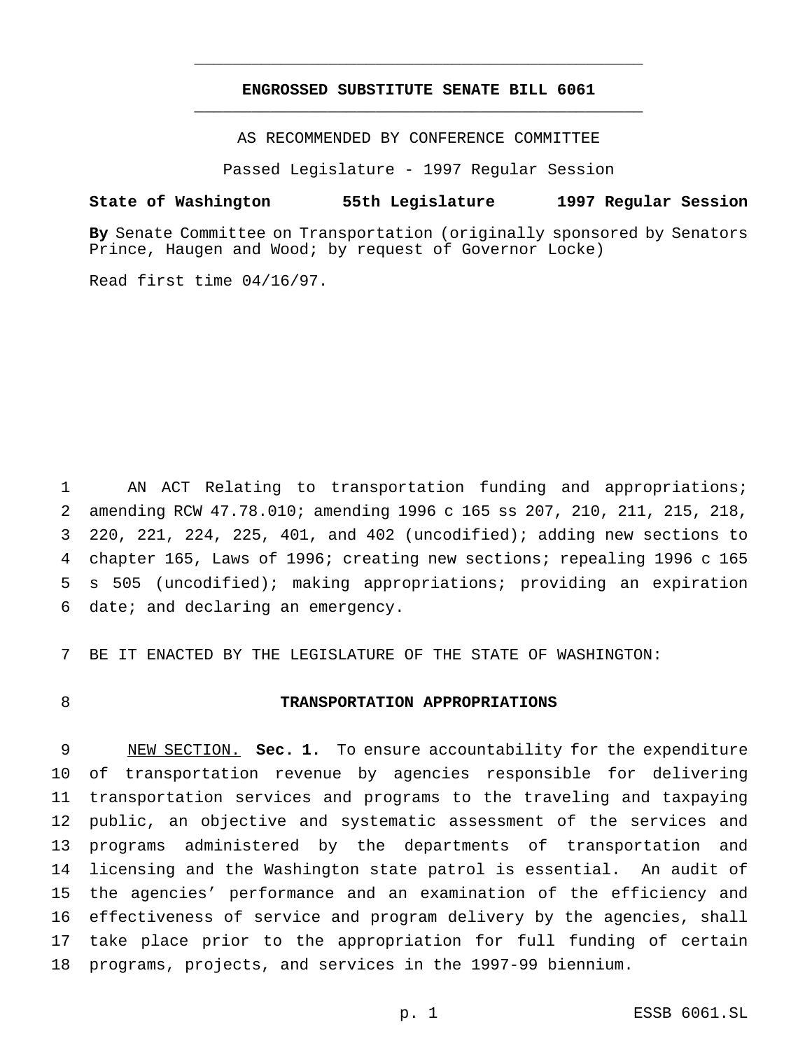#### **ENGROSSED SUBSTITUTE SENATE BILL 6061** \_\_\_\_\_\_\_\_\_\_\_\_\_\_\_\_\_\_\_\_\_\_\_\_\_\_\_\_\_\_\_\_\_\_\_\_\_\_\_\_\_\_\_\_\_\_\_

\_\_\_\_\_\_\_\_\_\_\_\_\_\_\_\_\_\_\_\_\_\_\_\_\_\_\_\_\_\_\_\_\_\_\_\_\_\_\_\_\_\_\_\_\_\_\_

AS RECOMMENDED BY CONFERENCE COMMITTEE

Passed Legislature - 1997 Regular Session

#### **State of Washington 55th Legislature 1997 Regular Session**

**By** Senate Committee on Transportation (originally sponsored by Senators Prince, Haugen and Wood; by request of Governor Locke)

Read first time 04/16/97.

 AN ACT Relating to transportation funding and appropriations; amending RCW 47.78.010; amending 1996 c 165 ss 207, 210, 211, 215, 218, 220, 221, 224, 225, 401, and 402 (uncodified); adding new sections to chapter 165, Laws of 1996; creating new sections; repealing 1996 c 165 s 505 (uncodified); making appropriations; providing an expiration date; and declaring an emergency.

BE IT ENACTED BY THE LEGISLATURE OF THE STATE OF WASHINGTON:

#### **TRANSPORTATION APPROPRIATIONS**

 NEW SECTION. **Sec. 1.** To ensure accountability for the expenditure of transportation revenue by agencies responsible for delivering transportation services and programs to the traveling and taxpaying public, an objective and systematic assessment of the services and programs administered by the departments of transportation and licensing and the Washington state patrol is essential. An audit of the agencies' performance and an examination of the efficiency and effectiveness of service and program delivery by the agencies, shall take place prior to the appropriation for full funding of certain programs, projects, and services in the 1997-99 biennium.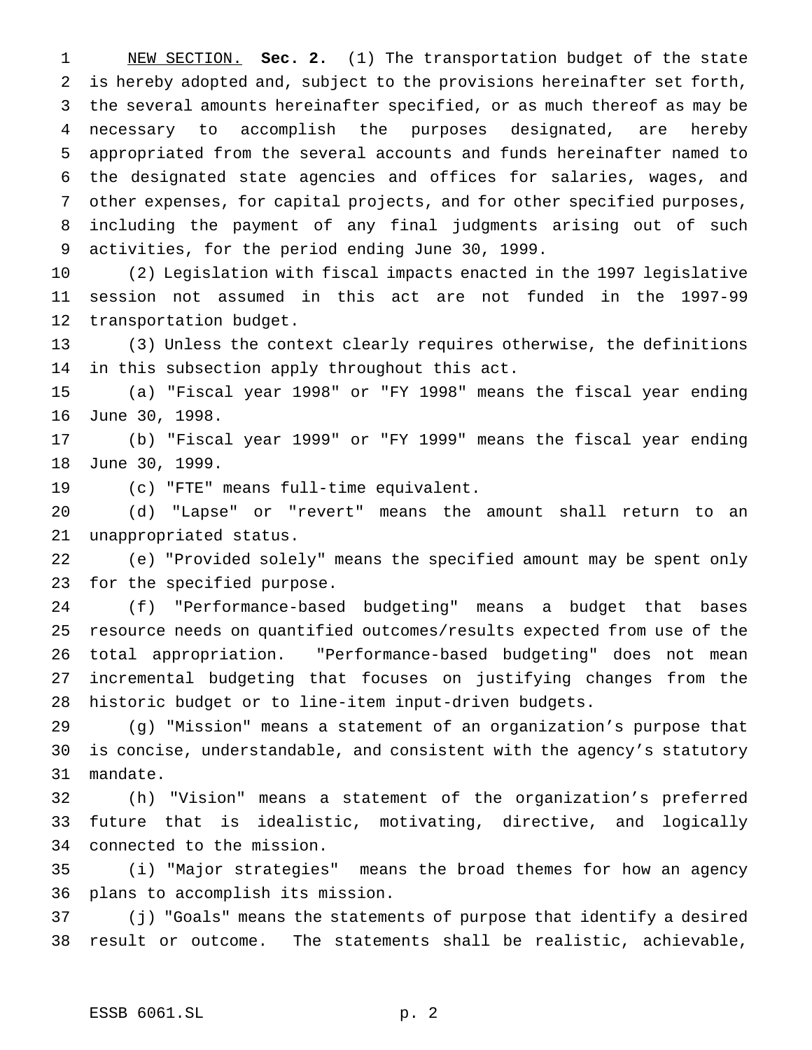NEW SECTION. **Sec. 2.** (1) The transportation budget of the state is hereby adopted and, subject to the provisions hereinafter set forth, the several amounts hereinafter specified, or as much thereof as may be necessary to accomplish the purposes designated, are hereby appropriated from the several accounts and funds hereinafter named to the designated state agencies and offices for salaries, wages, and other expenses, for capital projects, and for other specified purposes, including the payment of any final judgments arising out of such activities, for the period ending June 30, 1999.

 (2) Legislation with fiscal impacts enacted in the 1997 legislative session not assumed in this act are not funded in the 1997-99 transportation budget.

 (3) Unless the context clearly requires otherwise, the definitions in this subsection apply throughout this act.

 (a) "Fiscal year 1998" or "FY 1998" means the fiscal year ending June 30, 1998.

 (b) "Fiscal year 1999" or "FY 1999" means the fiscal year ending June 30, 1999.

(c) "FTE" means full-time equivalent.

 (d) "Lapse" or "revert" means the amount shall return to an unappropriated status.

 (e) "Provided solely" means the specified amount may be spent only for the specified purpose.

 (f) "Performance-based budgeting" means a budget that bases resource needs on quantified outcomes/results expected from use of the total appropriation. "Performance-based budgeting" does not mean incremental budgeting that focuses on justifying changes from the historic budget or to line-item input-driven budgets.

 (g) "Mission" means a statement of an organization's purpose that is concise, understandable, and consistent with the agency's statutory mandate.

 (h) "Vision" means a statement of the organization's preferred future that is idealistic, motivating, directive, and logically connected to the mission.

 (i) "Major strategies" means the broad themes for how an agency plans to accomplish its mission.

 (j) "Goals" means the statements of purpose that identify a desired result or outcome. The statements shall be realistic, achievable,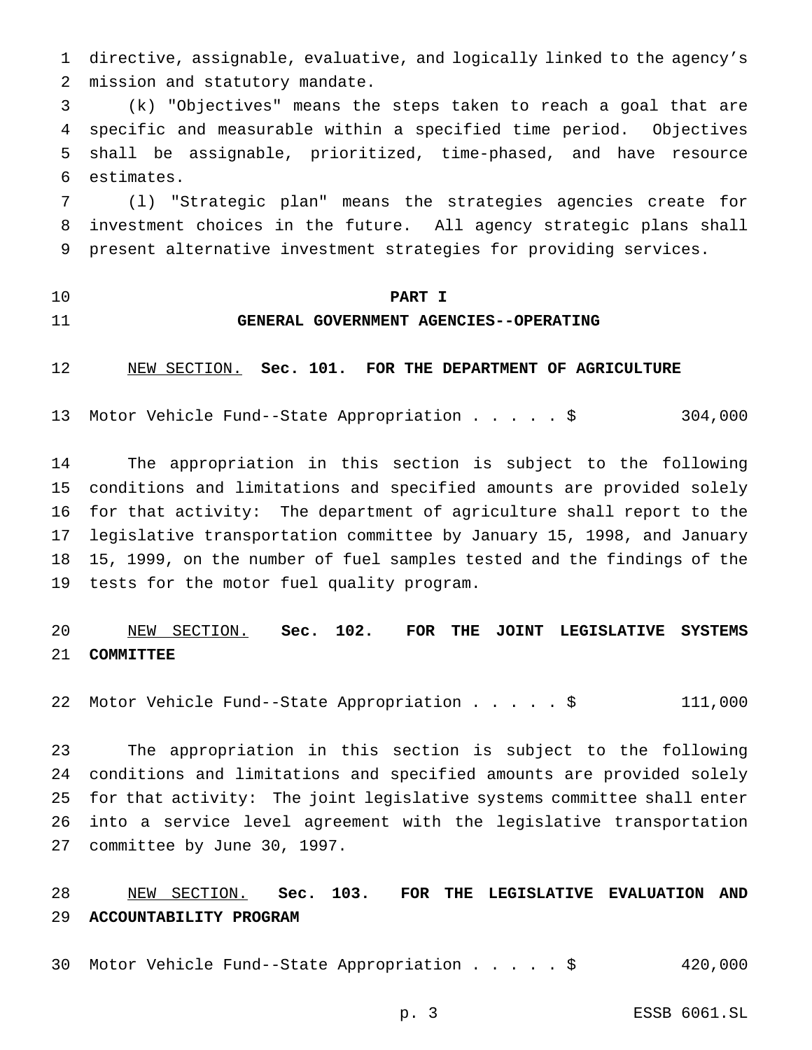directive, assignable, evaluative, and logically linked to the agency's mission and statutory mandate.

 (k) "Objectives" means the steps taken to reach a goal that are specific and measurable within a specified time period. Objectives shall be assignable, prioritized, time-phased, and have resource estimates.

 (l) "Strategic plan" means the strategies agencies create for investment choices in the future. All agency strategic plans shall present alternative investment strategies for providing services.

- 
- 

#### **PART I**

## **GENERAL GOVERNMENT AGENCIES--OPERATING**

NEW SECTION. **Sec. 101. FOR THE DEPARTMENT OF AGRICULTURE**

Motor Vehicle Fund--State Appropriation.....\$ 304,000

 The appropriation in this section is subject to the following conditions and limitations and specified amounts are provided solely for that activity: The department of agriculture shall report to the legislative transportation committee by January 15, 1998, and January 15, 1999, on the number of fuel samples tested and the findings of the tests for the motor fuel quality program.

 NEW SECTION. **Sec. 102. FOR THE JOINT LEGISLATIVE SYSTEMS COMMITTEE**

Motor Vehicle Fund--State Appropriation.....\$ 111,000

 The appropriation in this section is subject to the following conditions and limitations and specified amounts are provided solely for that activity: The joint legislative systems committee shall enter into a service level agreement with the legislative transportation committee by June 30, 1997.

 NEW SECTION. **Sec. 103. FOR THE LEGISLATIVE EVALUATION AND ACCOUNTABILITY PROGRAM**

Motor Vehicle Fund--State Appropriation.....\$ 420,000

p. 3 ESSB 6061.SL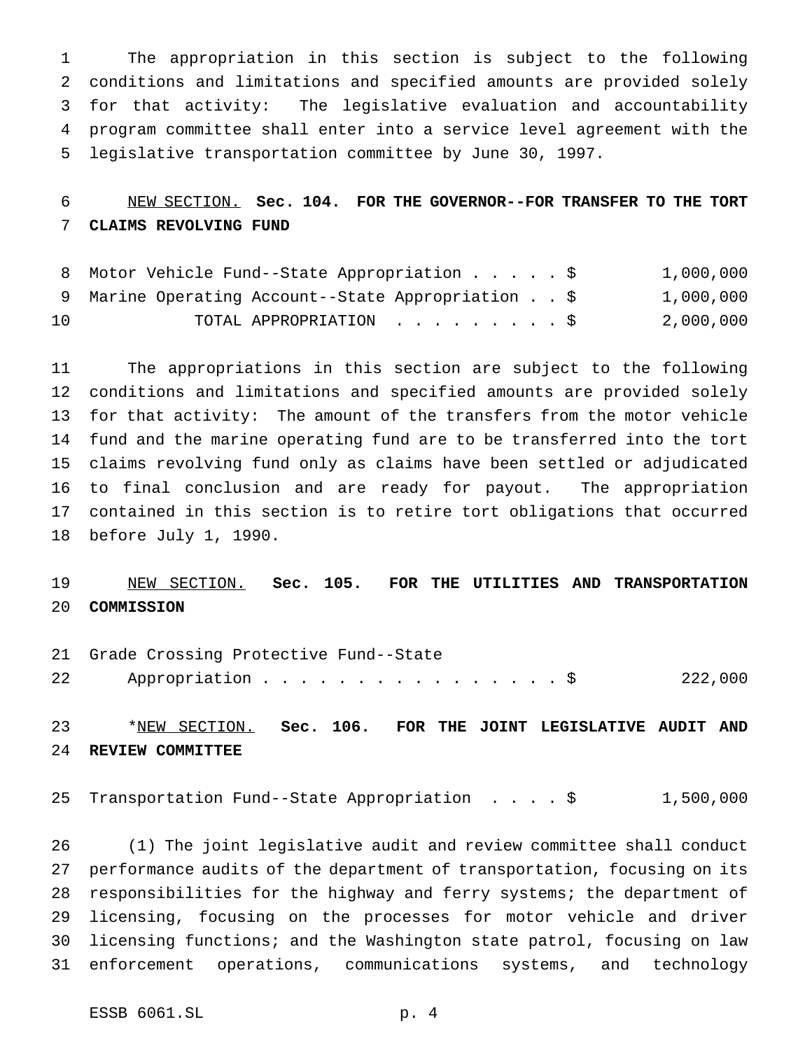The appropriation in this section is subject to the following conditions and limitations and specified amounts are provided solely for that activity: The legislative evaluation and accountability program committee shall enter into a service level agreement with the legislative transportation committee by June 30, 1997.

# NEW SECTION. **Sec. 104. FOR THE GOVERNOR--FOR TRANSFER TO THE TORT CLAIMS REVOLVING FUND**

|    | 8 Motor Vehicle Fund--State Appropriation \$       |                        |  | 1,000,000 |
|----|----------------------------------------------------|------------------------|--|-----------|
|    | 9 Marine Operating Account--State Appropriation \$ |                        |  | 1,000,000 |
| 10 |                                                    | TOTAL APPROPRIATION \$ |  | 2,000,000 |

 The appropriations in this section are subject to the following conditions and limitations and specified amounts are provided solely for that activity: The amount of the transfers from the motor vehicle fund and the marine operating fund are to be transferred into the tort claims revolving fund only as claims have been settled or adjudicated to final conclusion and are ready for payout. The appropriation contained in this section is to retire tort obligations that occurred before July 1, 1990.

# NEW SECTION. **Sec. 105. FOR THE UTILITIES AND TRANSPORTATION COMMISSION**

 Grade Crossing Protective Fund--State 22 Appropriation . . . . . . . . . . . . . . . \$ 222,000

 \*NEW SECTION. **Sec. 106. FOR THE JOINT LEGISLATIVE AUDIT AND REVIEW COMMITTEE**

Transportation Fund--State Appropriation ....\$ 1,500,000

 (1) The joint legislative audit and review committee shall conduct performance audits of the department of transportation, focusing on its responsibilities for the highway and ferry systems; the department of licensing, focusing on the processes for motor vehicle and driver licensing functions; and the Washington state patrol, focusing on law enforcement operations, communications systems, and technology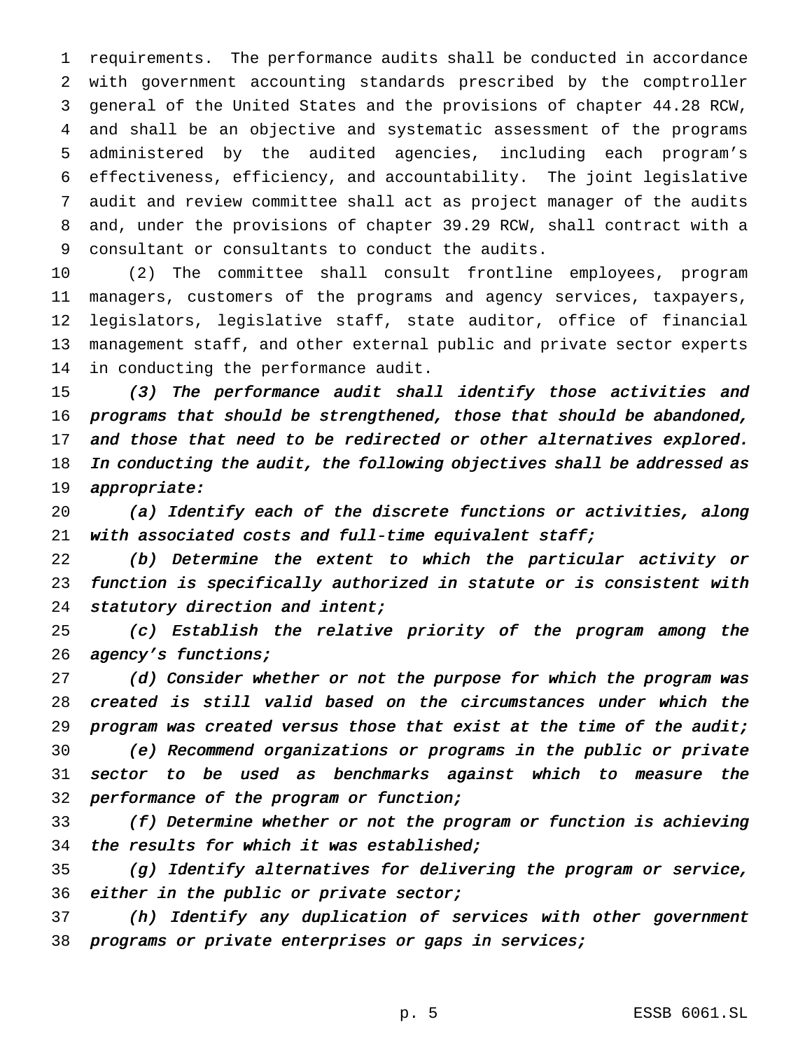requirements. The performance audits shall be conducted in accordance with government accounting standards prescribed by the comptroller general of the United States and the provisions of chapter 44.28 RCW, and shall be an objective and systematic assessment of the programs administered by the audited agencies, including each program's effectiveness, efficiency, and accountability. The joint legislative audit and review committee shall act as project manager of the audits and, under the provisions of chapter 39.29 RCW, shall contract with a consultant or consultants to conduct the audits.

 (2) The committee shall consult frontline employees, program managers, customers of the programs and agency services, taxpayers, legislators, legislative staff, state auditor, office of financial management staff, and other external public and private sector experts in conducting the performance audit.

 (3) The performance audit shall identify those activities and programs that should be strengthened, those that should be abandoned, 17 and those that need to be redirected or other alternatives explored. In conducting the audit, the following objectives shall be addressed as appropriate:

 (a) Identify each of the discrete functions or activities, along 21 with associated costs and full-time equivalent staff;

 (b) Determine the extent to which the particular activity or function is specifically authorized in statute or is consistent with 24 statutory direction and intent;

 (c) Establish the relative priority of the program among the 26 agency's functions;

27 (d) Consider whether or not the purpose for which the program was created is still valid based on the circumstances under which the program was created versus those that exist at the time of the audit; (e) Recommend organizations or programs in the public or private sector to be used as benchmarks against which to measure the performance of the program or function;

 (f) Determine whether or not the program or function is achieving the results for which it was established;

 (g) Identify alternatives for delivering the program or service, 36 either in the public or private sector;

 (h) Identify any duplication of services with other government programs or private enterprises or gaps in services;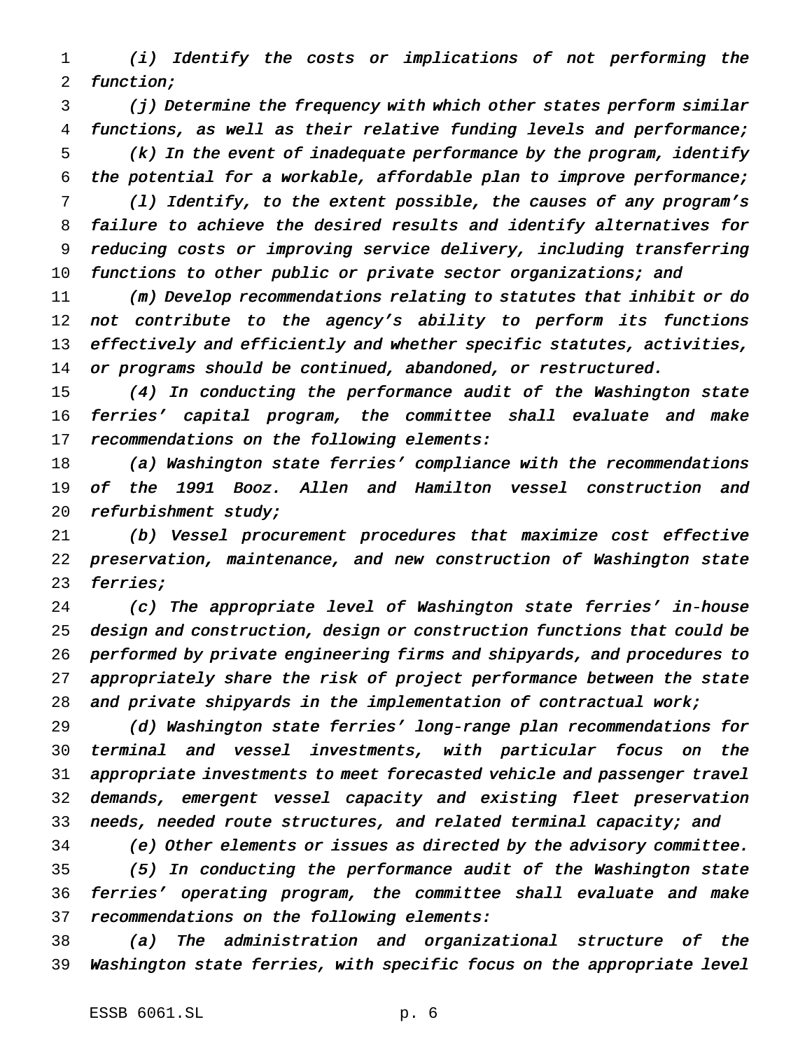(i) Identify the costs or implications of not performing the function;

 (j) Determine the frequency with which other states perform similar functions, as well as their relative funding levels and performance; (k) In the event of inadequate performance by the program, identify the potential for <sup>a</sup> workable, affordable plan to improve performance;

 (l) Identify, to the extent possible, the causes of any program's failure to achieve the desired results and identify alternatives for reducing costs or improving service delivery, including transferring 10 functions to other public or private sector organizations; and

 (m) Develop recommendations relating to statutes that inhibit or do 12 not contribute to the agency's ability to perform its functions 13 effectively and efficiently and whether specific statutes, activities, 14 or programs should be continued, abandoned, or restructured.

 (4) In conducting the performance audit of the Washington state ferries' capital program, the committee shall evaluate and make 17 recommendations on the following elements:

 (a) Washington state ferries' compliance with the recommendations of the <sup>1991</sup> Booz. Allen and Hamilton vessel construction and refurbishment study;

 (b) Vessel procurement procedures that maximize cost effective preservation, maintenance, and new construction of Washington state ferries;

 (c) The appropriate level of Washington state ferries' in-house design and construction, design or construction functions that could be performed by private engineering firms and shipyards, and procedures to appropriately share the risk of project performance between the state 28 and private shipyards in the implementation of contractual work;

 (d) Washington state ferries' long-range plan recommendations for terminal and vessel investments, with particular focus on the appropriate investments to meet forecasted vehicle and passenger travel demands, emergent vessel capacity and existing fleet preservation 33 needs, needed route structures, and related terminal capacity; and

 (e) Other elements or issues as directed by the advisory committee. (5) In conducting the performance audit of the Washington state ferries' operating program, the committee shall evaluate and make recommendations on the following elements:

 (a) The administration and organizational structure of the Washington state ferries, with specific focus on the appropriate level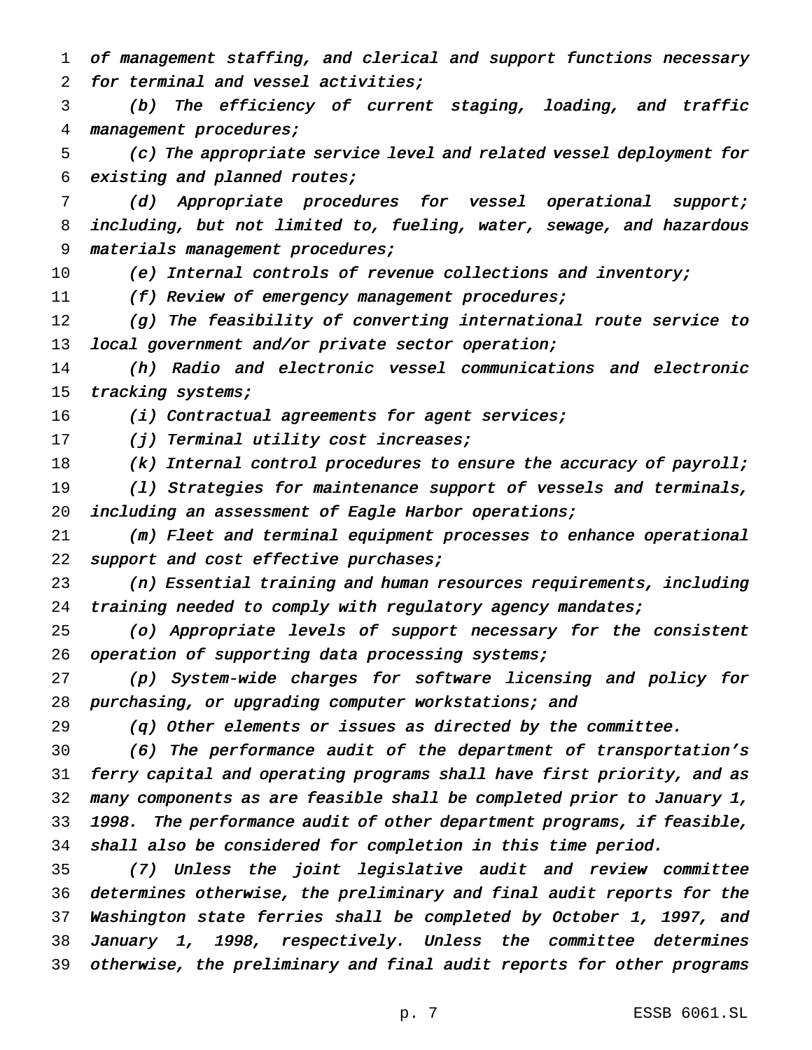of management staffing, and clerical and support functions necessary for terminal and vessel activities;

 (b) The efficiency of current staging, loading, and traffic management procedures;

 (c) The appropriate service level and related vessel deployment for existing and planned routes;

 (d) Appropriate procedures for vessel operational support; including, but not limited to, fueling, water, sewage, and hazardous materials management procedures;

(e) Internal controls of revenue collections and inventory;

11 (f) Review of emergency management procedures;

12 (g) The feasibility of converting international route service to local government and/or private sector operation;

 (h) Radio and electronic vessel communications and electronic 15 tracking systems;

16 (i) Contractual agreements for agent services;

17 (j) Terminal utility cost increases;

18 (k) Internal control procedures to ensure the accuracy of payroll;

 (l) Strategies for maintenance support of vessels and terminals, 20 including an assessment of Eagle Harbor operations;

 (m) Fleet and terminal equipment processes to enhance operational 22 support and cost effective purchases;

 (n) Essential training and human resources requirements, including 24 training needed to comply with regulatory agency mandates;

 (o) Appropriate levels of support necessary for the consistent 26 operation of supporting data processing systems;

 (p) System-wide charges for software licensing and policy for purchasing, or upgrading computer workstations; and

(q) Other elements or issues as directed by the committee.

 (6) The performance audit of the department of transportation's ferry capital and operating programs shall have first priority, and as many components as are feasible shall be completed prior to January 1, 1998. The performance audit of other department programs, if feasible, shall also be considered for completion in this time period.

 (7) Unless the joint legislative audit and review committee determines otherwise, the preliminary and final audit reports for the Washington state ferries shall be completed by October 1, 1997, and January 1, 1998, respectively. Unless the committee determines otherwise, the preliminary and final audit reports for other programs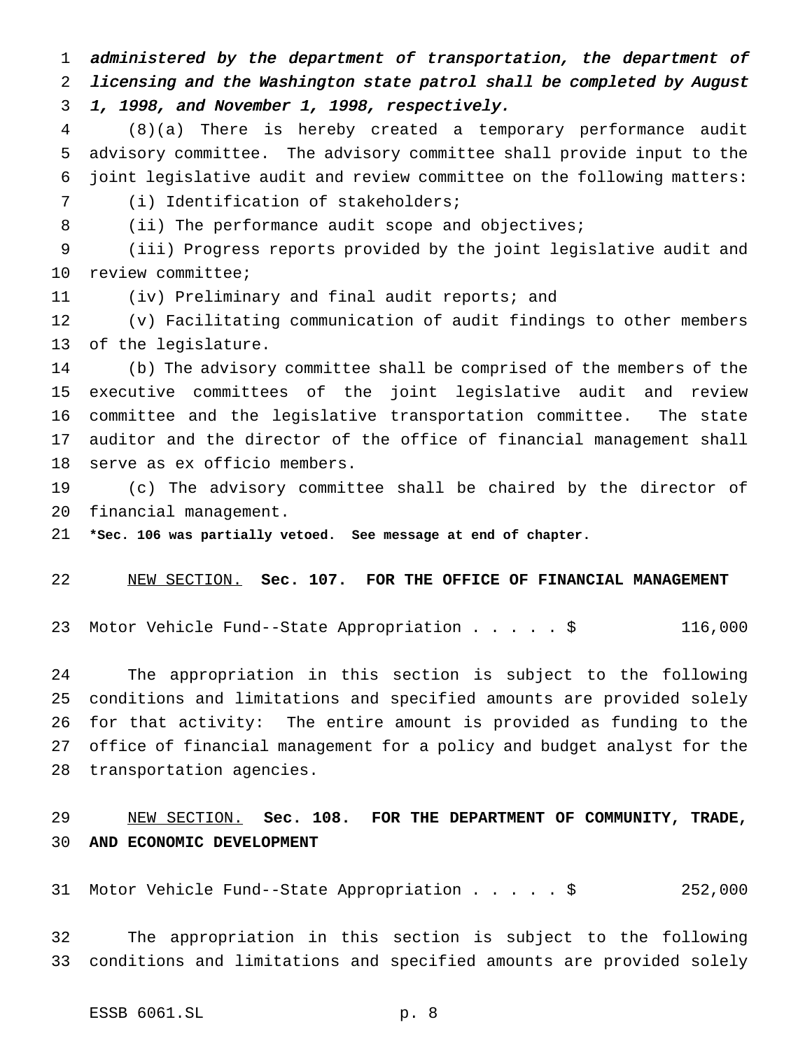administered by the department of transportation, the department of licensing and the Washington state patrol shall be completed by August 1, 1998, and November 1, 1998, respectively.

 (8)(a) There is hereby created a temporary performance audit advisory committee. The advisory committee shall provide input to the joint legislative audit and review committee on the following matters:

(i) Identification of stakeholders;

8 (ii) The performance audit scope and objectives;

 (iii) Progress reports provided by the joint legislative audit and review committee;

(iv) Preliminary and final audit reports; and

 (v) Facilitating communication of audit findings to other members of the legislature.

 (b) The advisory committee shall be comprised of the members of the executive committees of the joint legislative audit and review committee and the legislative transportation committee. The state auditor and the director of the office of financial management shall serve as ex officio members.

 (c) The advisory committee shall be chaired by the director of financial management.

**\*Sec. 106 was partially vetoed. See message at end of chapter.**

#### NEW SECTION. **Sec. 107. FOR THE OFFICE OF FINANCIAL MANAGEMENT**

Motor Vehicle Fund--State Appropriation.....\$ 116,000

 The appropriation in this section is subject to the following conditions and limitations and specified amounts are provided solely for that activity: The entire amount is provided as funding to the office of financial management for a policy and budget analyst for the transportation agencies.

# NEW SECTION. **Sec. 108. FOR THE DEPARTMENT OF COMMUNITY, TRADE, AND ECONOMIC DEVELOPMENT**

Motor Vehicle Fund--State Appropriation.....\$ 252,000

 The appropriation in this section is subject to the following conditions and limitations and specified amounts are provided solely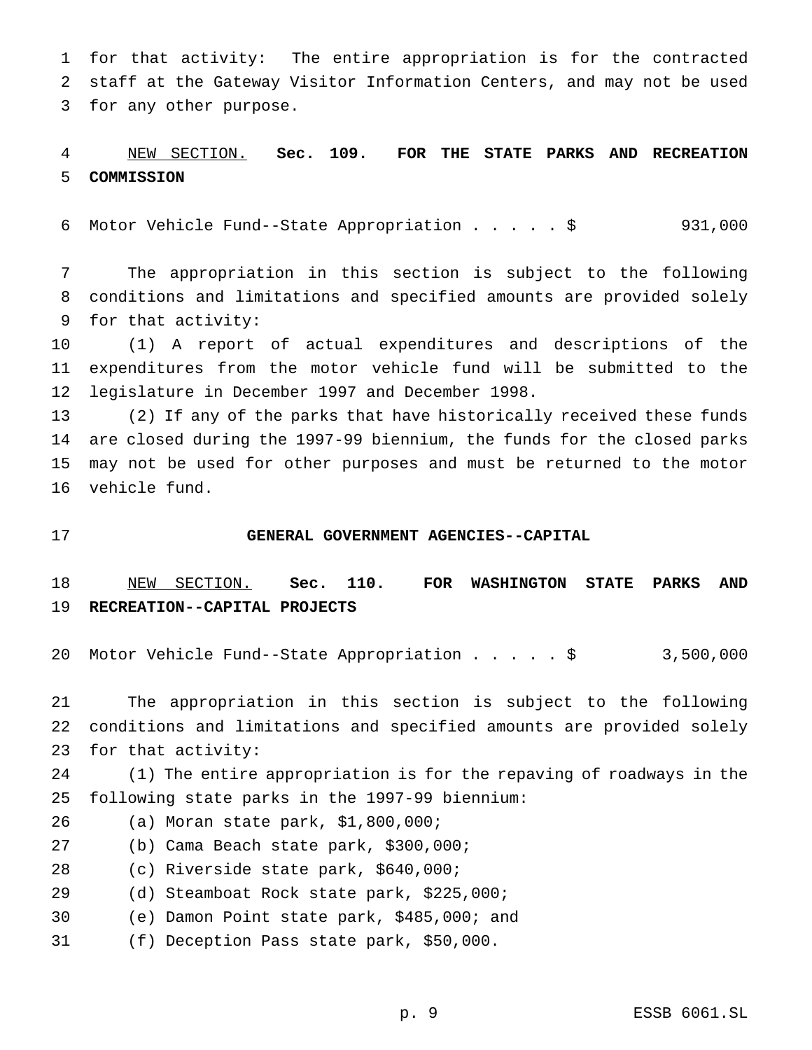for that activity: The entire appropriation is for the contracted staff at the Gateway Visitor Information Centers, and may not be used for any other purpose.

# NEW SECTION. **Sec. 109. FOR THE STATE PARKS AND RECREATION COMMISSION**

Motor Vehicle Fund--State Appropriation.....\$ 931,000

 The appropriation in this section is subject to the following conditions and limitations and specified amounts are provided solely for that activity:

 (1) A report of actual expenditures and descriptions of the expenditures from the motor vehicle fund will be submitted to the legislature in December 1997 and December 1998.

 (2) If any of the parks that have historically received these funds are closed during the 1997-99 biennium, the funds for the closed parks may not be used for other purposes and must be returned to the motor vehicle fund.

#### **GENERAL GOVERNMENT AGENCIES--CAPITAL**

 NEW SECTION. **Sec. 110. FOR WASHINGTON STATE PARKS AND RECREATION--CAPITAL PROJECTS**

Motor Vehicle Fund--State Appropriation.....\$ 3,500,000

 The appropriation in this section is subject to the following conditions and limitations and specified amounts are provided solely for that activity:

 (1) The entire appropriation is for the repaving of roadways in the following state parks in the 1997-99 biennium:

- (a) Moran state park, \$1,800,000;
- (b) Cama Beach state park, \$300,000;

(c) Riverside state park, \$640,000;

- (d) Steamboat Rock state park, \$225,000;
- (e) Damon Point state park, \$485,000; and
- (f) Deception Pass state park, \$50,000.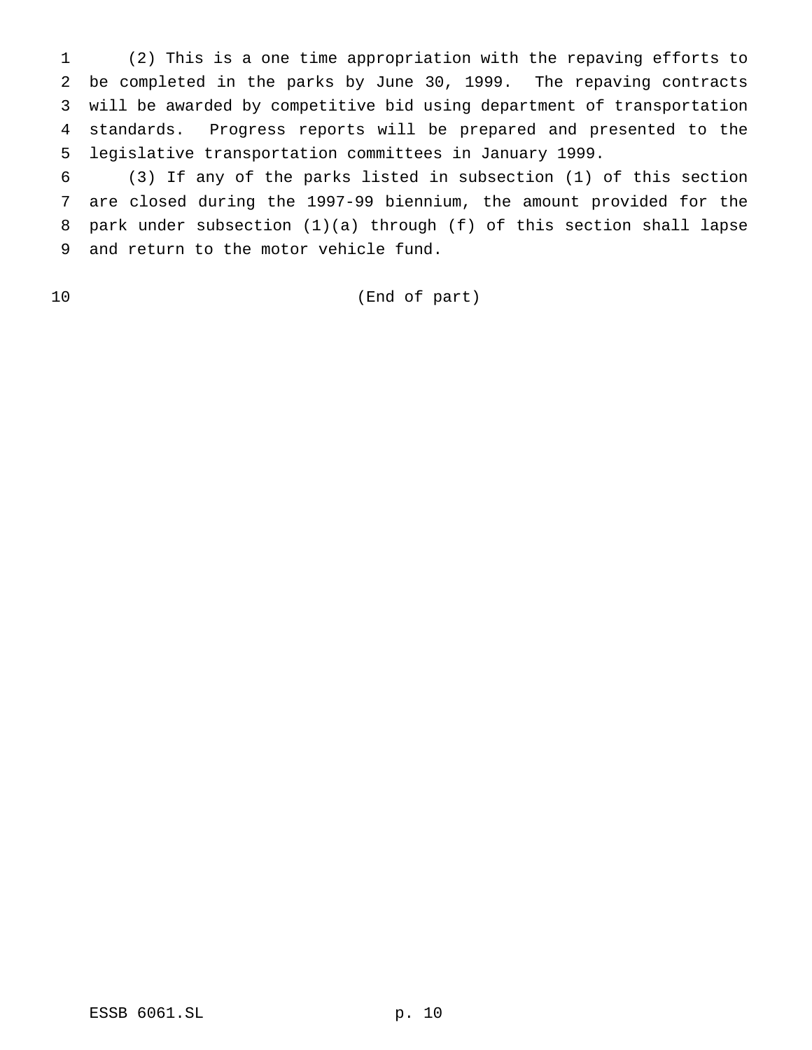(2) This is a one time appropriation with the repaving efforts to be completed in the parks by June 30, 1999. The repaving contracts will be awarded by competitive bid using department of transportation standards. Progress reports will be prepared and presented to the legislative transportation committees in January 1999.

 (3) If any of the parks listed in subsection (1) of this section are closed during the 1997-99 biennium, the amount provided for the park under subsection (1)(a) through (f) of this section shall lapse and return to the motor vehicle fund.

(End of part)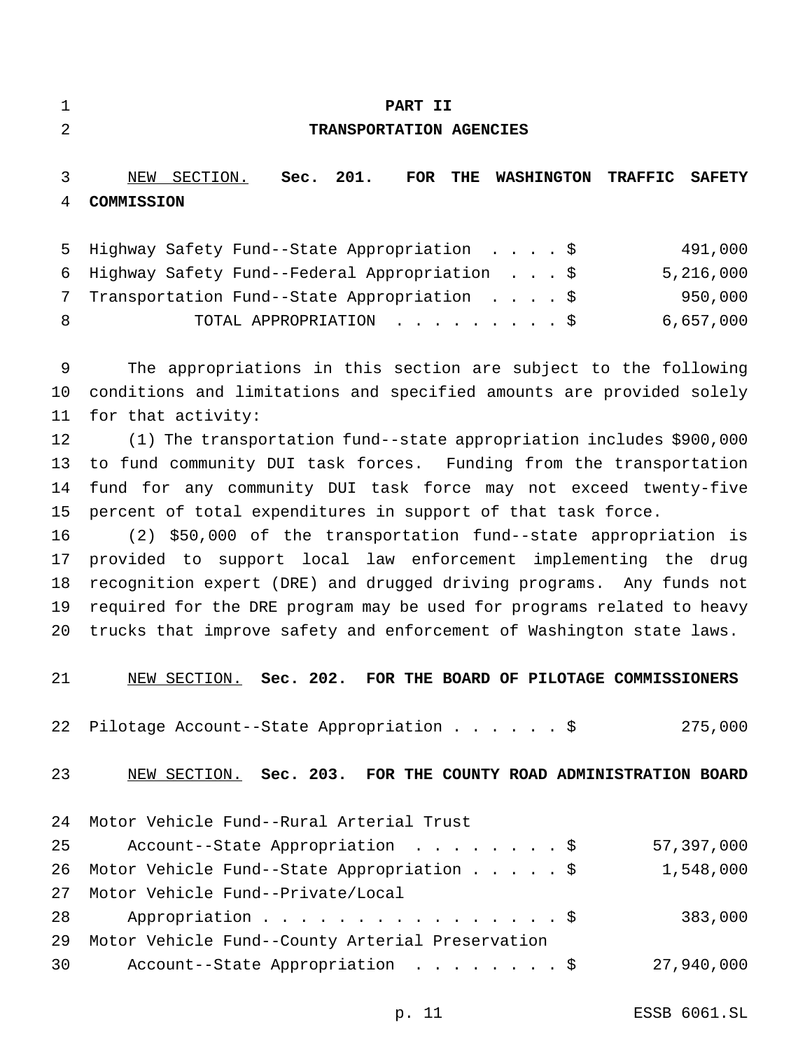|  | ٠ |  |
|--|---|--|
|  |   |  |
|  |   |  |
|  |   |  |
|  |   |  |
|  |   |  |
|  |   |  |

#### **PART II**

## **TRANSPORTATION AGENCIES**

 NEW SECTION. **Sec. 201. FOR THE WASHINGTON TRAFFIC SAFETY COMMISSION**

|    | 5 Highway Safety Fund--State Appropriation \$   | 491,000   |
|----|-------------------------------------------------|-----------|
|    | 6 Highway Safety Fund--Federal Appropriation \$ | 5,216,000 |
|    | Transportation Fund--State Appropriation \$     | 950,000   |
| -8 | TOTAL APPROPRIATION \$                          | 6,657,000 |

 The appropriations in this section are subject to the following conditions and limitations and specified amounts are provided solely for that activity:

 (1) The transportation fund--state appropriation includes \$900,000 to fund community DUI task forces. Funding from the transportation fund for any community DUI task force may not exceed twenty-five percent of total expenditures in support of that task force.

 (2) \$50,000 of the transportation fund--state appropriation is provided to support local law enforcement implementing the drug recognition expert (DRE) and drugged driving programs. Any funds not required for the DRE program may be used for programs related to heavy trucks that improve safety and enforcement of Washington state laws.

NEW SECTION. **Sec. 202. FOR THE BOARD OF PILOTAGE COMMISSIONERS**

Pilotage Account--State Appropriation......\$ 275,000

NEW SECTION. **Sec. 203. FOR THE COUNTY ROAD ADMINISTRATION BOARD**

|    | 24 Motor Vehicle Fund--Rural Arterial Trust         |            |
|----|-----------------------------------------------------|------------|
| 25 | Account--State Appropriation \$                     | 57,397,000 |
|    | 26 Motor Vehicle Fund--State Appropriation \$       | 1,548,000  |
|    | 27 Motor Vehicle Fund--Private/Local                |            |
| 28 | Appropriation $\frac{1}{5}$                         | 383,000    |
|    | 29 Motor Vehicle Fund--County Arterial Preservation |            |
| 30 | Account--State Appropriation \$                     | 27,940,000 |
|    |                                                     |            |

p. 11 ESSB 6061.SL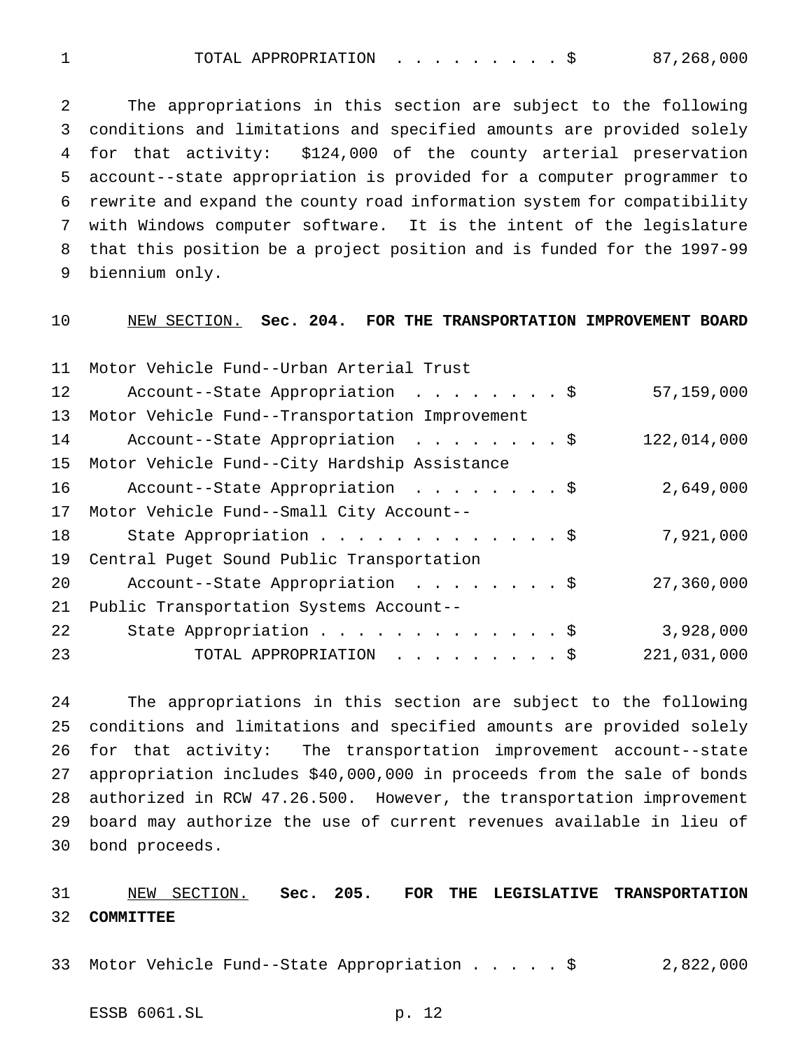1 TOTAL APPROPRIATION . . . . . . . . \$ 87,268,000

 The appropriations in this section are subject to the following conditions and limitations and specified amounts are provided solely for that activity: \$124,000 of the county arterial preservation account--state appropriation is provided for a computer programmer to rewrite and expand the county road information system for compatibility with Windows computer software. It is the intent of the legislature that this position be a project position and is funded for the 1997-99 biennium only.

NEW SECTION. **Sec. 204. FOR THE TRANSPORTATION IMPROVEMENT BOARD**

| 11 | Motor Vehicle Fund--Urban Arterial Trust       |             |
|----|------------------------------------------------|-------------|
| 12 | Account--State Appropriation \$                | 57,159,000  |
| 13 | Motor Vehicle Fund--Transportation Improvement |             |
| 14 | Account--State Appropriation \$                | 122,014,000 |
| 15 | Motor Vehicle Fund--City Hardship Assistance   |             |
| 16 | Account--State Appropriation \$                | 2,649,000   |
| 17 | Motor Vehicle Fund--Small City Account--       |             |
| 18 | State Appropriation \$                         | 7,921,000   |
| 19 | Central Puget Sound Public Transportation      |             |
| 20 | Account--State Appropriation \$                | 27,360,000  |
| 21 | Public Transportation Systems Account--        |             |
| 22 | State Appropriation \$                         | 3,928,000   |
| 23 | TOTAL APPROPRIATION \$                         | 221,031,000 |
|    |                                                |             |

 The appropriations in this section are subject to the following conditions and limitations and specified amounts are provided solely for that activity: The transportation improvement account--state appropriation includes \$40,000,000 in proceeds from the sale of bonds authorized in RCW 47.26.500. However, the transportation improvement board may authorize the use of current revenues available in lieu of bond proceeds.

 NEW SECTION. **Sec. 205. FOR THE LEGISLATIVE TRANSPORTATION COMMITTEE**

Motor Vehicle Fund--State Appropriation.....\$ 2,822,000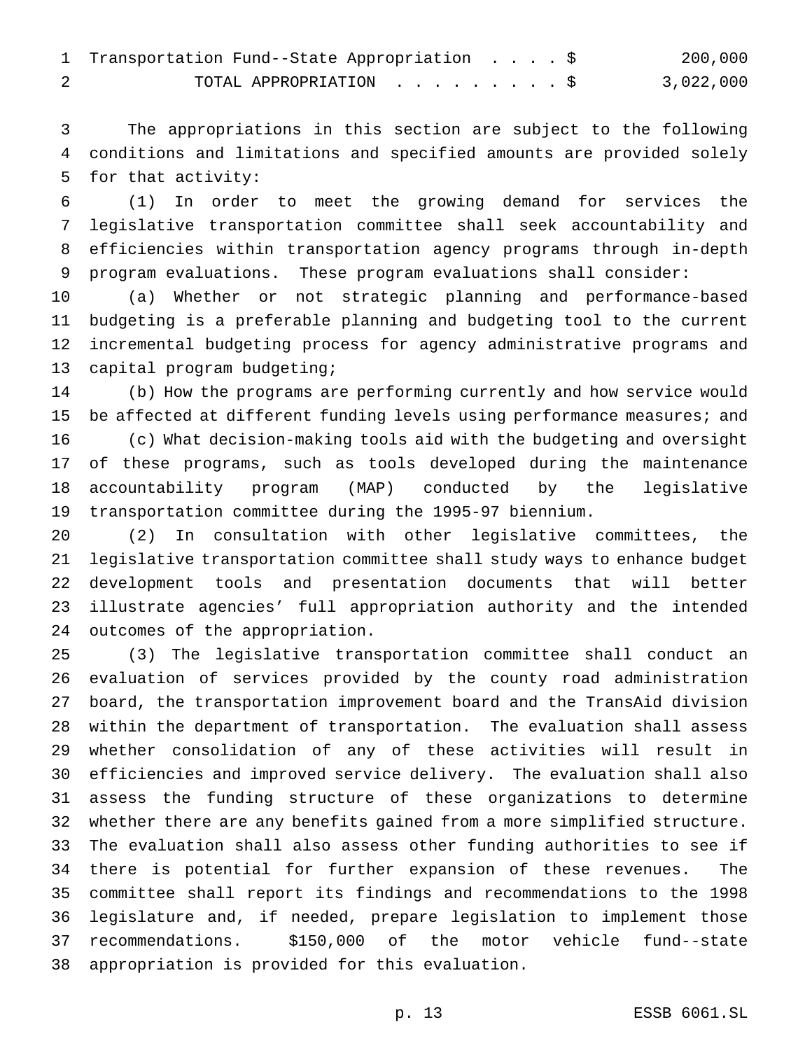| 1 Transportation Fund--State Appropriation \$ |  |  | 200,000   |
|-----------------------------------------------|--|--|-----------|
| TOTAL APPROPRIATION \$                        |  |  | 3,022,000 |

 The appropriations in this section are subject to the following conditions and limitations and specified amounts are provided solely for that activity:

 (1) In order to meet the growing demand for services the legislative transportation committee shall seek accountability and efficiencies within transportation agency programs through in-depth program evaluations. These program evaluations shall consider:

 (a) Whether or not strategic planning and performance-based budgeting is a preferable planning and budgeting tool to the current incremental budgeting process for agency administrative programs and capital program budgeting;

 (b) How the programs are performing currently and how service would 15 be affected at different funding levels using performance measures; and (c) What decision-making tools aid with the budgeting and oversight of these programs, such as tools developed during the maintenance accountability program (MAP) conducted by the legislative transportation committee during the 1995-97 biennium.

 (2) In consultation with other legislative committees, the legislative transportation committee shall study ways to enhance budget development tools and presentation documents that will better illustrate agencies' full appropriation authority and the intended outcomes of the appropriation.

 (3) The legislative transportation committee shall conduct an evaluation of services provided by the county road administration board, the transportation improvement board and the TransAid division within the department of transportation. The evaluation shall assess whether consolidation of any of these activities will result in efficiencies and improved service delivery. The evaluation shall also assess the funding structure of these organizations to determine whether there are any benefits gained from a more simplified structure. The evaluation shall also assess other funding authorities to see if there is potential for further expansion of these revenues. The committee shall report its findings and recommendations to the 1998 legislature and, if needed, prepare legislation to implement those recommendations. \$150,000 of the motor vehicle fund--state appropriation is provided for this evaluation.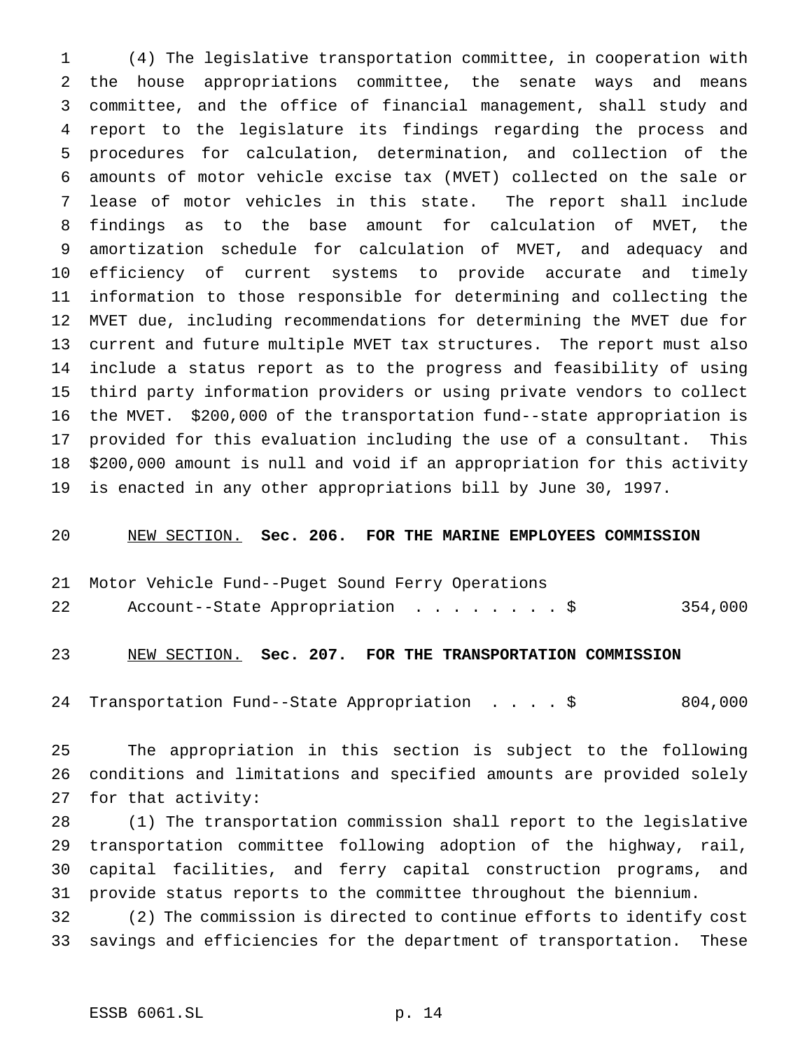(4) The legislative transportation committee, in cooperation with the house appropriations committee, the senate ways and means committee, and the office of financial management, shall study and report to the legislature its findings regarding the process and procedures for calculation, determination, and collection of the amounts of motor vehicle excise tax (MVET) collected on the sale or lease of motor vehicles in this state. The report shall include findings as to the base amount for calculation of MVET, the amortization schedule for calculation of MVET, and adequacy and efficiency of current systems to provide accurate and timely information to those responsible for determining and collecting the MVET due, including recommendations for determining the MVET due for current and future multiple MVET tax structures. The report must also include a status report as to the progress and feasibility of using third party information providers or using private vendors to collect the MVET. \$200,000 of the transportation fund--state appropriation is provided for this evaluation including the use of a consultant. This \$200,000 amount is null and void if an appropriation for this activity is enacted in any other appropriations bill by June 30, 1997.

#### NEW SECTION. **Sec. 206. FOR THE MARINE EMPLOYEES COMMISSION**

- Motor Vehicle Fund--Puget Sound Ferry Operations
- 22 Account--State Appropriation . . . . . . . \$ 354,000

## NEW SECTION. **Sec. 207. FOR THE TRANSPORTATION COMMISSION**

Transportation Fund--State Appropriation ....\$ 804,000

 The appropriation in this section is subject to the following conditions and limitations and specified amounts are provided solely for that activity:

 (1) The transportation commission shall report to the legislative transportation committee following adoption of the highway, rail, capital facilities, and ferry capital construction programs, and provide status reports to the committee throughout the biennium.

 (2) The commission is directed to continue efforts to identify cost savings and efficiencies for the department of transportation. These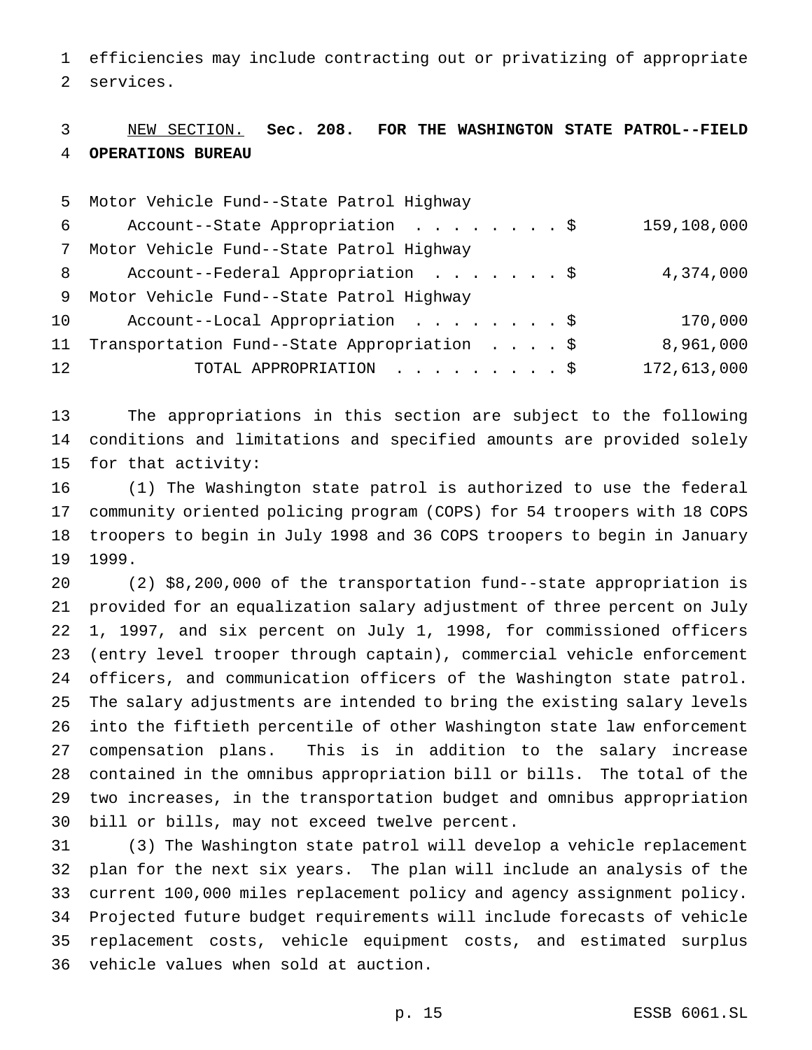efficiencies may include contracting out or privatizing of appropriate services.

# NEW SECTION. **Sec. 208. FOR THE WASHINGTON STATE PATROL--FIELD OPERATIONS BUREAU**

|                 | 5 Motor Vehicle Fund--State Patrol Highway  |             |
|-----------------|---------------------------------------------|-------------|
| 6               | Account--State Appropriation \$             | 159,108,000 |
| 7               | Motor Vehicle Fund--State Patrol Highway    |             |
| 8               | Account--Federal Appropriation \$           | 4,374,000   |
| 9               | Motor Vehicle Fund--State Patrol Highway    |             |
| 10              | Account--Local Appropriation \$             | 170,000     |
| 11              | Transportation Fund--State Appropriation \$ | 8,961,000   |
| 12 <sup>°</sup> | TOTAL APPROPRIATION \$                      | 172,613,000 |

 The appropriations in this section are subject to the following conditions and limitations and specified amounts are provided solely for that activity:

 (1) The Washington state patrol is authorized to use the federal community oriented policing program (COPS) for 54 troopers with 18 COPS troopers to begin in July 1998 and 36 COPS troopers to begin in January 1999.

 (2) \$8,200,000 of the transportation fund--state appropriation is provided for an equalization salary adjustment of three percent on July 1, 1997, and six percent on July 1, 1998, for commissioned officers (entry level trooper through captain), commercial vehicle enforcement officers, and communication officers of the Washington state patrol. The salary adjustments are intended to bring the existing salary levels into the fiftieth percentile of other Washington state law enforcement compensation plans. This is in addition to the salary increase contained in the omnibus appropriation bill or bills. The total of the two increases, in the transportation budget and omnibus appropriation bill or bills, may not exceed twelve percent.

 (3) The Washington state patrol will develop a vehicle replacement plan for the next six years. The plan will include an analysis of the current 100,000 miles replacement policy and agency assignment policy. Projected future budget requirements will include forecasts of vehicle replacement costs, vehicle equipment costs, and estimated surplus vehicle values when sold at auction.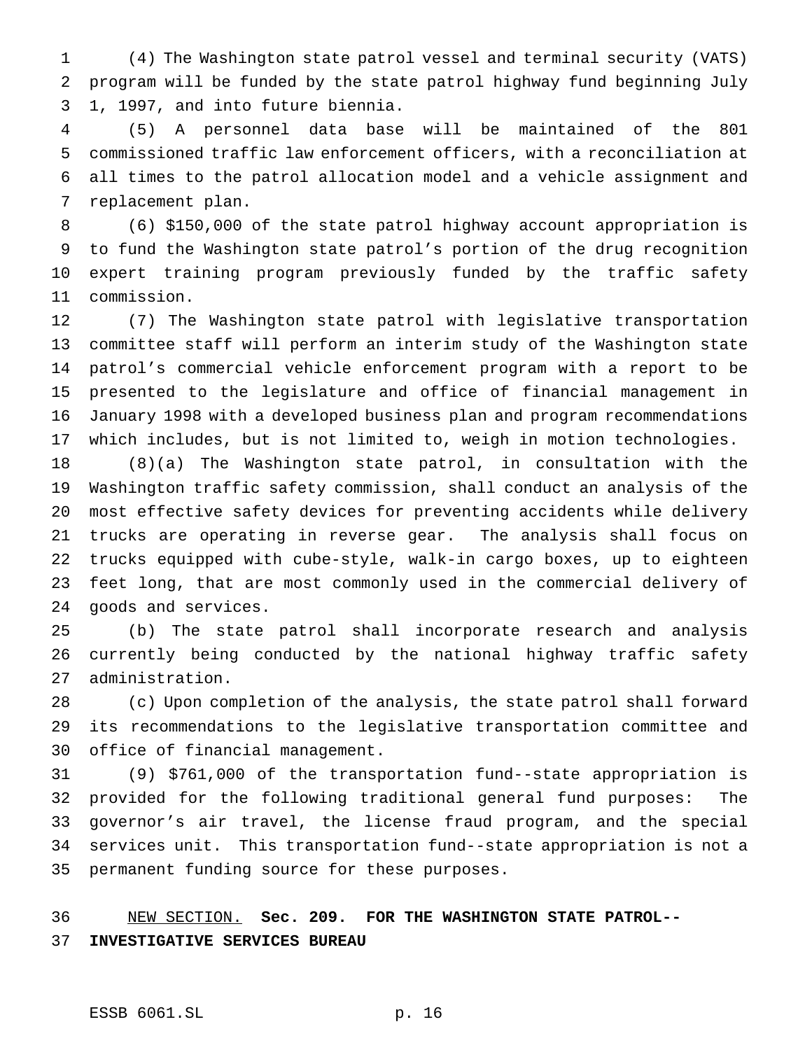(4) The Washington state patrol vessel and terminal security (VATS) program will be funded by the state patrol highway fund beginning July 1, 1997, and into future biennia.

 (5) A personnel data base will be maintained of the 801 commissioned traffic law enforcement officers, with a reconciliation at all times to the patrol allocation model and a vehicle assignment and replacement plan.

 (6) \$150,000 of the state patrol highway account appropriation is to fund the Washington state patrol's portion of the drug recognition expert training program previously funded by the traffic safety commission.

 (7) The Washington state patrol with legislative transportation committee staff will perform an interim study of the Washington state patrol's commercial vehicle enforcement program with a report to be presented to the legislature and office of financial management in January 1998 with a developed business plan and program recommendations which includes, but is not limited to, weigh in motion technologies.

 (8)(a) The Washington state patrol, in consultation with the Washington traffic safety commission, shall conduct an analysis of the most effective safety devices for preventing accidents while delivery trucks are operating in reverse gear. The analysis shall focus on trucks equipped with cube-style, walk-in cargo boxes, up to eighteen feet long, that are most commonly used in the commercial delivery of goods and services.

 (b) The state patrol shall incorporate research and analysis currently being conducted by the national highway traffic safety administration.

 (c) Upon completion of the analysis, the state patrol shall forward its recommendations to the legislative transportation committee and office of financial management.

 (9) \$761,000 of the transportation fund--state appropriation is provided for the following traditional general fund purposes: The governor's air travel, the license fraud program, and the special services unit. This transportation fund--state appropriation is not a permanent funding source for these purposes.

 NEW SECTION. **Sec. 209. FOR THE WASHINGTON STATE PATROL-- INVESTIGATIVE SERVICES BUREAU**

#### ESSB 6061.SL p. 16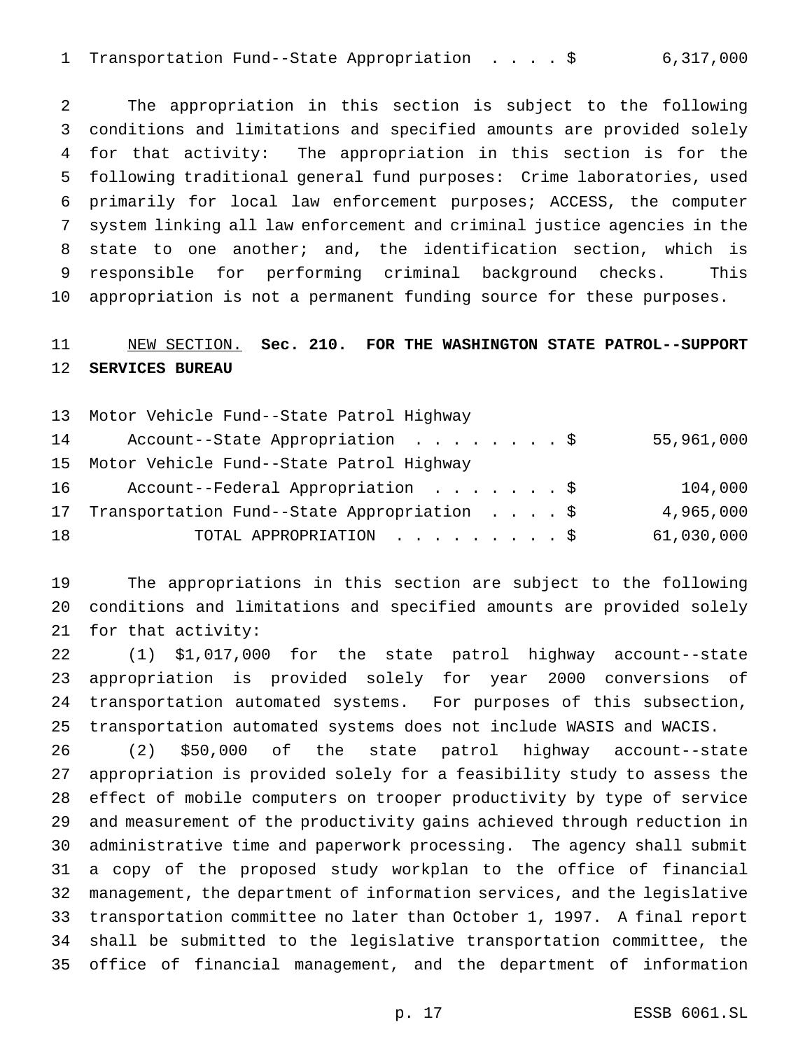Transportation Fund--State Appropriation ....\$ 6,317,000

 The appropriation in this section is subject to the following conditions and limitations and specified amounts are provided solely for that activity: The appropriation in this section is for the following traditional general fund purposes: Crime laboratories, used primarily for local law enforcement purposes; ACCESS, the computer system linking all law enforcement and criminal justice agencies in the state to one another; and, the identification section, which is responsible for performing criminal background checks. This appropriation is not a permanent funding source for these purposes.

# NEW SECTION. **Sec. 210. FOR THE WASHINGTON STATE PATROL--SUPPORT SERVICES BUREAU**

|    | 13 Motor Vehicle Fund--State Patrol Highway |            |
|----|---------------------------------------------|------------|
| 14 | Account--State Appropriation \$             | 55,961,000 |
|    | 15 Motor Vehicle Fund--State Patrol Highway |            |
| 16 | Account--Federal Appropriation \$           | 104,000    |
| 17 | Transportation Fund--State Appropriation \$ | 4,965,000  |
| 18 | TOTAL APPROPRIATION \$                      | 61,030,000 |

 The appropriations in this section are subject to the following conditions and limitations and specified amounts are provided solely for that activity:

 (1) \$1,017,000 for the state patrol highway account--state appropriation is provided solely for year 2000 conversions of transportation automated systems. For purposes of this subsection, transportation automated systems does not include WASIS and WACIS.

 (2) \$50,000 of the state patrol highway account--state appropriation is provided solely for a feasibility study to assess the effect of mobile computers on trooper productivity by type of service and measurement of the productivity gains achieved through reduction in administrative time and paperwork processing. The agency shall submit a copy of the proposed study workplan to the office of financial management, the department of information services, and the legislative transportation committee no later than October 1, 1997. A final report shall be submitted to the legislative transportation committee, the office of financial management, and the department of information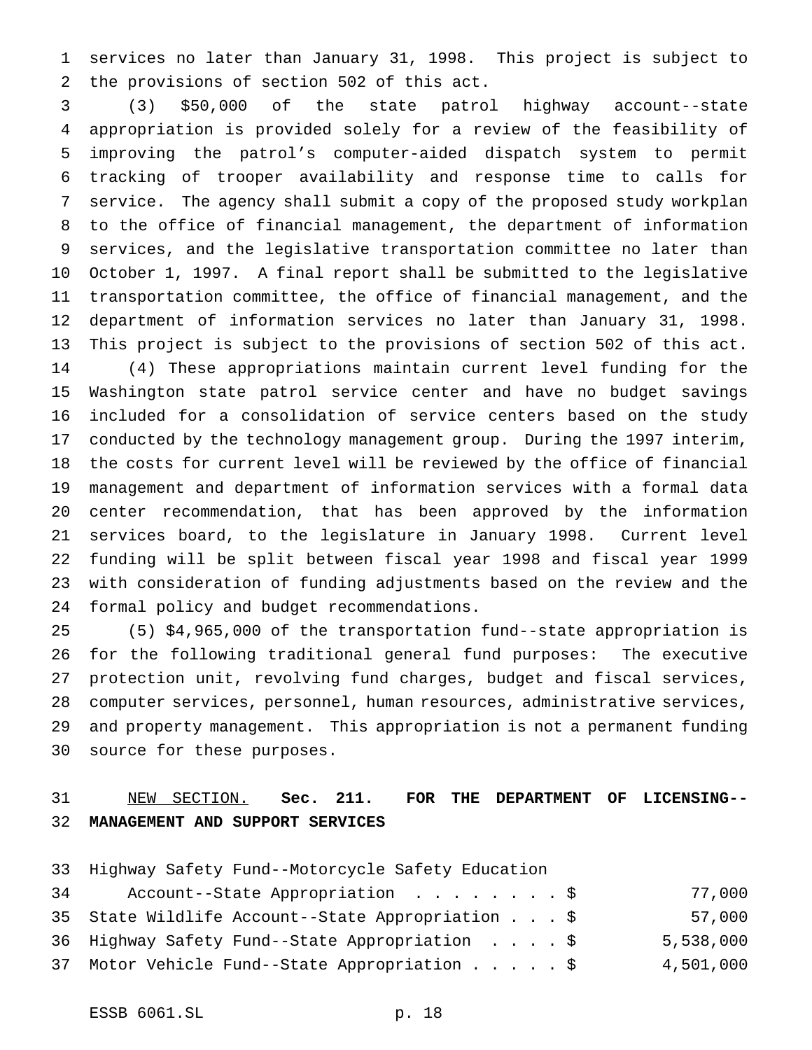services no later than January 31, 1998. This project is subject to the provisions of section 502 of this act.

 (3) \$50,000 of the state patrol highway account--state appropriation is provided solely for a review of the feasibility of improving the patrol's computer-aided dispatch system to permit tracking of trooper availability and response time to calls for service. The agency shall submit a copy of the proposed study workplan to the office of financial management, the department of information services, and the legislative transportation committee no later than October 1, 1997. A final report shall be submitted to the legislative transportation committee, the office of financial management, and the department of information services no later than January 31, 1998. This project is subject to the provisions of section 502 of this act. (4) These appropriations maintain current level funding for the Washington state patrol service center and have no budget savings included for a consolidation of service centers based on the study conducted by the technology management group. During the 1997 interim, the costs for current level will be reviewed by the office of financial management and department of information services with a formal data center recommendation, that has been approved by the information services board, to the legislature in January 1998. Current level funding will be split between fiscal year 1998 and fiscal year 1999 with consideration of funding adjustments based on the review and the formal policy and budget recommendations.

 (5) \$4,965,000 of the transportation fund--state appropriation is for the following traditional general fund purposes: The executive protection unit, revolving fund charges, budget and fiscal services, computer services, personnel, human resources, administrative services, and property management. This appropriation is not a permanent funding source for these purposes.

# NEW SECTION. **Sec. 211. FOR THE DEPARTMENT OF LICENSING-- MANAGEMENT AND SUPPORT SERVICES**

Highway Safety Fund--Motorcycle Safety Education

| 34 | Account--State Appropriation \$                   |  |  | 77,000    |
|----|---------------------------------------------------|--|--|-----------|
|    | 35 State Wildlife Account--State Appropriation \$ |  |  | 57,000    |
|    | 36 Highway Safety Fund--State Appropriation \$    |  |  | 5,538,000 |
|    | 37 Motor Vehicle Fund--State Appropriation \$     |  |  | 4,501,000 |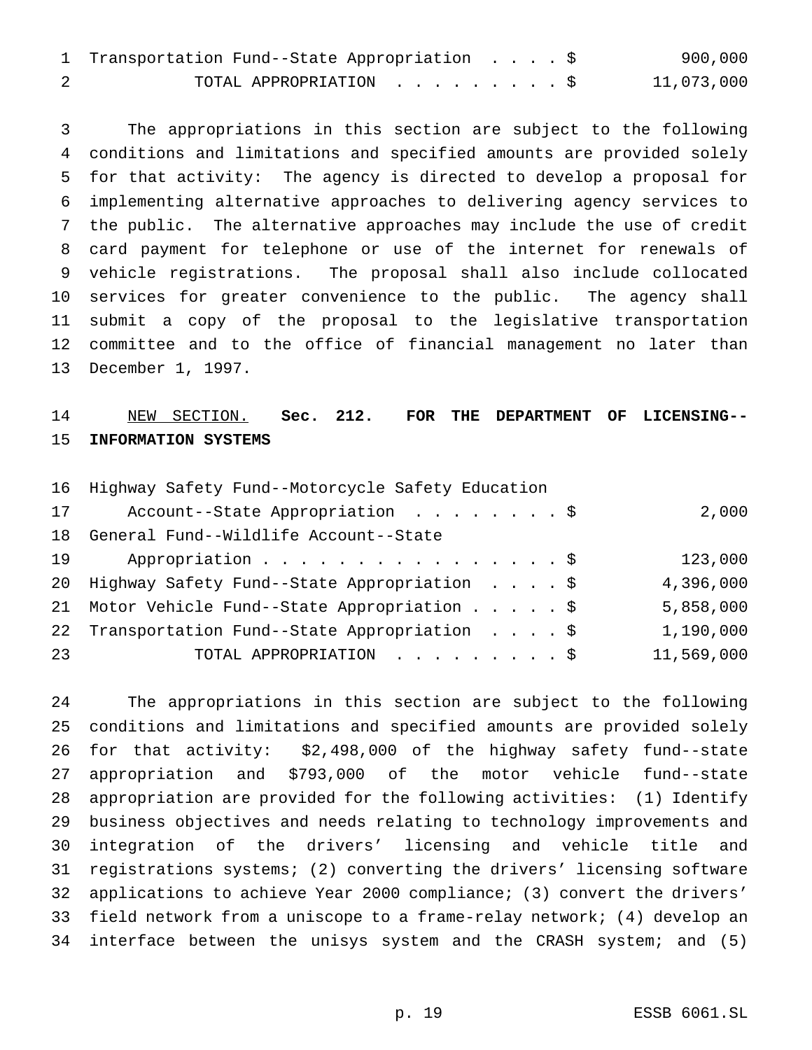| 1 Transportation Fund--State Appropriation \$ |  |  | 900,000    |
|-----------------------------------------------|--|--|------------|
| TOTAL APPROPRIATION \$                        |  |  | 11,073,000 |

 The appropriations in this section are subject to the following conditions and limitations and specified amounts are provided solely for that activity: The agency is directed to develop a proposal for implementing alternative approaches to delivering agency services to the public. The alternative approaches may include the use of credit card payment for telephone or use of the internet for renewals of vehicle registrations. The proposal shall also include collocated services for greater convenience to the public. The agency shall submit a copy of the proposal to the legislative transportation committee and to the office of financial management no later than December 1, 1997.

## NEW SECTION. **Sec. 212. FOR THE DEPARTMENT OF LICENSING-- INFORMATION SYSTEMS**

|    | 16 Highway Safety Fund--Motorcycle Safety Education |            |
|----|-----------------------------------------------------|------------|
| 17 | Account--State Appropriation \$                     | 2,000      |
| 18 | General Fund--Wildlife Account--State               |            |
| 19 | Appropriation \$                                    | 123,000    |
|    | 20 Highway Safety Fund--State Appropriation \$      | 4,396,000  |
|    | 21 Motor Vehicle Fund--State Appropriation \$       | 5,858,000  |
|    | 22 Transportation Fund--State Appropriation \$      | 1,190,000  |
| 23 | TOTAL APPROPRIATION \$                              | 11,569,000 |
|    |                                                     |            |

 The appropriations in this section are subject to the following conditions and limitations and specified amounts are provided solely for that activity: \$2,498,000 of the highway safety fund--state appropriation and \$793,000 of the motor vehicle fund--state appropriation are provided for the following activities: (1) Identify business objectives and needs relating to technology improvements and integration of the drivers' licensing and vehicle title and registrations systems; (2) converting the drivers' licensing software applications to achieve Year 2000 compliance; (3) convert the drivers' field network from a uniscope to a frame-relay network; (4) develop an interface between the unisys system and the CRASH system; and (5)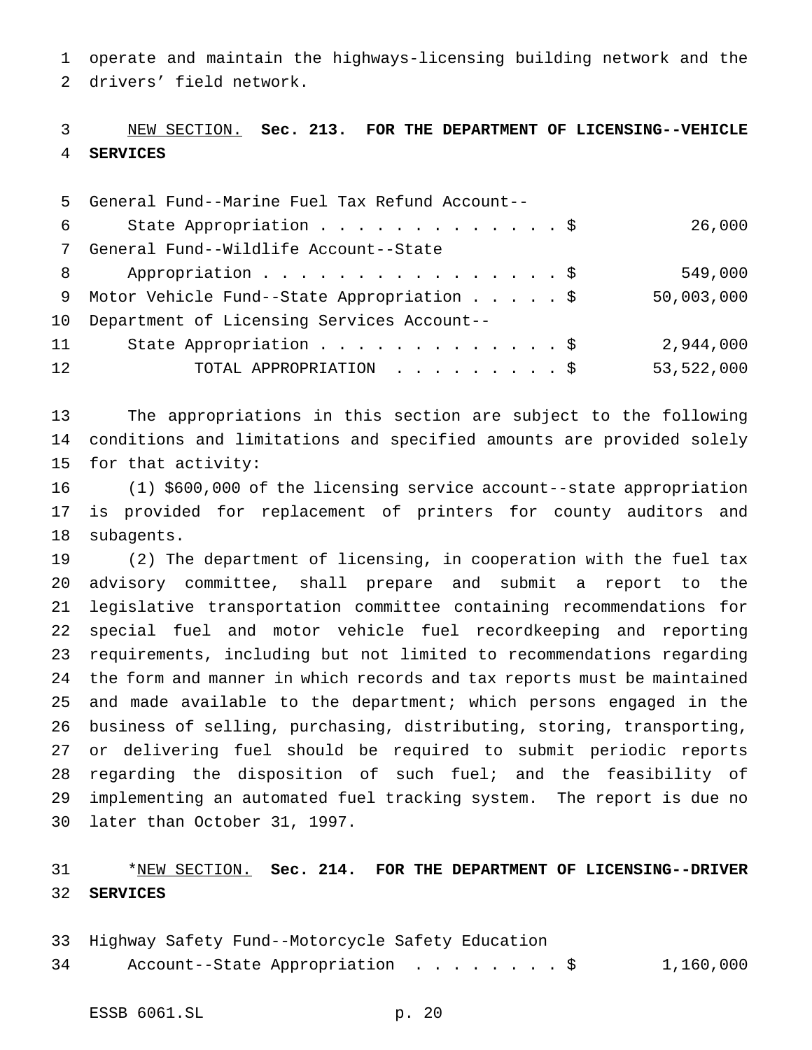operate and maintain the highways-licensing building network and the drivers' field network.

## NEW SECTION. **Sec. 213. FOR THE DEPARTMENT OF LICENSING--VEHICLE SERVICES**

|                 | 5 General Fund--Marine Fuel Tax Refund Account-- |            |
|-----------------|--------------------------------------------------|------------|
| 6               | State Appropriation \$                           | 26,000     |
|                 | 7 General Fund--Wildlife Account--State          |            |
| 8               | Appropriation \$                                 | 549,000    |
|                 | 9 Motor Vehicle Fund--State Appropriation \$     | 50,003,000 |
|                 | 10 Department of Licensing Services Account--    |            |
| 11              | State Appropriation \$                           | 2,944,000  |
| 12 <sup>2</sup> | TOTAL APPROPRIATION \$                           | 53,522,000 |

 The appropriations in this section are subject to the following conditions and limitations and specified amounts are provided solely for that activity:

 (1) \$600,000 of the licensing service account--state appropriation is provided for replacement of printers for county auditors and subagents.

 (2) The department of licensing, in cooperation with the fuel tax advisory committee, shall prepare and submit a report to the legislative transportation committee containing recommendations for special fuel and motor vehicle fuel recordkeeping and reporting requirements, including but not limited to recommendations regarding the form and manner in which records and tax reports must be maintained and made available to the department; which persons engaged in the business of selling, purchasing, distributing, storing, transporting, or delivering fuel should be required to submit periodic reports regarding the disposition of such fuel; and the feasibility of implementing an automated fuel tracking system. The report is due no later than October 31, 1997.

# \*NEW SECTION. **Sec. 214. FOR THE DEPARTMENT OF LICENSING--DRIVER SERVICES**

- Highway Safety Fund--Motorcycle Safety Education
- Account--State Appropriation ........\$ 1,160,000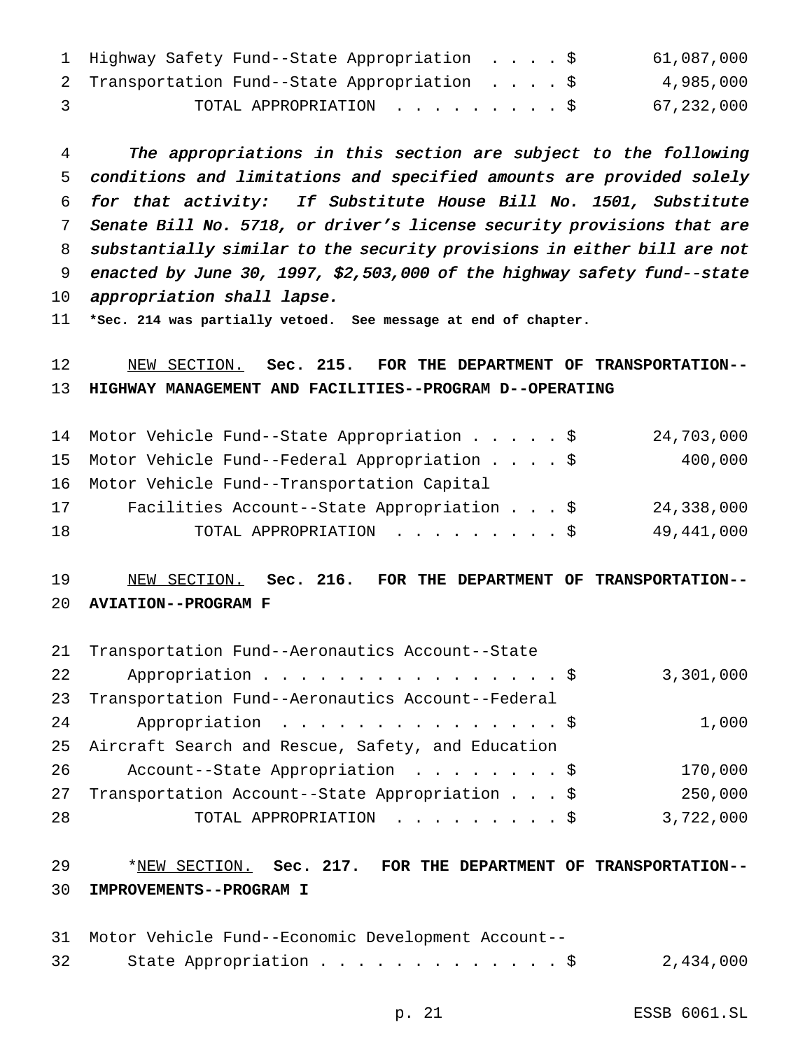|               | 1 Highway Safety Fund--State Appropriation \$ |  |  | 61,087,000 |
|---------------|-----------------------------------------------|--|--|------------|
|               | 2 Transportation Fund--State Appropriation \$ |  |  | 4,985,000  |
| $\mathcal{R}$ | TOTAL APPROPRIATION \$                        |  |  | 67,232,000 |

 The appropriations in this section are subject to the following conditions and limitations and specified amounts are provided solely for that activity: If Substitute House Bill No. 1501, Substitute Senate Bill No. 5718, or driver's license security provisions that are substantially similar to the security provisions in either bill are not enacted by June 30, 1997, \$2,503,000 of the highway safety fund--state appropriation shall lapse.

**\*Sec. 214 was partially vetoed. See message at end of chapter.**

 NEW SECTION. **Sec. 215. FOR THE DEPARTMENT OF TRANSPORTATION-- HIGHWAY MANAGEMENT AND FACILITIES--PROGRAM D--OPERATING**

|    | 14 Motor Vehicle Fund--State Appropriation \$   | 24,703,000 |
|----|-------------------------------------------------|------------|
|    | 15 Motor Vehicle Fund--Federal Appropriation \$ | 400,000    |
|    | 16 Motor Vehicle Fund--Transportation Capital   |            |
| 17 | Facilities Account--State Appropriation \$      | 24,338,000 |
| 18 | TOTAL APPROPRIATION \$                          | 49,441,000 |

## NEW SECTION. **Sec. 216. FOR THE DEPARTMENT OF TRANSPORTATION-- AVIATION--PROGRAM F**

|    | 21 Transportation Fund--Aeronautics Account--State   |           |
|----|------------------------------------------------------|-----------|
| 22 | Appropriation \$                                     | 3,301,000 |
| 23 | Transportation Fund--Aeronautics Account--Federal    |           |
| 24 | Appropriation $\frac{1}{5}$                          | 1,000     |
|    | 25 Aircraft Search and Rescue, Safety, and Education |           |
| 26 | Account--State Appropriation \$                      | 170,000   |
| 27 | Transportation Account--State Appropriation \$       | 250,000   |
| 28 | TOTAL APPROPRIATION \$                               | 3,722,000 |

# \*NEW SECTION. **Sec. 217. FOR THE DEPARTMENT OF TRANSPORTATION-- IMPROVEMENTS--PROGRAM I**

|                 | 31 Motor Vehicle Fund--Economic Development Account-- |           |
|-----------------|-------------------------------------------------------|-----------|
| 32 <sup>°</sup> | State Appropriation \$                                | 2,434,000 |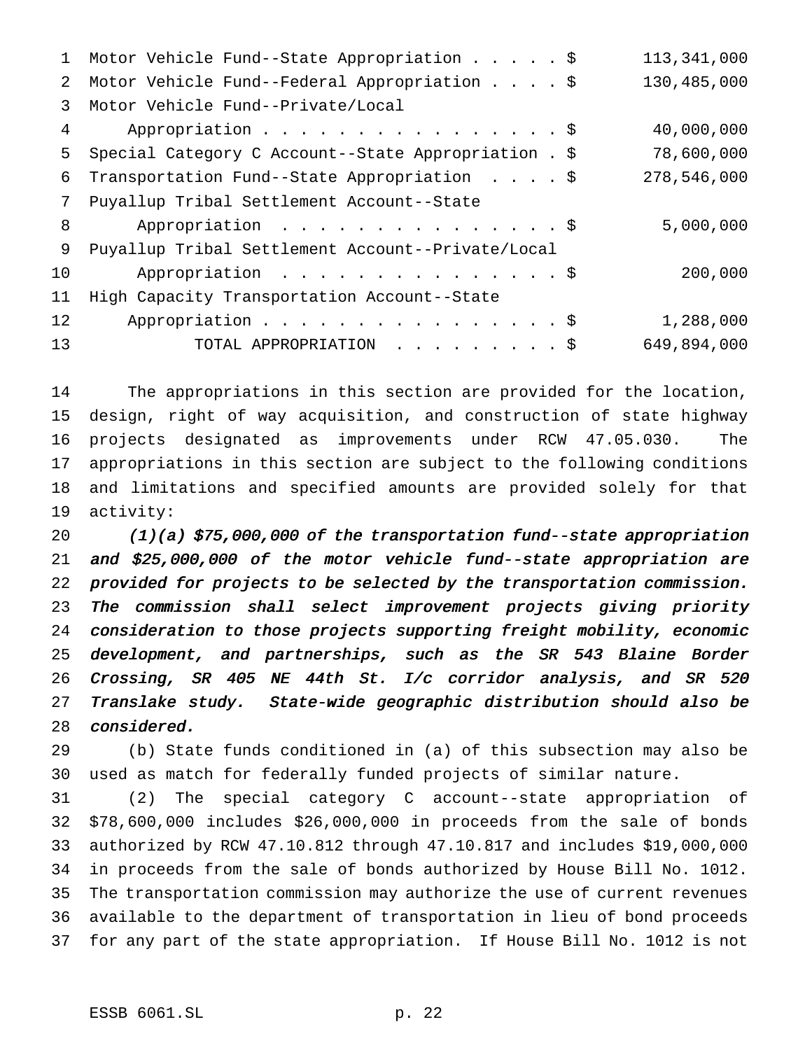| Motor Vehicle Fund--State Appropriation \$           | 113,341,000 |
|------------------------------------------------------|-------------|
| Motor Vehicle Fund--Federal Appropriation \$         | 130,485,000 |
| Motor Vehicle Fund--Private/Local                    |             |
| Appropriation \$                                     | 40,000,000  |
| Special Category C Account--State Appropriation . \$ | 78,600,000  |
| Transportation Fund--State Appropriation \$          | 278,546,000 |
| Puyallup Tribal Settlement Account--State            |             |
| Appropriation \$                                     | 5,000,000   |
| Puyallup Tribal Settlement Account--Private/Local    |             |
| Appropriation \$                                     | 200,000     |
| High Capacity Transportation Account--State          |             |
| Appropriation \$                                     | 1,288,000   |
| TOTAL APPROPRIATION \$                               | 649,894,000 |
|                                                      |             |

 The appropriations in this section are provided for the location, design, right of way acquisition, and construction of state highway projects designated as improvements under RCW 47.05.030. The appropriations in this section are subject to the following conditions and limitations and specified amounts are provided solely for that activity:

 (1)(a) \$75,000,000 of the transportation fund--state appropriation and \$25,000,000 of the motor vehicle fund--state appropriation are provided for projects to be selected by the transportation commission. The commission shall select improvement projects giving priority consideration to those projects supporting freight mobility, economic development, and partnerships, such as the SR <sup>543</sup> Blaine Border Crossing, SR <sup>405</sup> NE 44th St. I/c corridor analysis, and SR <sup>520</sup> Translake study. State-wide geographic distribution should also be considered.

 (b) State funds conditioned in (a) of this subsection may also be used as match for federally funded projects of similar nature.

 (2) The special category C account--state appropriation of \$78,600,000 includes \$26,000,000 in proceeds from the sale of bonds authorized by RCW 47.10.812 through 47.10.817 and includes \$19,000,000 in proceeds from the sale of bonds authorized by House Bill No. 1012. The transportation commission may authorize the use of current revenues available to the department of transportation in lieu of bond proceeds for any part of the state appropriation. If House Bill No. 1012 is not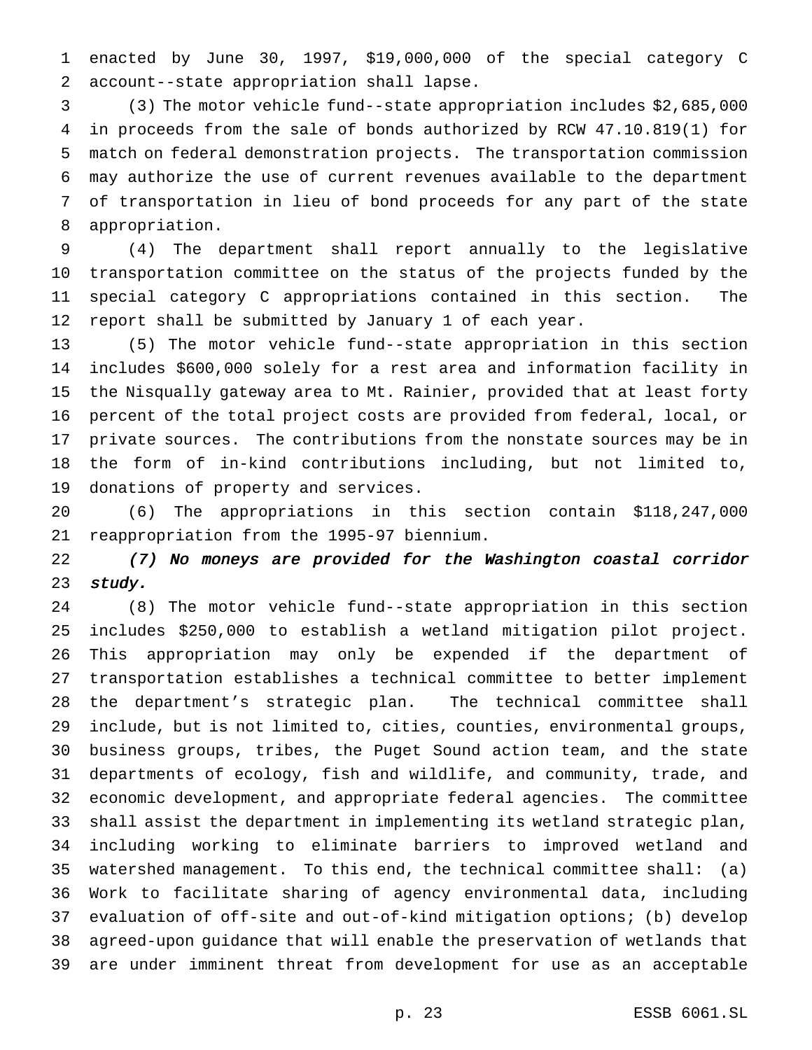enacted by June 30, 1997, \$19,000,000 of the special category C account--state appropriation shall lapse.

 (3) The motor vehicle fund--state appropriation includes \$2,685,000 in proceeds from the sale of bonds authorized by RCW 47.10.819(1) for match on federal demonstration projects. The transportation commission may authorize the use of current revenues available to the department of transportation in lieu of bond proceeds for any part of the state appropriation.

 (4) The department shall report annually to the legislative transportation committee on the status of the projects funded by the special category C appropriations contained in this section. The report shall be submitted by January 1 of each year.

 (5) The motor vehicle fund--state appropriation in this section includes \$600,000 solely for a rest area and information facility in the Nisqually gateway area to Mt. Rainier, provided that at least forty percent of the total project costs are provided from federal, local, or private sources. The contributions from the nonstate sources may be in the form of in-kind contributions including, but not limited to, donations of property and services.

 (6) The appropriations in this section contain \$118,247,000 reappropriation from the 1995-97 biennium.

 (7) No moneys are provided for the Washington coastal corridor 23 study.

 (8) The motor vehicle fund--state appropriation in this section includes \$250,000 to establish a wetland mitigation pilot project. This appropriation may only be expended if the department of transportation establishes a technical committee to better implement the department's strategic plan. The technical committee shall include, but is not limited to, cities, counties, environmental groups, business groups, tribes, the Puget Sound action team, and the state departments of ecology, fish and wildlife, and community, trade, and economic development, and appropriate federal agencies. The committee shall assist the department in implementing its wetland strategic plan, including working to eliminate barriers to improved wetland and watershed management. To this end, the technical committee shall: (a) Work to facilitate sharing of agency environmental data, including evaluation of off-site and out-of-kind mitigation options; (b) develop agreed-upon guidance that will enable the preservation of wetlands that are under imminent threat from development for use as an acceptable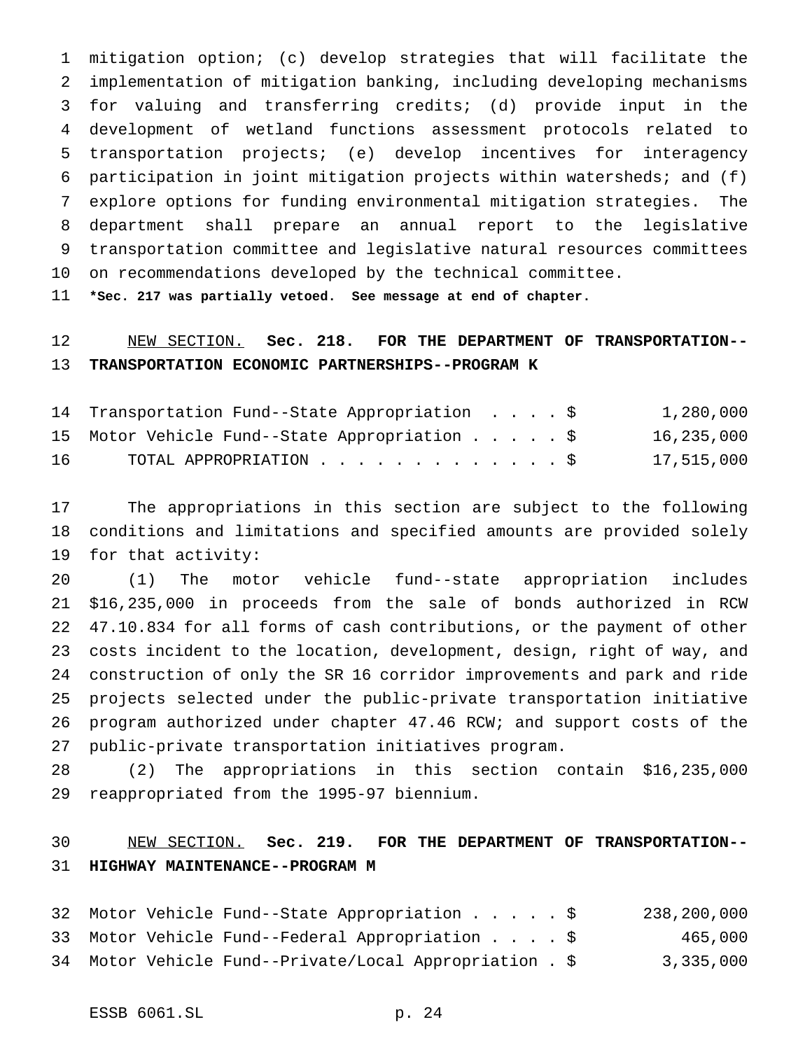mitigation option; (c) develop strategies that will facilitate the implementation of mitigation banking, including developing mechanisms for valuing and transferring credits; (d) provide input in the development of wetland functions assessment protocols related to transportation projects; (e) develop incentives for interagency participation in joint mitigation projects within watersheds; and (f) explore options for funding environmental mitigation strategies. The department shall prepare an annual report to the legislative transportation committee and legislative natural resources committees on recommendations developed by the technical committee.

**\*Sec. 217 was partially vetoed. See message at end of chapter.**

# NEW SECTION. **Sec. 218. FOR THE DEPARTMENT OF TRANSPORTATION-- TRANSPORTATION ECONOMIC PARTNERSHIPS--PROGRAM K**

|    | 14 Transportation Fund--State Appropriation \$ |  |  | 1,280,000  |
|----|------------------------------------------------|--|--|------------|
|    | 15 Motor Vehicle Fund--State Appropriation \$  |  |  | 16,235,000 |
| 16 | TOTAL APPROPRIATION \$                         |  |  | 17,515,000 |

 The appropriations in this section are subject to the following conditions and limitations and specified amounts are provided solely for that activity:

 (1) The motor vehicle fund--state appropriation includes \$16,235,000 in proceeds from the sale of bonds authorized in RCW 47.10.834 for all forms of cash contributions, or the payment of other costs incident to the location, development, design, right of way, and construction of only the SR 16 corridor improvements and park and ride projects selected under the public-private transportation initiative program authorized under chapter 47.46 RCW; and support costs of the public-private transportation initiatives program.

 (2) The appropriations in this section contain \$16,235,000 reappropriated from the 1995-97 biennium.

# NEW SECTION. **Sec. 219. FOR THE DEPARTMENT OF TRANSPORTATION-- HIGHWAY MAINTENANCE--PROGRAM M**

|  | 32 Motor Vehicle Fund--State Appropriation \$           |  | 238,200,000 |
|--|---------------------------------------------------------|--|-------------|
|  | 33 Motor Vehicle Fund--Federal Appropriation \$         |  | 465,000     |
|  | 34 Motor Vehicle Fund--Private/Local Appropriation . \$ |  | 3,335,000   |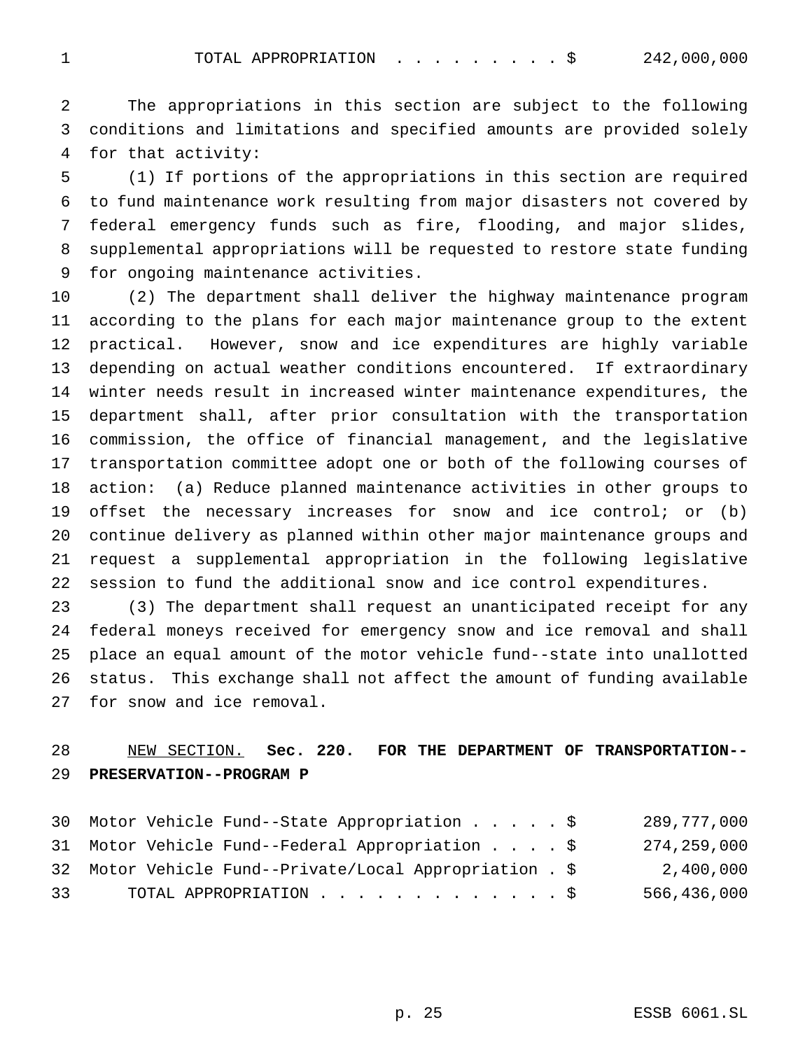1 TOTAL APPROPRIATION . . . . . . . . \$ 242,000,000

 The appropriations in this section are subject to the following conditions and limitations and specified amounts are provided solely for that activity:

 (1) If portions of the appropriations in this section are required to fund maintenance work resulting from major disasters not covered by federal emergency funds such as fire, flooding, and major slides, supplemental appropriations will be requested to restore state funding for ongoing maintenance activities.

 (2) The department shall deliver the highway maintenance program according to the plans for each major maintenance group to the extent practical. However, snow and ice expenditures are highly variable depending on actual weather conditions encountered. If extraordinary winter needs result in increased winter maintenance expenditures, the department shall, after prior consultation with the transportation commission, the office of financial management, and the legislative transportation committee adopt one or both of the following courses of action: (a) Reduce planned maintenance activities in other groups to offset the necessary increases for snow and ice control; or (b) continue delivery as planned within other major maintenance groups and request a supplemental appropriation in the following legislative session to fund the additional snow and ice control expenditures.

 (3) The department shall request an unanticipated receipt for any federal moneys received for emergency snow and ice removal and shall place an equal amount of the motor vehicle fund--state into unallotted status. This exchange shall not affect the amount of funding available for snow and ice removal.

# NEW SECTION. **Sec. 220. FOR THE DEPARTMENT OF TRANSPORTATION-- PRESERVATION--PROGRAM P**

|    | 30 Motor Vehicle Fund--State Appropriation \$           |  | 289,777,000 |
|----|---------------------------------------------------------|--|-------------|
|    | 31 Motor Vehicle Fund--Federal Appropriation \$         |  | 274,259,000 |
|    | 32 Motor Vehicle Fund--Private/Local Appropriation . \$ |  | 2,400,000   |
| 33 | TOTAL APPROPRIATION \$                                  |  | 566,436,000 |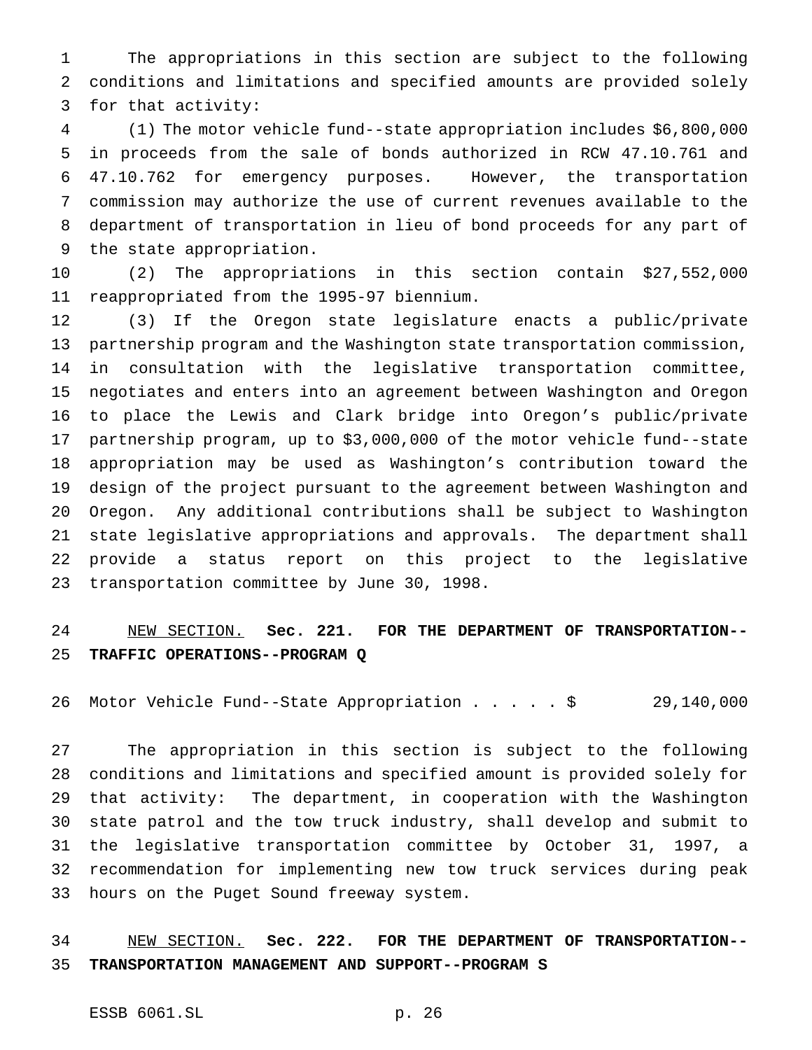The appropriations in this section are subject to the following conditions and limitations and specified amounts are provided solely for that activity:

 (1) The motor vehicle fund--state appropriation includes \$6,800,000 in proceeds from the sale of bonds authorized in RCW 47.10.761 and 47.10.762 for emergency purposes. However, the transportation commission may authorize the use of current revenues available to the department of transportation in lieu of bond proceeds for any part of the state appropriation.

 (2) The appropriations in this section contain \$27,552,000 reappropriated from the 1995-97 biennium.

 (3) If the Oregon state legislature enacts a public/private partnership program and the Washington state transportation commission, in consultation with the legislative transportation committee, negotiates and enters into an agreement between Washington and Oregon to place the Lewis and Clark bridge into Oregon's public/private partnership program, up to \$3,000,000 of the motor vehicle fund--state appropriation may be used as Washington's contribution toward the design of the project pursuant to the agreement between Washington and Oregon. Any additional contributions shall be subject to Washington state legislative appropriations and approvals. The department shall provide a status report on this project to the legislative transportation committee by June 30, 1998.

# NEW SECTION. **Sec. 221. FOR THE DEPARTMENT OF TRANSPORTATION-- TRAFFIC OPERATIONS--PROGRAM Q**

Motor Vehicle Fund--State Appropriation.....\$ 29,140,000

 The appropriation in this section is subject to the following conditions and limitations and specified amount is provided solely for that activity: The department, in cooperation with the Washington state patrol and the tow truck industry, shall develop and submit to the legislative transportation committee by October 31, 1997, a recommendation for implementing new tow truck services during peak hours on the Puget Sound freeway system.

## NEW SECTION. **Sec. 222. FOR THE DEPARTMENT OF TRANSPORTATION-- TRANSPORTATION MANAGEMENT AND SUPPORT--PROGRAM S**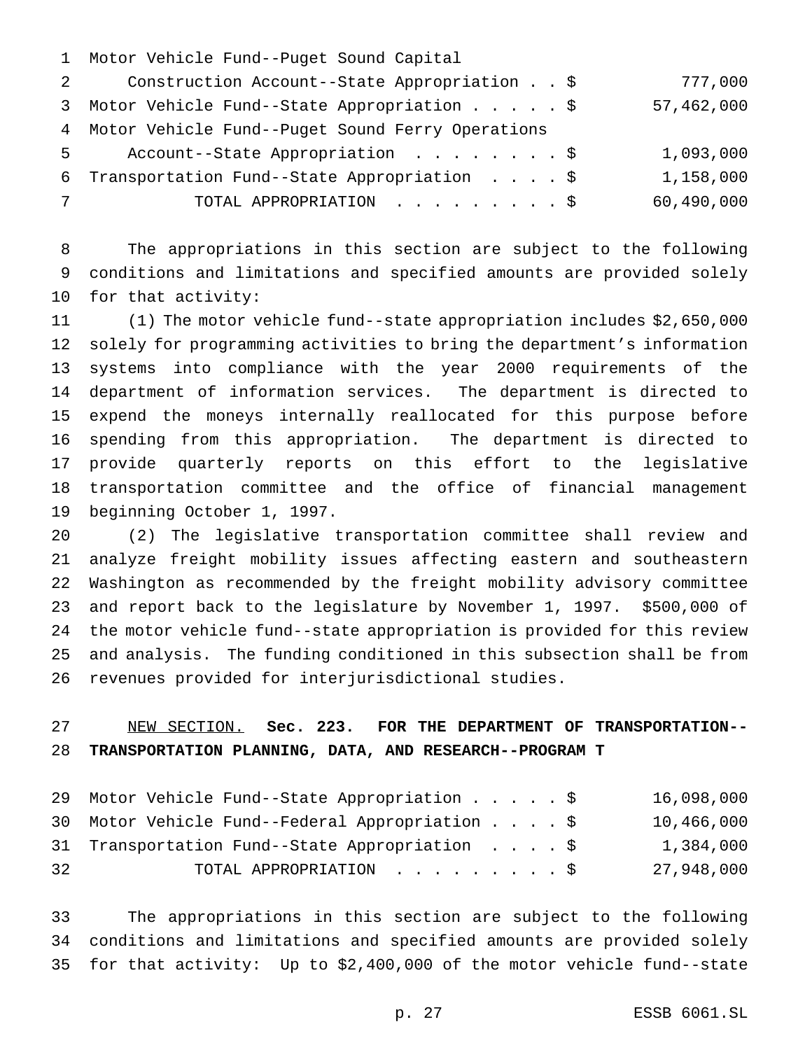|            | 1 Motor Vehicle Fund--Puget Sound Capital                      |            |
|------------|----------------------------------------------------------------|------------|
|            | Construction Account--State Appropriation \$<br>$\overline{2}$ | 777,000    |
|            | 3 Motor Vehicle Fund--State Appropriation \$                   | 57,462,000 |
|            | 4 Motor Vehicle Fund--Puget Sound Ferry Operations             |            |
|            | 5 Account--State Appropriation \$                              | 1,093,000  |
|            | 6 Transportation Fund--State Appropriation \$                  | 1,158,000  |
| $7\degree$ | TOTAL APPROPRIATION \$                                         | 60,490,000 |
|            |                                                                |            |

 The appropriations in this section are subject to the following conditions and limitations and specified amounts are provided solely for that activity:

 (1) The motor vehicle fund--state appropriation includes \$2,650,000 solely for programming activities to bring the department's information systems into compliance with the year 2000 requirements of the department of information services. The department is directed to expend the moneys internally reallocated for this purpose before spending from this appropriation. The department is directed to provide quarterly reports on this effort to the legislative transportation committee and the office of financial management beginning October 1, 1997.

 (2) The legislative transportation committee shall review and analyze freight mobility issues affecting eastern and southeastern Washington as recommended by the freight mobility advisory committee and report back to the legislature by November 1, 1997. \$500,000 of the motor vehicle fund--state appropriation is provided for this review and analysis. The funding conditioned in this subsection shall be from revenues provided for interjurisdictional studies.

# NEW SECTION. **Sec. 223. FOR THE DEPARTMENT OF TRANSPORTATION-- TRANSPORTATION PLANNING, DATA, AND RESEARCH--PROGRAM T**

|    | 29 Motor Vehicle Fund--State Appropriation \$   |  |  | 16,098,000 |
|----|-------------------------------------------------|--|--|------------|
|    | 30 Motor Vehicle Fund--Federal Appropriation \$ |  |  | 10,466,000 |
|    | 31 Transportation Fund--State Appropriation \$  |  |  | 1,384,000  |
| 32 | TOTAL APPROPRIATION \$                          |  |  | 27,948,000 |

 The appropriations in this section are subject to the following conditions and limitations and specified amounts are provided solely for that activity: Up to \$2,400,000 of the motor vehicle fund--state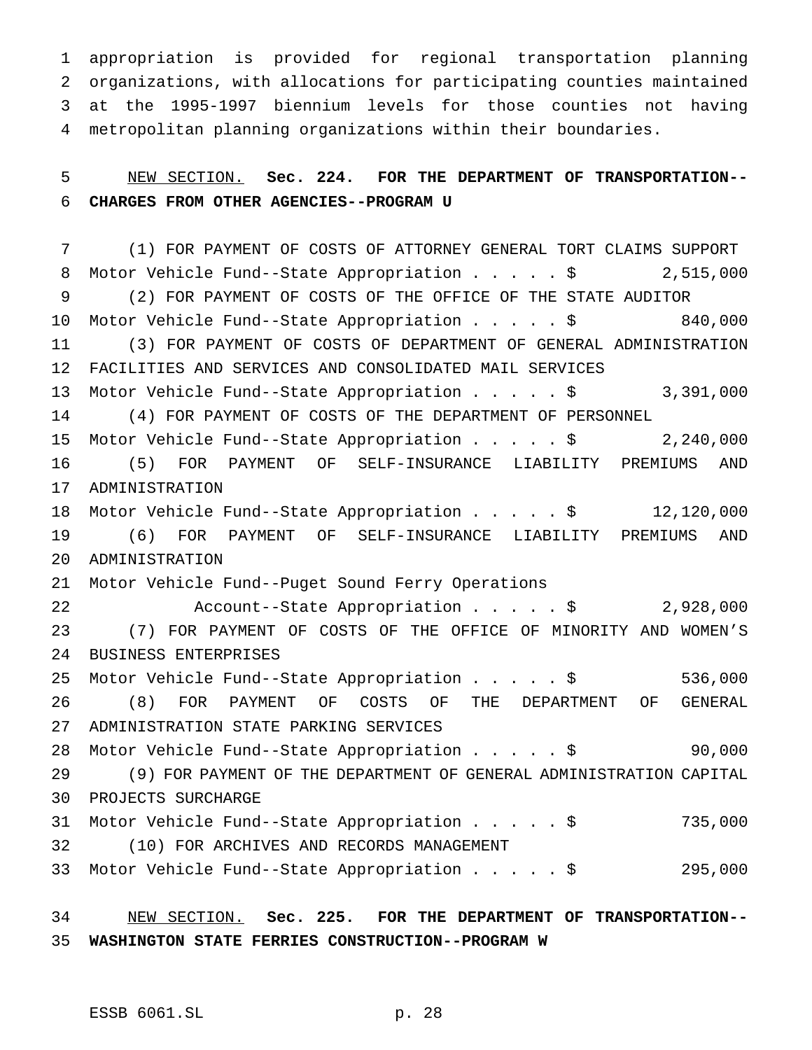appropriation is provided for regional transportation planning organizations, with allocations for participating counties maintained at the 1995-1997 biennium levels for those counties not having metropolitan planning organizations within their boundaries.

 NEW SECTION. **Sec. 224. FOR THE DEPARTMENT OF TRANSPORTATION-- CHARGES FROM OTHER AGENCIES--PROGRAM U**

 (1) FOR PAYMENT OF COSTS OF ATTORNEY GENERAL TORT CLAIMS SUPPORT 8 Motor Vehicle Fund--State Appropriation . . . . \$ 2,515,000 (2) FOR PAYMENT OF COSTS OF THE OFFICE OF THE STATE AUDITOR Motor Vehicle Fund--State Appropriation.....\$ 840,000 (3) FOR PAYMENT OF COSTS OF DEPARTMENT OF GENERAL ADMINISTRATION FACILITIES AND SERVICES AND CONSOLIDATED MAIL SERVICES Motor Vehicle Fund--State Appropriation.....\$ 3,391,000 (4) FOR PAYMENT OF COSTS OF THE DEPARTMENT OF PERSONNEL Motor Vehicle Fund--State Appropriation.....\$ 2,240,000 (5) FOR PAYMENT OF SELF-INSURANCE LIABILITY PREMIUMS AND ADMINISTRATION Motor Vehicle Fund--State Appropriation.....\$ 12,120,000 (6) FOR PAYMENT OF SELF-INSURANCE LIABILITY PREMIUMS AND ADMINISTRATION Motor Vehicle Fund--Puget Sound Ferry Operations Account--State Appropriation.....\$ 2,928,000 (7) FOR PAYMENT OF COSTS OF THE OFFICE OF MINORITY AND WOMEN'S BUSINESS ENTERPRISES Motor Vehicle Fund--State Appropriation.....\$ 536,000 (8) FOR PAYMENT OF COSTS OF THE DEPARTMENT OF GENERAL ADMINISTRATION STATE PARKING SERVICES Motor Vehicle Fund--State Appropriation.....\$ 90,000 (9) FOR PAYMENT OF THE DEPARTMENT OF GENERAL ADMINISTRATION CAPITAL PROJECTS SURCHARGE Motor Vehicle Fund--State Appropriation.....\$ 735,000 (10) FOR ARCHIVES AND RECORDS MANAGEMENT Motor Vehicle Fund--State Appropriation.....\$ 295,000

 NEW SECTION. **Sec. 225. FOR THE DEPARTMENT OF TRANSPORTATION-- WASHINGTON STATE FERRIES CONSTRUCTION--PROGRAM W**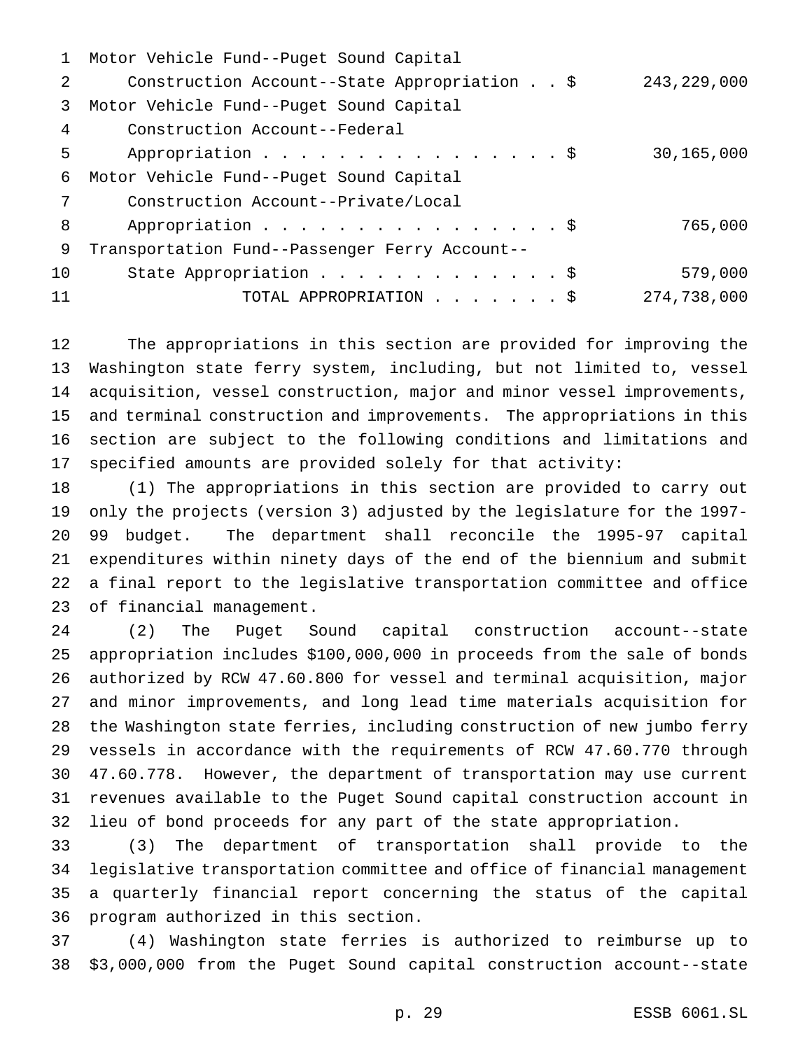|    | Motor Vehicle Fund--Puget Sound Capital        |               |
|----|------------------------------------------------|---------------|
| 2  | Construction Account--State Appropriation \$   | 243, 229, 000 |
| 3  | Motor Vehicle Fund--Puget Sound Capital        |               |
| 4  | Construction Account--Federal                  |               |
| 5  | Appropriation \$                               | 30,165,000    |
| 6  | Motor Vehicle Fund--Puget Sound Capital        |               |
| 7  | Construction Account--Private/Local            |               |
| 8  | Appropriation \$                               | 765,000       |
| 9  | Transportation Fund--Passenger Ferry Account-- |               |
| 10 | State Appropriation \$                         | 579,000       |
| 11 | TOTAL APPROPRIATION \$                         | 274,738,000   |

 The appropriations in this section are provided for improving the Washington state ferry system, including, but not limited to, vessel acquisition, vessel construction, major and minor vessel improvements, and terminal construction and improvements. The appropriations in this section are subject to the following conditions and limitations and specified amounts are provided solely for that activity:

 (1) The appropriations in this section are provided to carry out only the projects (version 3) adjusted by the legislature for the 1997- 99 budget. The department shall reconcile the 1995-97 capital expenditures within ninety days of the end of the biennium and submit a final report to the legislative transportation committee and office of financial management.

 (2) The Puget Sound capital construction account--state appropriation includes \$100,000,000 in proceeds from the sale of bonds authorized by RCW 47.60.800 for vessel and terminal acquisition, major and minor improvements, and long lead time materials acquisition for the Washington state ferries, including construction of new jumbo ferry vessels in accordance with the requirements of RCW 47.60.770 through 47.60.778. However, the department of transportation may use current revenues available to the Puget Sound capital construction account in lieu of bond proceeds for any part of the state appropriation.

 (3) The department of transportation shall provide to the legislative transportation committee and office of financial management a quarterly financial report concerning the status of the capital program authorized in this section.

 (4) Washington state ferries is authorized to reimburse up to \$3,000,000 from the Puget Sound capital construction account--state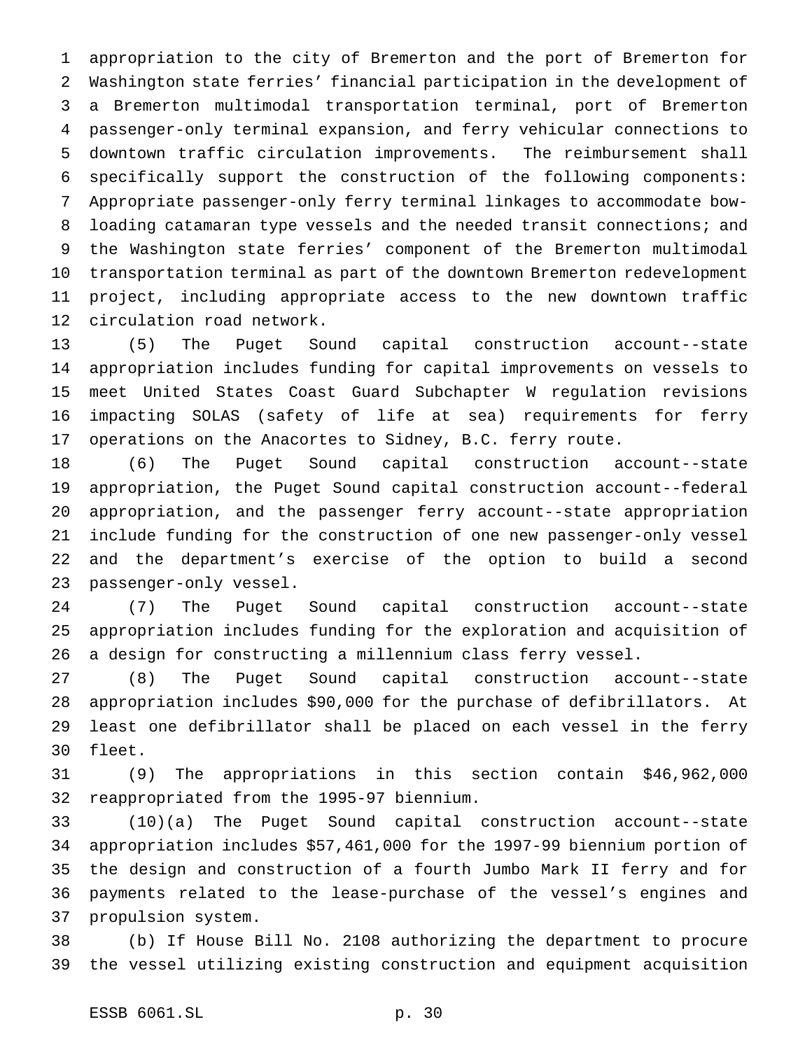appropriation to the city of Bremerton and the port of Bremerton for Washington state ferries' financial participation in the development of a Bremerton multimodal transportation terminal, port of Bremerton passenger-only terminal expansion, and ferry vehicular connections to downtown traffic circulation improvements. The reimbursement shall specifically support the construction of the following components: Appropriate passenger-only ferry terminal linkages to accommodate bow-8 loading catamaran type vessels and the needed transit connections; and the Washington state ferries' component of the Bremerton multimodal transportation terminal as part of the downtown Bremerton redevelopment project, including appropriate access to the new downtown traffic circulation road network.

 (5) The Puget Sound capital construction account--state appropriation includes funding for capital improvements on vessels to meet United States Coast Guard Subchapter W regulation revisions impacting SOLAS (safety of life at sea) requirements for ferry operations on the Anacortes to Sidney, B.C. ferry route.

 (6) The Puget Sound capital construction account--state appropriation, the Puget Sound capital construction account--federal appropriation, and the passenger ferry account--state appropriation include funding for the construction of one new passenger-only vessel and the department's exercise of the option to build a second passenger-only vessel.

 (7) The Puget Sound capital construction account--state appropriation includes funding for the exploration and acquisition of a design for constructing a millennium class ferry vessel.

 (8) The Puget Sound capital construction account--state appropriation includes \$90,000 for the purchase of defibrillators. At least one defibrillator shall be placed on each vessel in the ferry fleet.

 (9) The appropriations in this section contain \$46,962,000 reappropriated from the 1995-97 biennium.

 (10)(a) The Puget Sound capital construction account--state appropriation includes \$57,461,000 for the 1997-99 biennium portion of the design and construction of a fourth Jumbo Mark II ferry and for payments related to the lease-purchase of the vessel's engines and propulsion system.

 (b) If House Bill No. 2108 authorizing the department to procure the vessel utilizing existing construction and equipment acquisition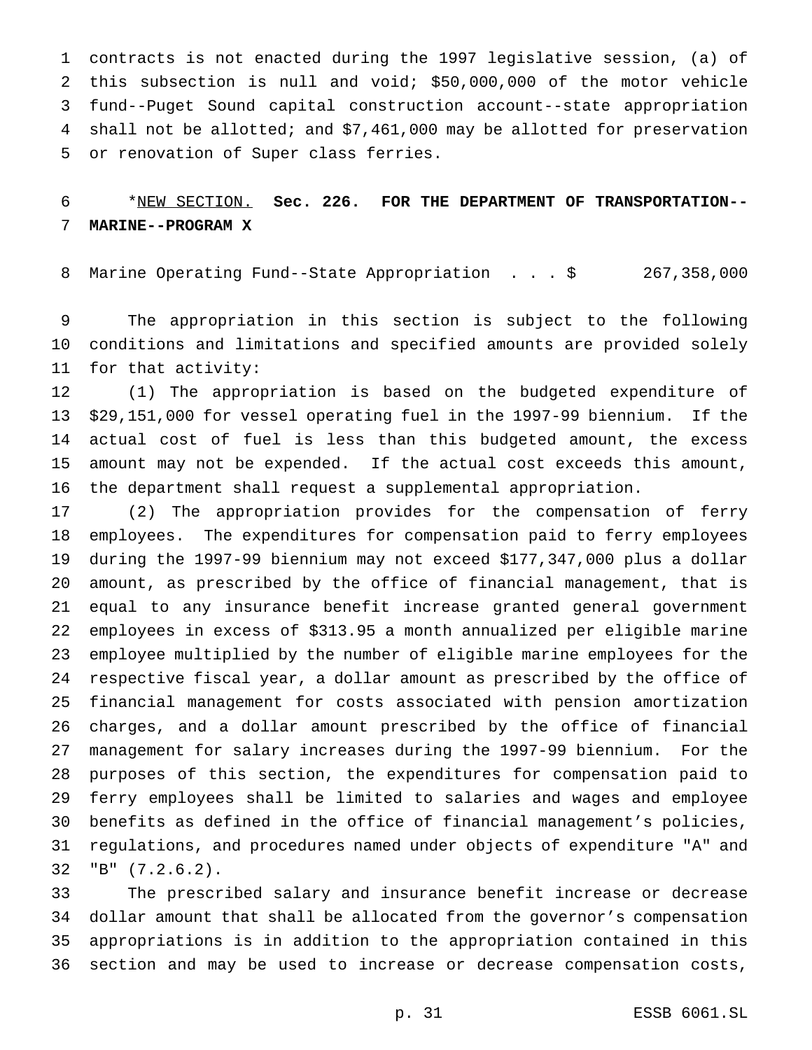contracts is not enacted during the 1997 legislative session, (a) of this subsection is null and void; \$50,000,000 of the motor vehicle fund--Puget Sound capital construction account--state appropriation shall not be allotted; and \$7,461,000 may be allotted for preservation or renovation of Super class ferries.

# \*NEW SECTION. **Sec. 226. FOR THE DEPARTMENT OF TRANSPORTATION-- MARINE--PROGRAM X**

Marine Operating Fund--State Appropriation ...\$ 267,358,000

 The appropriation in this section is subject to the following conditions and limitations and specified amounts are provided solely for that activity:

 (1) The appropriation is based on the budgeted expenditure of \$29,151,000 for vessel operating fuel in the 1997-99 biennium. If the actual cost of fuel is less than this budgeted amount, the excess amount may not be expended. If the actual cost exceeds this amount, the department shall request a supplemental appropriation.

 (2) The appropriation provides for the compensation of ferry employees. The expenditures for compensation paid to ferry employees during the 1997-99 biennium may not exceed \$177,347,000 plus a dollar amount, as prescribed by the office of financial management, that is equal to any insurance benefit increase granted general government employees in excess of \$313.95 a month annualized per eligible marine employee multiplied by the number of eligible marine employees for the respective fiscal year, a dollar amount as prescribed by the office of financial management for costs associated with pension amortization charges, and a dollar amount prescribed by the office of financial management for salary increases during the 1997-99 biennium. For the purposes of this section, the expenditures for compensation paid to ferry employees shall be limited to salaries and wages and employee benefits as defined in the office of financial management's policies, regulations, and procedures named under objects of expenditure "A" and "B" (7.2.6.2).

 The prescribed salary and insurance benefit increase or decrease dollar amount that shall be allocated from the governor's compensation appropriations is in addition to the appropriation contained in this section and may be used to increase or decrease compensation costs,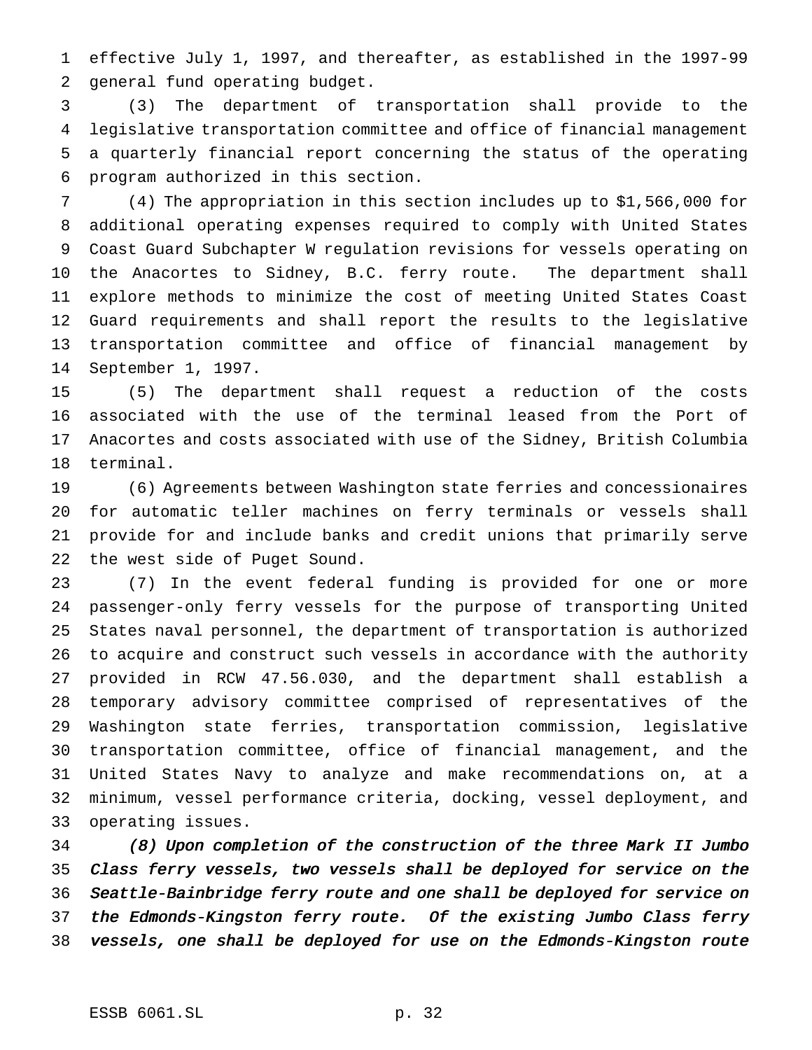effective July 1, 1997, and thereafter, as established in the 1997-99 general fund operating budget.

 (3) The department of transportation shall provide to the legislative transportation committee and office of financial management a quarterly financial report concerning the status of the operating program authorized in this section.

 (4) The appropriation in this section includes up to \$1,566,000 for additional operating expenses required to comply with United States Coast Guard Subchapter W regulation revisions for vessels operating on the Anacortes to Sidney, B.C. ferry route. The department shall explore methods to minimize the cost of meeting United States Coast Guard requirements and shall report the results to the legislative transportation committee and office of financial management by September 1, 1997.

 (5) The department shall request a reduction of the costs associated with the use of the terminal leased from the Port of Anacortes and costs associated with use of the Sidney, British Columbia terminal.

 (6) Agreements between Washington state ferries and concessionaires for automatic teller machines on ferry terminals or vessels shall provide for and include banks and credit unions that primarily serve the west side of Puget Sound.

 (7) In the event federal funding is provided for one or more passenger-only ferry vessels for the purpose of transporting United States naval personnel, the department of transportation is authorized to acquire and construct such vessels in accordance with the authority provided in RCW 47.56.030, and the department shall establish a temporary advisory committee comprised of representatives of the Washington state ferries, transportation commission, legislative transportation committee, office of financial management, and the United States Navy to analyze and make recommendations on, at a minimum, vessel performance criteria, docking, vessel deployment, and operating issues.

 (8) Upon completion of the construction of the three Mark II Jumbo Class ferry vessels, two vessels shall be deployed for service on the Seattle-Bainbridge ferry route and one shall be deployed for service on the Edmonds-Kingston ferry route. Of the existing Jumbo Class ferry vessels, one shall be deployed for use on the Edmonds-Kingston route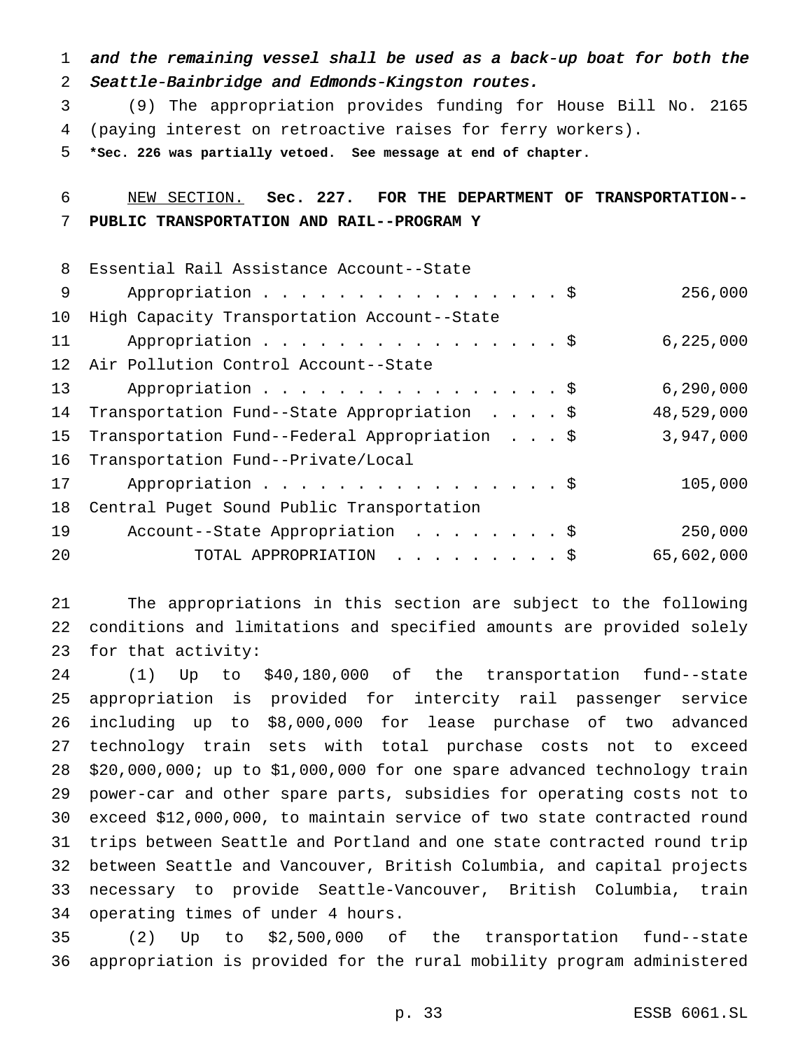and the remaining vessel shall be used as <sup>a</sup> back-up boat for both the Seattle-Bainbridge and Edmonds-Kingston routes.

 (9) The appropriation provides funding for House Bill No. 2165 (paying interest on retroactive raises for ferry workers).

**\*Sec. 226 was partially vetoed. See message at end of chapter.**

# NEW SECTION. **Sec. 227. FOR THE DEPARTMENT OF TRANSPORTATION-- PUBLIC TRANSPORTATION AND RAIL--PROGRAM Y**

| 8               | Essential Rail Assistance Account--State      |             |
|-----------------|-----------------------------------------------|-------------|
| 9               | Appropriation \$                              | 256,000     |
| 10 <sub>1</sub> | High Capacity Transportation Account--State   |             |
| 11              | Appropriation \$                              | 6, 225, 000 |
| 12 <sup>°</sup> | Air Pollution Control Account--State          |             |
| 13              | Appropriation \$                              | 6, 290, 000 |
| 14              | Transportation Fund--State Appropriation \$   | 48,529,000  |
| 15 <sub>1</sub> | Transportation Fund--Federal Appropriation \$ | 3,947,000   |
| 16              | Transportation Fund--Private/Local            |             |
| 17              | Appropriation \$                              | 105,000     |
| 18              | Central Puget Sound Public Transportation     |             |
| 19              | Account--State Appropriation \$               | 250,000     |
| 20              | TOTAL APPROPRIATION \$                        | 65,602,000  |
|                 |                                               |             |

 The appropriations in this section are subject to the following conditions and limitations and specified amounts are provided solely for that activity:

 (1) Up to \$40,180,000 of the transportation fund--state appropriation is provided for intercity rail passenger service including up to \$8,000,000 for lease purchase of two advanced technology train sets with total purchase costs not to exceed \$20,000,000; up to \$1,000,000 for one spare advanced technology train power-car and other spare parts, subsidies for operating costs not to exceed \$12,000,000, to maintain service of two state contracted round trips between Seattle and Portland and one state contracted round trip between Seattle and Vancouver, British Columbia, and capital projects necessary to provide Seattle-Vancouver, British Columbia, train operating times of under 4 hours.

 (2) Up to \$2,500,000 of the transportation fund--state appropriation is provided for the rural mobility program administered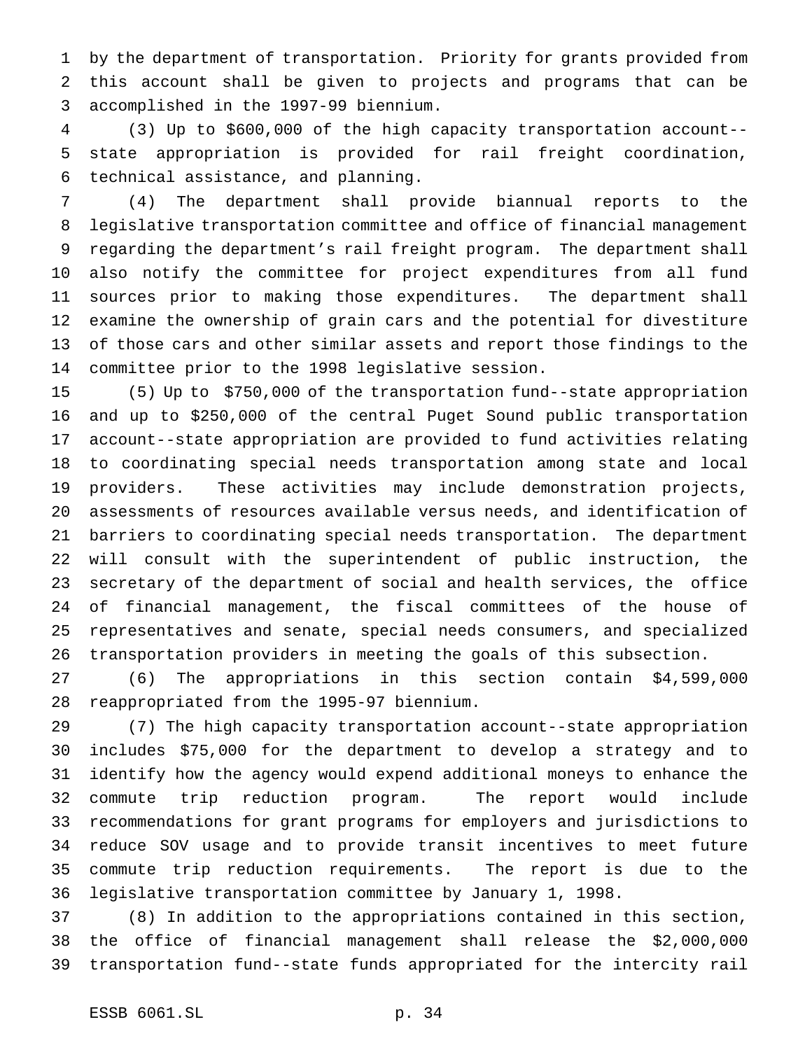by the department of transportation. Priority for grants provided from this account shall be given to projects and programs that can be accomplished in the 1997-99 biennium.

 (3) Up to \$600,000 of the high capacity transportation account-- state appropriation is provided for rail freight coordination, technical assistance, and planning.

 (4) The department shall provide biannual reports to the legislative transportation committee and office of financial management regarding the department's rail freight program. The department shall also notify the committee for project expenditures from all fund sources prior to making those expenditures. The department shall examine the ownership of grain cars and the potential for divestiture of those cars and other similar assets and report those findings to the committee prior to the 1998 legislative session.

 (5) Up to \$750,000 of the transportation fund--state appropriation and up to \$250,000 of the central Puget Sound public transportation account--state appropriation are provided to fund activities relating to coordinating special needs transportation among state and local providers. These activities may include demonstration projects, assessments of resources available versus needs, and identification of barriers to coordinating special needs transportation. The department will consult with the superintendent of public instruction, the secretary of the department of social and health services, the office of financial management, the fiscal committees of the house of representatives and senate, special needs consumers, and specialized transportation providers in meeting the goals of this subsection.

 (6) The appropriations in this section contain \$4,599,000 reappropriated from the 1995-97 biennium.

 (7) The high capacity transportation account--state appropriation includes \$75,000 for the department to develop a strategy and to identify how the agency would expend additional moneys to enhance the commute trip reduction program. The report would include recommendations for grant programs for employers and jurisdictions to reduce SOV usage and to provide transit incentives to meet future commute trip reduction requirements. The report is due to the legislative transportation committee by January 1, 1998.

 (8) In addition to the appropriations contained in this section, the office of financial management shall release the \$2,000,000 transportation fund--state funds appropriated for the intercity rail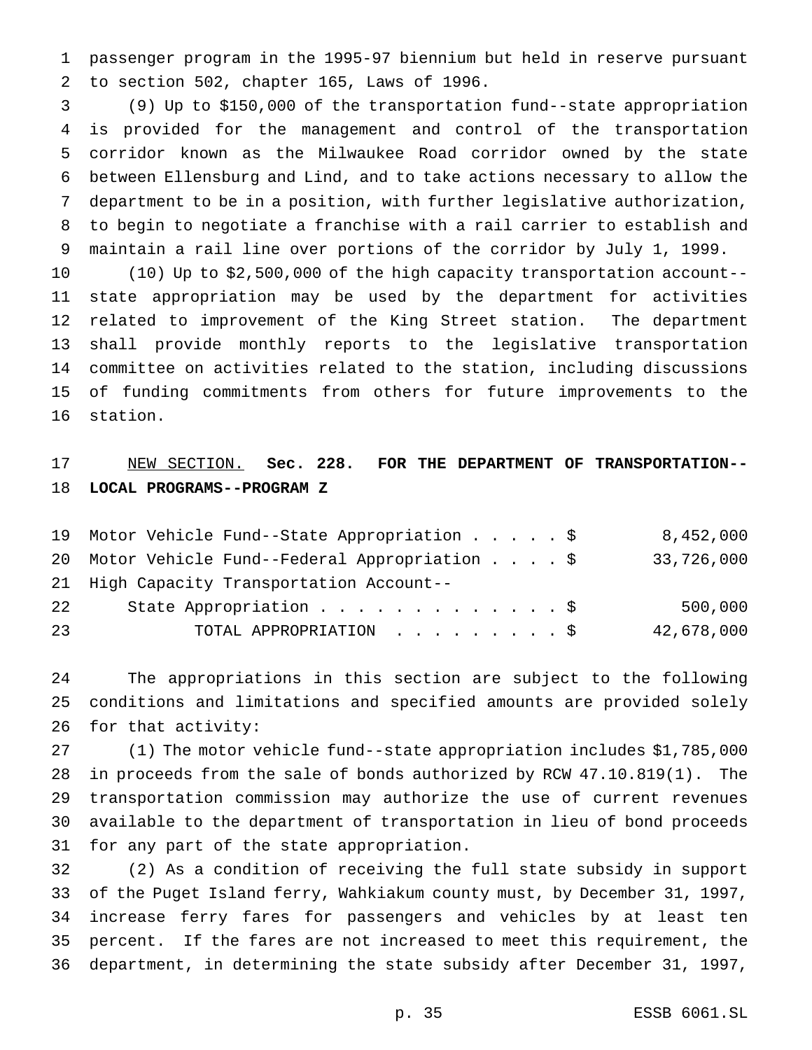passenger program in the 1995-97 biennium but held in reserve pursuant to section 502, chapter 165, Laws of 1996.

 (9) Up to \$150,000 of the transportation fund--state appropriation is provided for the management and control of the transportation corridor known as the Milwaukee Road corridor owned by the state between Ellensburg and Lind, and to take actions necessary to allow the department to be in a position, with further legislative authorization, to begin to negotiate a franchise with a rail carrier to establish and maintain a rail line over portions of the corridor by July 1, 1999.

 (10) Up to \$2,500,000 of the high capacity transportation account-- state appropriation may be used by the department for activities related to improvement of the King Street station. The department shall provide monthly reports to the legislative transportation committee on activities related to the station, including discussions of funding commitments from others for future improvements to the station.

## NEW SECTION. **Sec. 228. FOR THE DEPARTMENT OF TRANSPORTATION-- LOCAL PROGRAMS--PROGRAM Z**

|    | 19 Motor Vehicle Fund--State Appropriation \$   | 8,452,000  |
|----|-------------------------------------------------|------------|
|    | 20 Motor Vehicle Fund--Federal Appropriation \$ | 33,726,000 |
|    | 21 High Capacity Transportation Account--       |            |
| 22 | State Appropriation \$                          | 500,000    |
| 23 | TOTAL APPROPRIATION \$                          | 42,678,000 |

 The appropriations in this section are subject to the following conditions and limitations and specified amounts are provided solely for that activity:

 (1) The motor vehicle fund--state appropriation includes \$1,785,000 in proceeds from the sale of bonds authorized by RCW 47.10.819(1). The transportation commission may authorize the use of current revenues available to the department of transportation in lieu of bond proceeds for any part of the state appropriation.

 (2) As a condition of receiving the full state subsidy in support of the Puget Island ferry, Wahkiakum county must, by December 31, 1997, increase ferry fares for passengers and vehicles by at least ten percent. If the fares are not increased to meet this requirement, the department, in determining the state subsidy after December 31, 1997,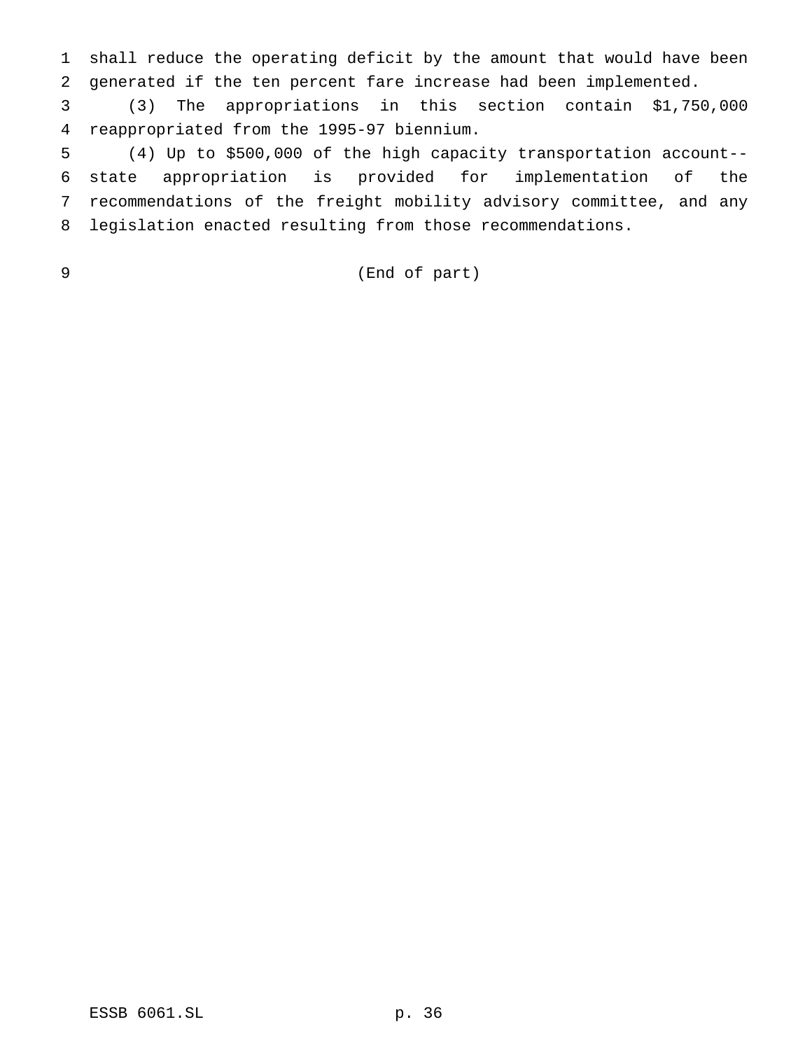shall reduce the operating deficit by the amount that would have been generated if the ten percent fare increase had been implemented.

 (3) The appropriations in this section contain \$1,750,000 reappropriated from the 1995-97 biennium.

 (4) Up to \$500,000 of the high capacity transportation account-- state appropriation is provided for implementation of the recommendations of the freight mobility advisory committee, and any legislation enacted resulting from those recommendations.

## (End of part)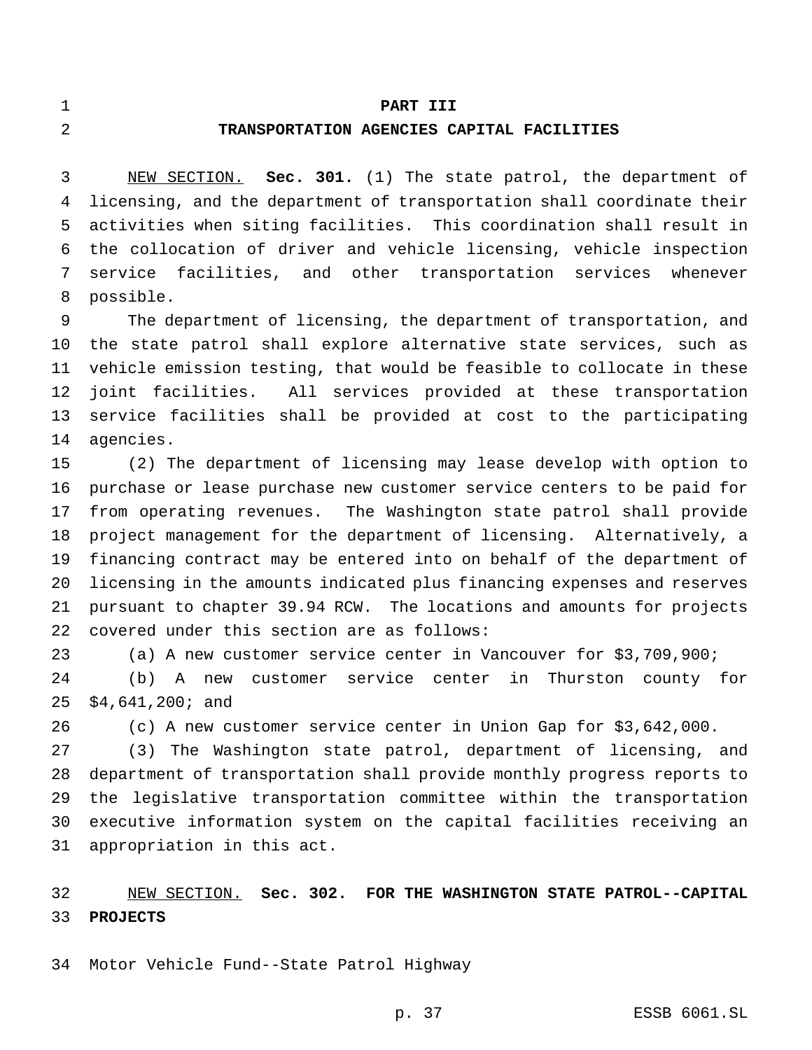#### **PART III**

#### **TRANSPORTATION AGENCIES CAPITAL FACILITIES**

 NEW SECTION. **Sec. 301.** (1) The state patrol, the department of licensing, and the department of transportation shall coordinate their activities when siting facilities. This coordination shall result in the collocation of driver and vehicle licensing, vehicle inspection service facilities, and other transportation services whenever possible.

 The department of licensing, the department of transportation, and the state patrol shall explore alternative state services, such as vehicle emission testing, that would be feasible to collocate in these joint facilities. All services provided at these transportation service facilities shall be provided at cost to the participating agencies.

 (2) The department of licensing may lease develop with option to purchase or lease purchase new customer service centers to be paid for from operating revenues. The Washington state patrol shall provide project management for the department of licensing. Alternatively, a financing contract may be entered into on behalf of the department of licensing in the amounts indicated plus financing expenses and reserves pursuant to chapter 39.94 RCW. The locations and amounts for projects covered under this section are as follows:

(a) A new customer service center in Vancouver for \$3,709,900;

 (b) A new customer service center in Thurston county for \$4,641,200; and

(c) A new customer service center in Union Gap for \$3,642,000.

 (3) The Washington state patrol, department of licensing, and department of transportation shall provide monthly progress reports to the legislative transportation committee within the transportation executive information system on the capital facilities receiving an appropriation in this act.

 NEW SECTION. **Sec. 302. FOR THE WASHINGTON STATE PATROL--CAPITAL PROJECTS**

Motor Vehicle Fund--State Patrol Highway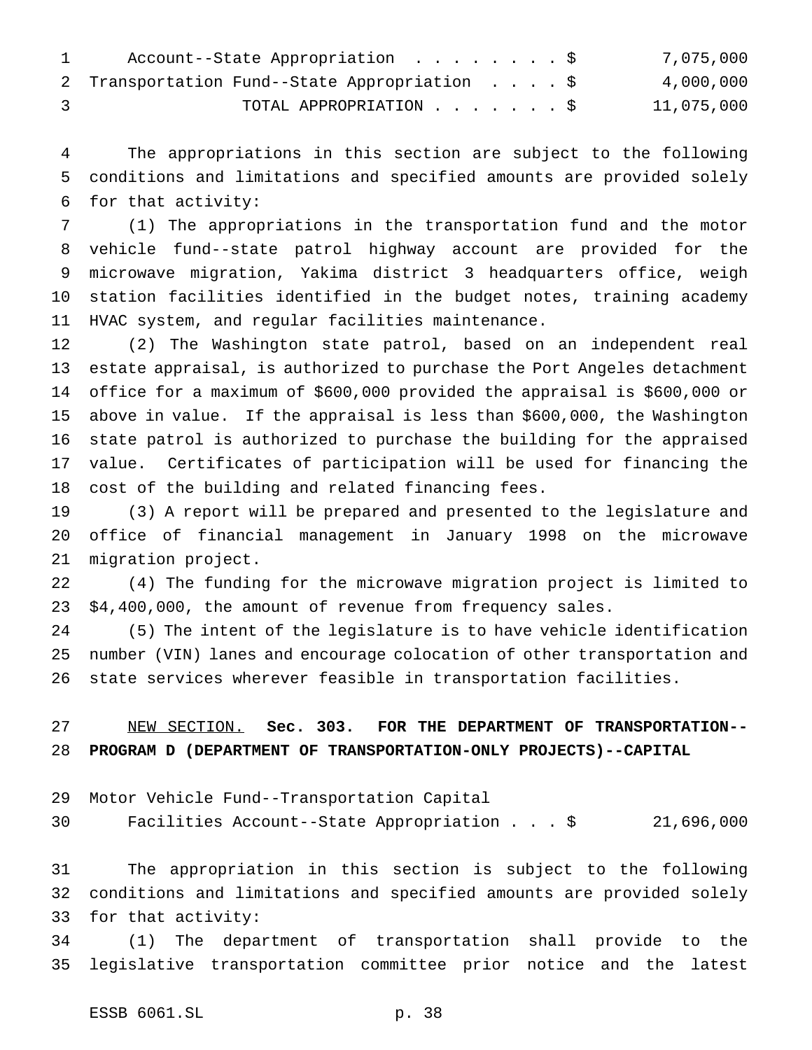| $\mathbf{1}$ | Account--State Appropriation \$               |  |  | 7,075,000  |
|--------------|-----------------------------------------------|--|--|------------|
|              | 2 Transportation Fund--State Appropriation \$ |  |  | 4,000,000  |
|              | TOTAL APPROPRIATION \$                        |  |  | 11,075,000 |

 The appropriations in this section are subject to the following conditions and limitations and specified amounts are provided solely for that activity:

 (1) The appropriations in the transportation fund and the motor vehicle fund--state patrol highway account are provided for the microwave migration, Yakima district 3 headquarters office, weigh station facilities identified in the budget notes, training academy HVAC system, and regular facilities maintenance.

 (2) The Washington state patrol, based on an independent real estate appraisal, is authorized to purchase the Port Angeles detachment office for a maximum of \$600,000 provided the appraisal is \$600,000 or above in value. If the appraisal is less than \$600,000, the Washington state patrol is authorized to purchase the building for the appraised value. Certificates of participation will be used for financing the cost of the building and related financing fees.

 (3) A report will be prepared and presented to the legislature and office of financial management in January 1998 on the microwave migration project.

 (4) The funding for the microwave migration project is limited to \$4,400,000, the amount of revenue from frequency sales.

 (5) The intent of the legislature is to have vehicle identification number (VIN) lanes and encourage colocation of other transportation and state services wherever feasible in transportation facilities.

 NEW SECTION. **Sec. 303. FOR THE DEPARTMENT OF TRANSPORTATION-- PROGRAM D (DEPARTMENT OF TRANSPORTATION-ONLY PROJECTS)--CAPITAL**

Motor Vehicle Fund--Transportation Capital

Facilities Account--State Appropriation...\$ 21,696,000

 The appropriation in this section is subject to the following conditions and limitations and specified amounts are provided solely for that activity:

 (1) The department of transportation shall provide to the legislative transportation committee prior notice and the latest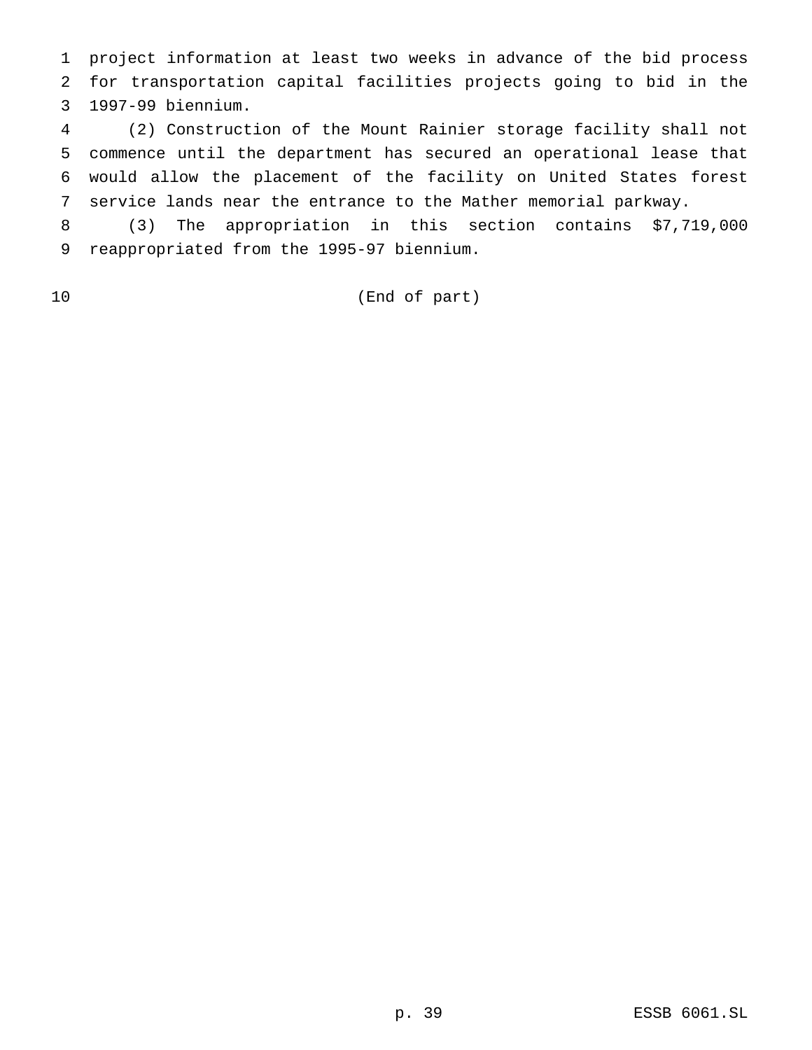project information at least two weeks in advance of the bid process for transportation capital facilities projects going to bid in the 1997-99 biennium.

 (2) Construction of the Mount Rainier storage facility shall not commence until the department has secured an operational lease that would allow the placement of the facility on United States forest service lands near the entrance to the Mather memorial parkway.

 (3) The appropriation in this section contains \$7,719,000 reappropriated from the 1995-97 biennium.

(End of part)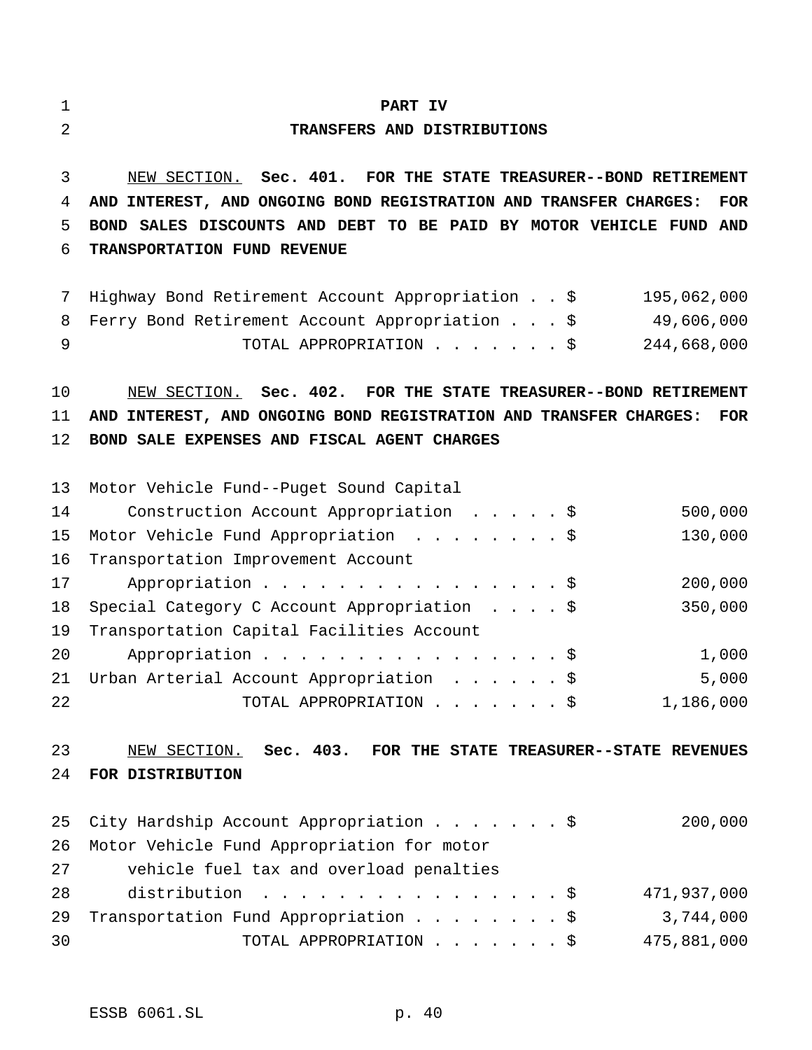#### **PART IV**

#### **TRANSFERS AND DISTRIBUTIONS**

 NEW SECTION. **Sec. 401. FOR THE STATE TREASURER--BOND RETIREMENT AND INTEREST, AND ONGOING BOND REGISTRATION AND TRANSFER CHARGES: FOR BOND SALES DISCOUNTS AND DEBT TO BE PAID BY MOTOR VEHICLE FUND AND TRANSPORTATION FUND REVENUE**

 Highway Bond Retirement Account Appropriation..\$ 195,062,000 Ferry Bond Retirement Account Appropriation...\$ 49,606,000 TOTAL APPROPRIATION.......\$ 244,668,000

 NEW SECTION. **Sec. 402. FOR THE STATE TREASURER--BOND RETIREMENT AND INTEREST, AND ONGOING BOND REGISTRATION AND TRANSFER CHARGES: FOR BOND SALE EXPENSES AND FISCAL AGENT CHARGES**

|    | 13 Motor Vehicle Fund--Puget Sound Capital     |  |  |           |
|----|------------------------------------------------|--|--|-----------|
| 14 | Construction Account Appropriation \$          |  |  | 500,000   |
|    | 15 Motor Vehicle Fund Appropriation \$         |  |  | 130,000   |
|    | 16 Transportation Improvement Account          |  |  |           |
| 17 | Appropriation \$                               |  |  | 200,000   |
|    | 18 Special Category C Account Appropriation \$ |  |  | 350,000   |
| 19 | Transportation Capital Facilities Account      |  |  |           |
| 20 | Appropriation \$                               |  |  | 1,000     |
|    | 21 Urban Arterial Account Appropriation \$     |  |  | 5,000     |
| 22 | TOTAL APPROPRIATION \$                         |  |  | 1,186,000 |

## NEW SECTION. **Sec. 403. FOR THE STATE TREASURER--STATE REVENUES FOR DISTRIBUTION**

|    | 25 City Hardship Account Appropriation \$     | 200,000     |
|----|-----------------------------------------------|-------------|
|    | 26 Motor Vehicle Fund Appropriation for motor |             |
| 27 | vehicle fuel tax and overload penalties       |             |
| 28 | distribution \$                               | 471,937,000 |
| 29 | Transportation Fund Appropriation \$          | 3,744,000   |
| 30 | TOTAL APPROPRIATION \$                        | 475,881,000 |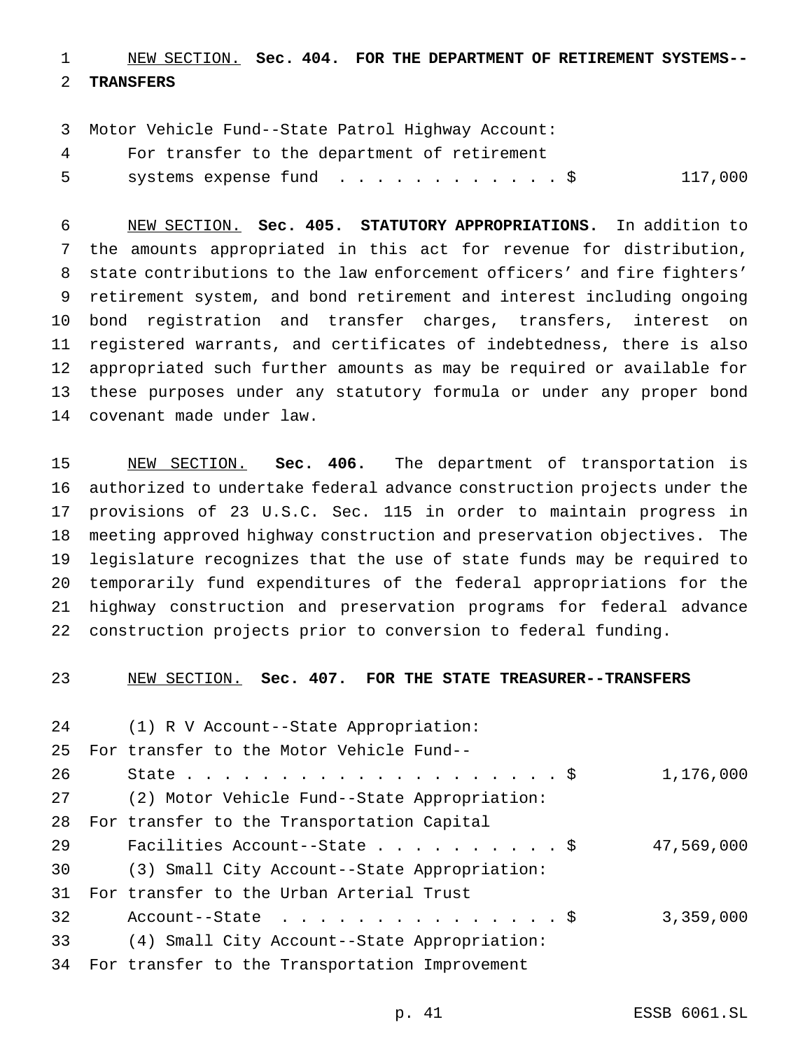NEW SECTION. **Sec. 404. FOR THE DEPARTMENT OF RETIREMENT SYSTEMS--**

## **TRANSFERS**

Motor Vehicle Fund--State Patrol Highway Account:

For transfer to the department of retirement

systems expense fund ............\$ 117,000

 NEW SECTION. **Sec. 405. STATUTORY APPROPRIATIONS.** In addition to the amounts appropriated in this act for revenue for distribution, state contributions to the law enforcement officers' and fire fighters' retirement system, and bond retirement and interest including ongoing bond registration and transfer charges, transfers, interest on registered warrants, and certificates of indebtedness, there is also appropriated such further amounts as may be required or available for these purposes under any statutory formula or under any proper bond covenant made under law.

 NEW SECTION. **Sec. 406.** The department of transportation is authorized to undertake federal advance construction projects under the provisions of 23 U.S.C. Sec. 115 in order to maintain progress in meeting approved highway construction and preservation objectives. The legislature recognizes that the use of state funds may be required to temporarily fund expenditures of the federal appropriations for the highway construction and preservation programs for federal advance construction projects prior to conversion to federal funding.

NEW SECTION. **Sec. 407. FOR THE STATE TREASURER--TRANSFERS**

| 24 | (1) R V Account--State Appropriation:          |            |
|----|------------------------------------------------|------------|
| 25 | For transfer to the Motor Vehicle Fund--       |            |
| 26 |                                                | 1,176,000  |
| 27 | (2) Motor Vehicle Fund--State Appropriation:   |            |
| 28 | For transfer to the Transportation Capital     |            |
| 29 | Facilities Account--State \$                   | 47,569,000 |
| 30 | (3) Small City Account--State Appropriation:   |            |
| 31 | For transfer to the Urban Arterial Trust       |            |
| 32 | Account--State $\ldots$ \$                     | 3,359,000  |
| 33 | (4) Small City Account--State Appropriation:   |            |
| 34 | For transfer to the Transportation Improvement |            |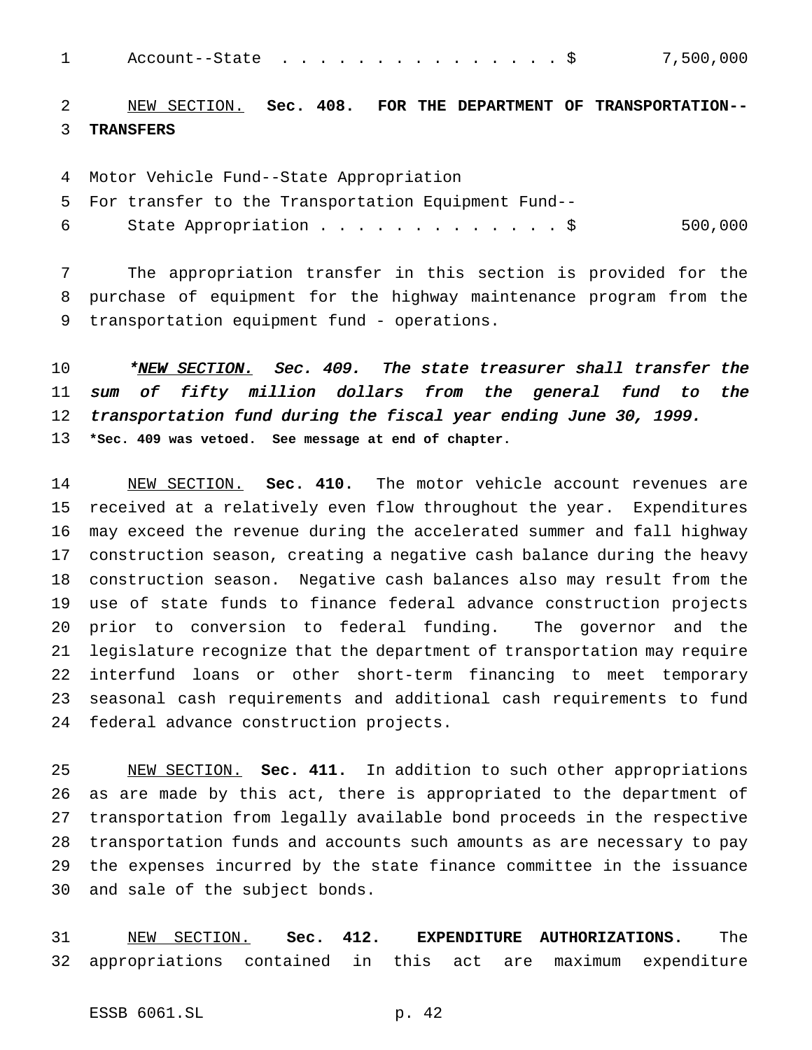1 Account--State . . . . . . . . . . . . . . \$ 7,500,000

 NEW SECTION. **Sec. 408. FOR THE DEPARTMENT OF TRANSPORTATION-- TRANSFERS**

Motor Vehicle Fund--State Appropriation

- For transfer to the Transportation Equipment Fund--
- State Appropriation.............\$ 500,000

 The appropriation transfer in this section is provided for the purchase of equipment for the highway maintenance program from the transportation equipment fund - operations.

10 \*NEW SECTION. Sec. 409. The state treasurer shall transfer the sum of fifty million dollars from the general fund to the transportation fund during the fiscal year ending June 30, 1999. **\*Sec. 409 was vetoed. See message at end of chapter.**

 NEW SECTION. **Sec. 410.** The motor vehicle account revenues are received at a relatively even flow throughout the year. Expenditures may exceed the revenue during the accelerated summer and fall highway construction season, creating a negative cash balance during the heavy construction season. Negative cash balances also may result from the use of state funds to finance federal advance construction projects prior to conversion to federal funding. The governor and the legislature recognize that the department of transportation may require interfund loans or other short-term financing to meet temporary seasonal cash requirements and additional cash requirements to fund federal advance construction projects.

 NEW SECTION. **Sec. 411.** In addition to such other appropriations as are made by this act, there is appropriated to the department of transportation from legally available bond proceeds in the respective transportation funds and accounts such amounts as are necessary to pay the expenses incurred by the state finance committee in the issuance and sale of the subject bonds.

 NEW SECTION. **Sec. 412. EXPENDITURE AUTHORIZATIONS.** The appropriations contained in this act are maximum expenditure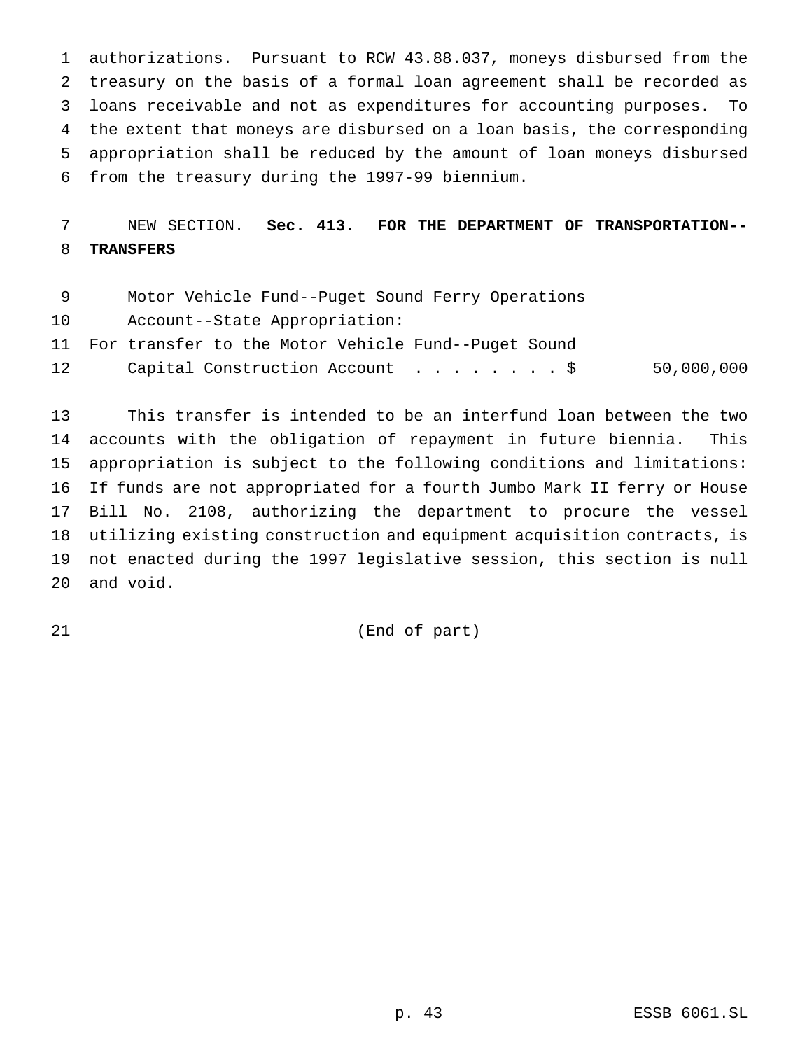authorizations. Pursuant to RCW 43.88.037, moneys disbursed from the treasury on the basis of a formal loan agreement shall be recorded as loans receivable and not as expenditures for accounting purposes. To the extent that moneys are disbursed on a loan basis, the corresponding appropriation shall be reduced by the amount of loan moneys disbursed from the treasury during the 1997-99 biennium.

# NEW SECTION. **Sec. 413. FOR THE DEPARTMENT OF TRANSPORTATION-- TRANSFERS**

- Motor Vehicle Fund--Puget Sound Ferry Operations
- Account--State Appropriation:
- For transfer to the Motor Vehicle Fund--Puget Sound
- Capital Construction Account ........\$ 50,000,000

 This transfer is intended to be an interfund loan between the two accounts with the obligation of repayment in future biennia. This appropriation is subject to the following conditions and limitations: If funds are not appropriated for a fourth Jumbo Mark II ferry or House Bill No. 2108, authorizing the department to procure the vessel utilizing existing construction and equipment acquisition contracts, is not enacted during the 1997 legislative session, this section is null and void.

(End of part)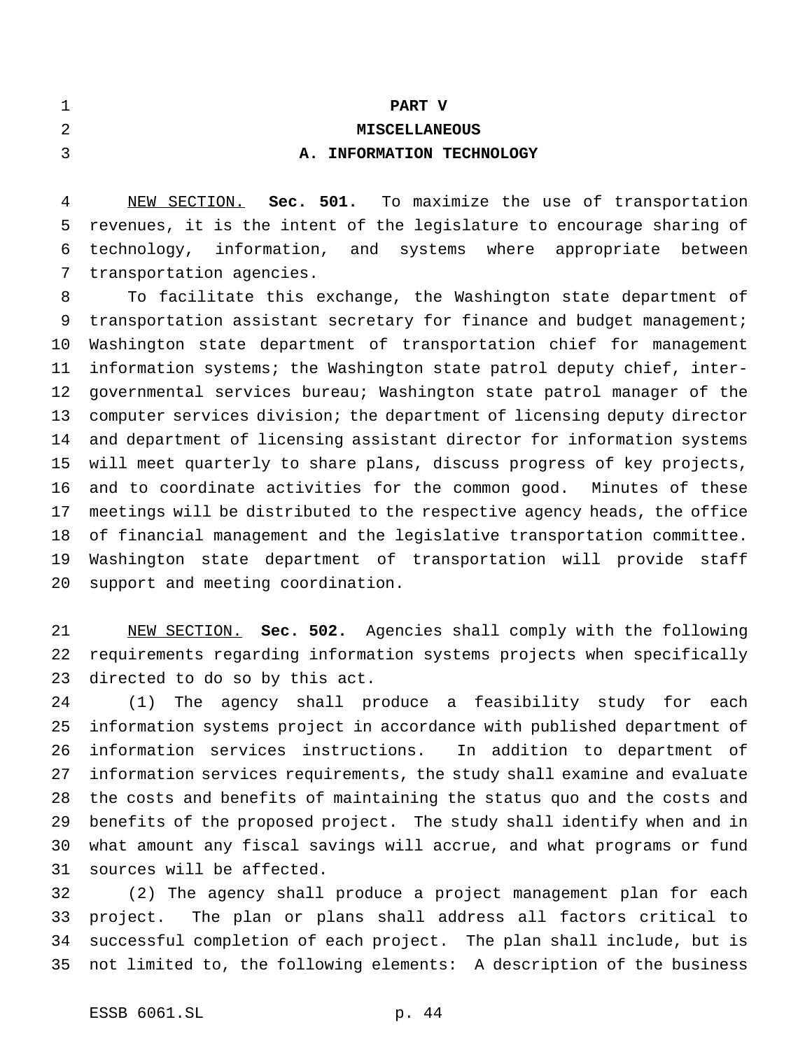| 1 |  |      |  |
|---|--|------|--|
| 2 |  |      |  |
| 3 |  | A. I |  |

# **MISCELLANEOUS A. INFORMATION TECHNOLOGY**

**PART V**

 NEW SECTION. **Sec. 501.** To maximize the use of transportation revenues, it is the intent of the legislature to encourage sharing of technology, information, and systems where appropriate between transportation agencies.

 To facilitate this exchange, the Washington state department of transportation assistant secretary for finance and budget management; Washington state department of transportation chief for management information systems; the Washington state patrol deputy chief, inter- governmental services bureau; Washington state patrol manager of the computer services division; the department of licensing deputy director and department of licensing assistant director for information systems will meet quarterly to share plans, discuss progress of key projects, and to coordinate activities for the common good. Minutes of these meetings will be distributed to the respective agency heads, the office of financial management and the legislative transportation committee. Washington state department of transportation will provide staff support and meeting coordination.

 NEW SECTION. **Sec. 502.** Agencies shall comply with the following requirements regarding information systems projects when specifically directed to do so by this act.

 (1) The agency shall produce a feasibility study for each information systems project in accordance with published department of information services instructions. In addition to department of information services requirements, the study shall examine and evaluate the costs and benefits of maintaining the status quo and the costs and benefits of the proposed project. The study shall identify when and in what amount any fiscal savings will accrue, and what programs or fund sources will be affected.

 (2) The agency shall produce a project management plan for each project. The plan or plans shall address all factors critical to successful completion of each project. The plan shall include, but is not limited to, the following elements: A description of the business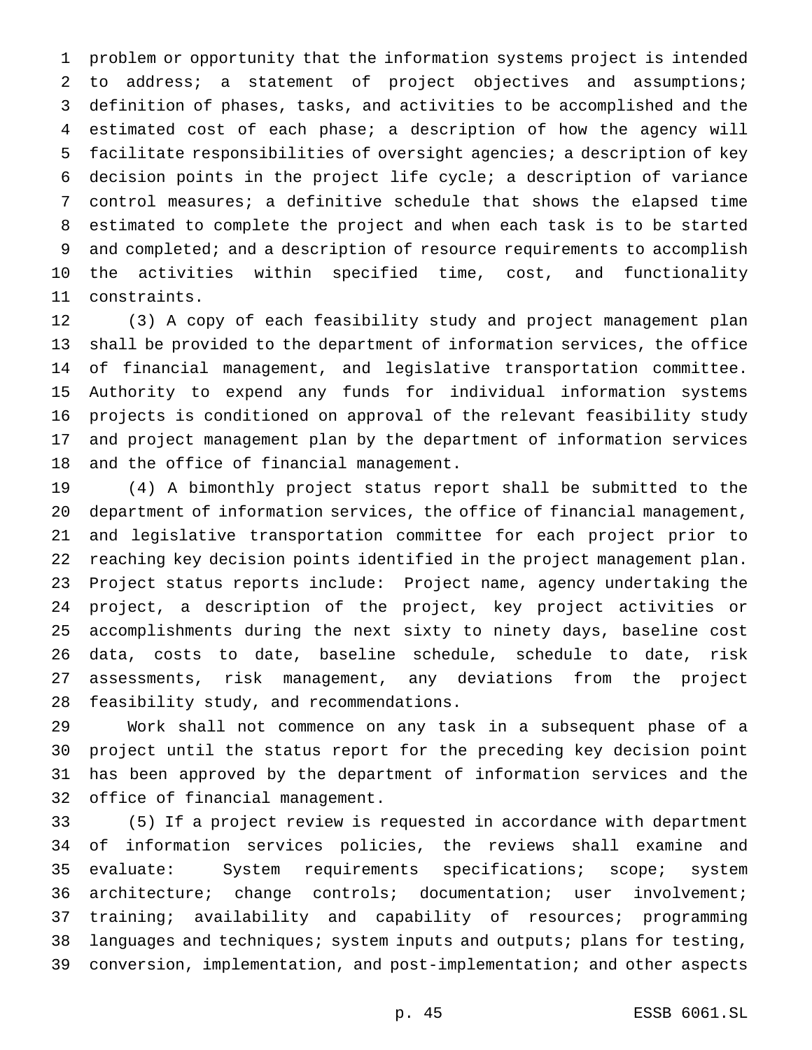problem or opportunity that the information systems project is intended to address; a statement of project objectives and assumptions; definition of phases, tasks, and activities to be accomplished and the estimated cost of each phase; a description of how the agency will facilitate responsibilities of oversight agencies; a description of key decision points in the project life cycle; a description of variance control measures; a definitive schedule that shows the elapsed time estimated to complete the project and when each task is to be started and completed; and a description of resource requirements to accomplish the activities within specified time, cost, and functionality constraints.

 (3) A copy of each feasibility study and project management plan shall be provided to the department of information services, the office of financial management, and legislative transportation committee. Authority to expend any funds for individual information systems projects is conditioned on approval of the relevant feasibility study and project management plan by the department of information services and the office of financial management.

 (4) A bimonthly project status report shall be submitted to the department of information services, the office of financial management, and legislative transportation committee for each project prior to reaching key decision points identified in the project management plan. Project status reports include: Project name, agency undertaking the project, a description of the project, key project activities or accomplishments during the next sixty to ninety days, baseline cost data, costs to date, baseline schedule, schedule to date, risk assessments, risk management, any deviations from the project feasibility study, and recommendations.

 Work shall not commence on any task in a subsequent phase of a project until the status report for the preceding key decision point has been approved by the department of information services and the office of financial management.

 (5) If a project review is requested in accordance with department of information services policies, the reviews shall examine and evaluate: System requirements specifications; scope; system architecture; change controls; documentation; user involvement; training; availability and capability of resources; programming 38 languages and techniques; system inputs and outputs; plans for testing, conversion, implementation, and post-implementation; and other aspects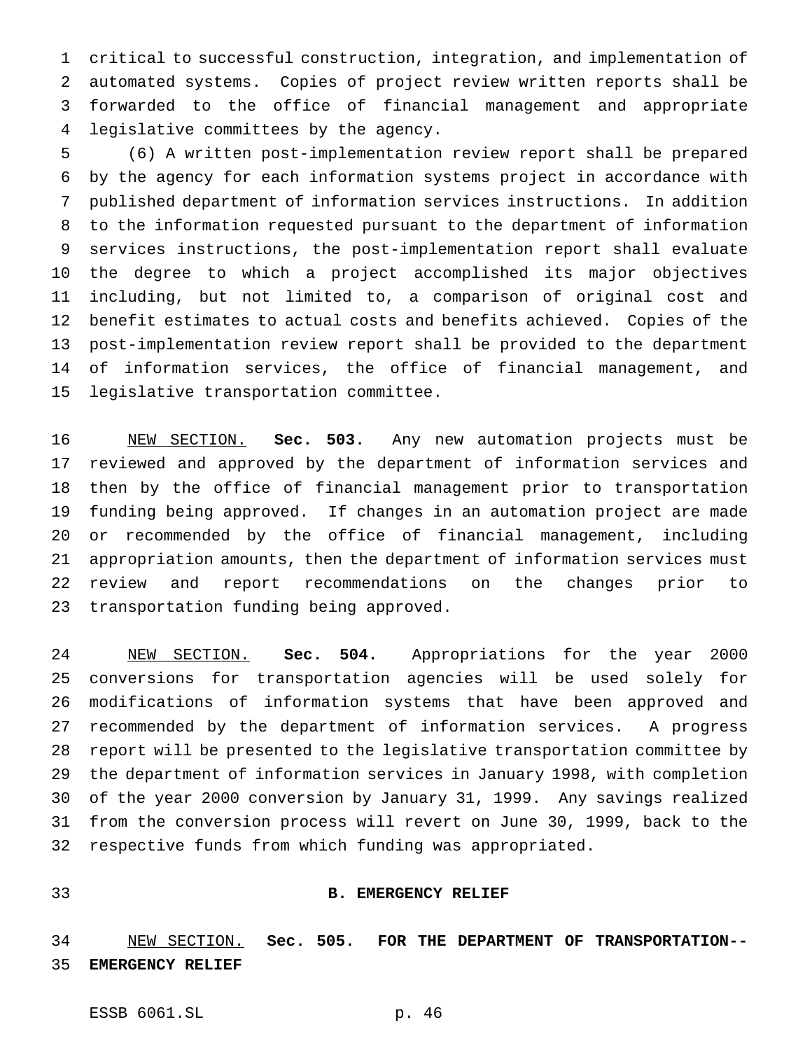critical to successful construction, integration, and implementation of automated systems. Copies of project review written reports shall be forwarded to the office of financial management and appropriate legislative committees by the agency.

 (6) A written post-implementation review report shall be prepared by the agency for each information systems project in accordance with published department of information services instructions. In addition to the information requested pursuant to the department of information services instructions, the post-implementation report shall evaluate the degree to which a project accomplished its major objectives including, but not limited to, a comparison of original cost and benefit estimates to actual costs and benefits achieved. Copies of the post-implementation review report shall be provided to the department of information services, the office of financial management, and legislative transportation committee.

 NEW SECTION. **Sec. 503.** Any new automation projects must be reviewed and approved by the department of information services and then by the office of financial management prior to transportation funding being approved. If changes in an automation project are made or recommended by the office of financial management, including appropriation amounts, then the department of information services must review and report recommendations on the changes prior to transportation funding being approved.

 NEW SECTION. **Sec. 504.** Appropriations for the year 2000 conversions for transportation agencies will be used solely for modifications of information systems that have been approved and recommended by the department of information services. A progress report will be presented to the legislative transportation committee by the department of information services in January 1998, with completion of the year 2000 conversion by January 31, 1999. Any savings realized from the conversion process will revert on June 30, 1999, back to the respective funds from which funding was appropriated.

#### **B. EMERGENCY RELIEF**

 NEW SECTION. **Sec. 505. FOR THE DEPARTMENT OF TRANSPORTATION-- EMERGENCY RELIEF**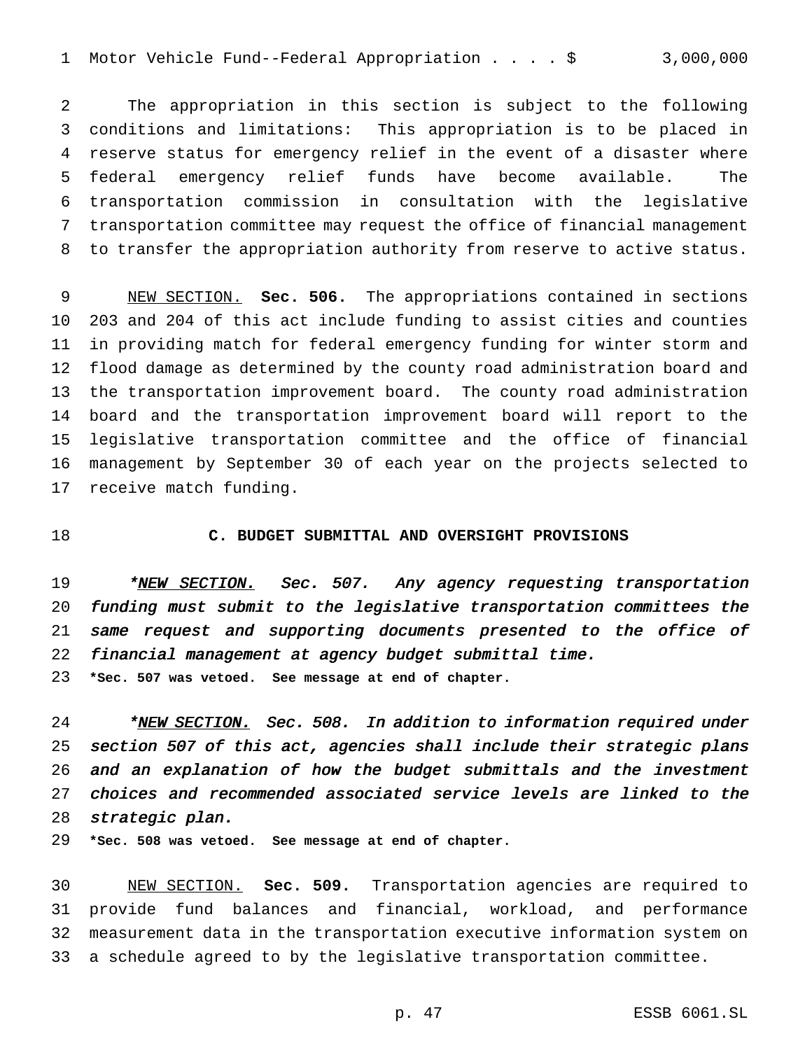Motor Vehicle Fund--Federal Appropriation....\$ 3,000,000

 The appropriation in this section is subject to the following conditions and limitations: This appropriation is to be placed in reserve status for emergency relief in the event of a disaster where federal emergency relief funds have become available. The transportation commission in consultation with the legislative transportation committee may request the office of financial management to transfer the appropriation authority from reserve to active status.

 NEW SECTION. **Sec. 506.** The appropriations contained in sections 203 and 204 of this act include funding to assist cities and counties in providing match for federal emergency funding for winter storm and flood damage as determined by the county road administration board and the transportation improvement board. The county road administration board and the transportation improvement board will report to the legislative transportation committee and the office of financial management by September 30 of each year on the projects selected to receive match funding.

#### **C. BUDGET SUBMITTAL AND OVERSIGHT PROVISIONS**

19 \*NEW SECTION. Sec. 507. Any agency requesting transportation funding must submit to the legislative transportation committees the same request and supporting documents presented to the office of financial management at agency budget submittal time.

**\*Sec. 507 was vetoed. See message at end of chapter.**

24 \*NEW SECTION. Sec. 508. In addition to information required under section <sup>507</sup> of this act, agencies shall include their strategic plans and an explanation of how the budget submittals and the investment choices and recommended associated service levels are linked to the strategic plan.

**\*Sec. 508 was vetoed. See message at end of chapter.**

 NEW SECTION. **Sec. 509.** Transportation agencies are required to provide fund balances and financial, workload, and performance measurement data in the transportation executive information system on a schedule agreed to by the legislative transportation committee.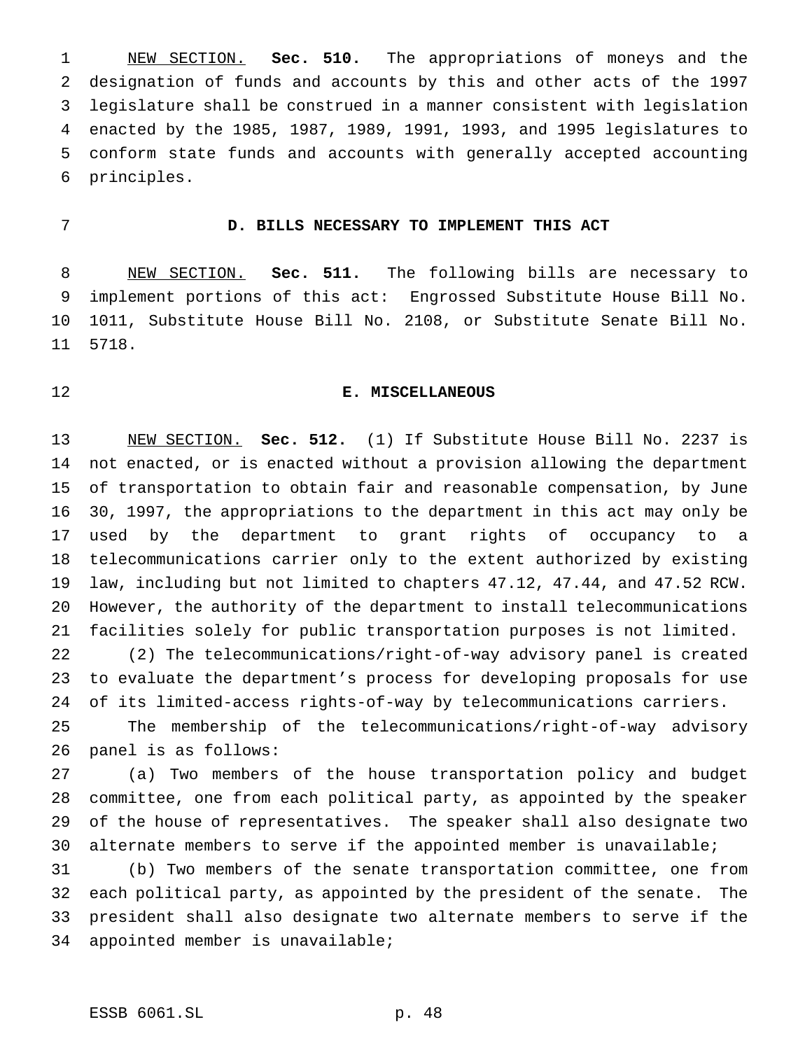NEW SECTION. **Sec. 510.** The appropriations of moneys and the designation of funds and accounts by this and other acts of the 1997 legislature shall be construed in a manner consistent with legislation enacted by the 1985, 1987, 1989, 1991, 1993, and 1995 legislatures to conform state funds and accounts with generally accepted accounting principles.

## **D. BILLS NECESSARY TO IMPLEMENT THIS ACT**

 NEW SECTION. **Sec. 511.** The following bills are necessary to implement portions of this act: Engrossed Substitute House Bill No. 1011, Substitute House Bill No. 2108, or Substitute Senate Bill No. 5718.

## **E. MISCELLANEOUS**

 NEW SECTION. **Sec. 512.** (1) If Substitute House Bill No. 2237 is not enacted, or is enacted without a provision allowing the department of transportation to obtain fair and reasonable compensation, by June 30, 1997, the appropriations to the department in this act may only be used by the department to grant rights of occupancy to a telecommunications carrier only to the extent authorized by existing law, including but not limited to chapters 47.12, 47.44, and 47.52 RCW. However, the authority of the department to install telecommunications facilities solely for public transportation purposes is not limited.

 (2) The telecommunications/right-of-way advisory panel is created to evaluate the department's process for developing proposals for use of its limited-access rights-of-way by telecommunications carriers.

 The membership of the telecommunications/right-of-way advisory panel is as follows:

 (a) Two members of the house transportation policy and budget committee, one from each political party, as appointed by the speaker of the house of representatives. The speaker shall also designate two alternate members to serve if the appointed member is unavailable;

 (b) Two members of the senate transportation committee, one from each political party, as appointed by the president of the senate. The president shall also designate two alternate members to serve if the appointed member is unavailable;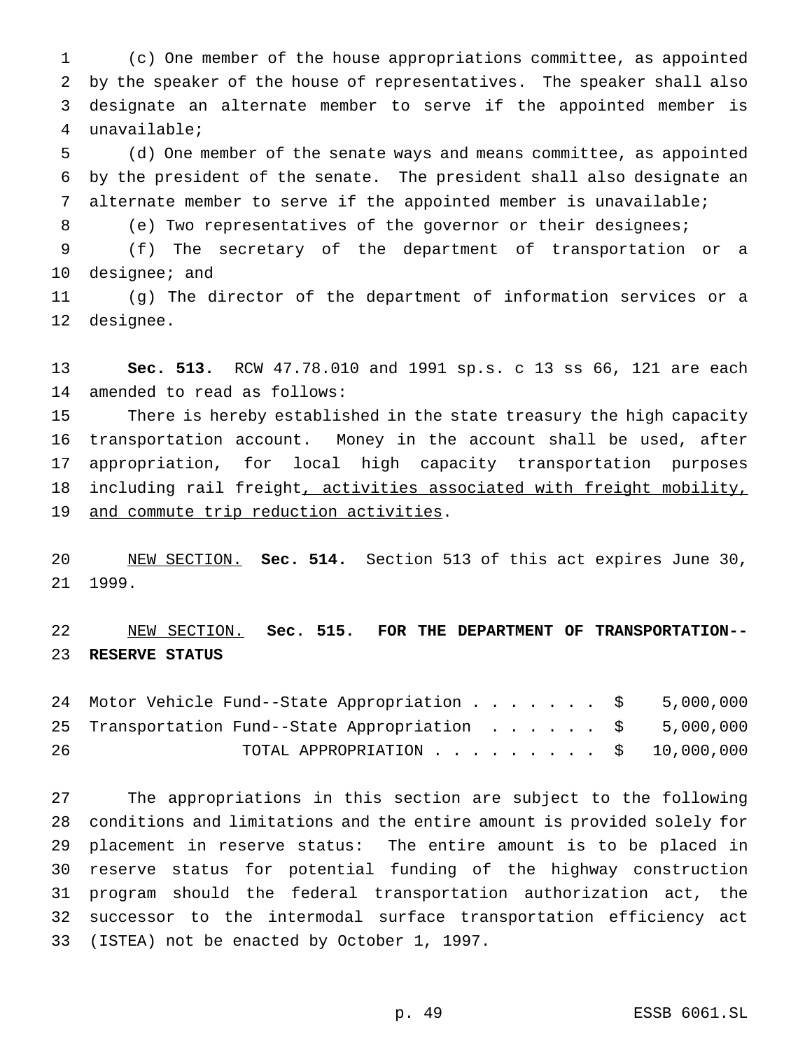(c) One member of the house appropriations committee, as appointed by the speaker of the house of representatives. The speaker shall also designate an alternate member to serve if the appointed member is unavailable;

 (d) One member of the senate ways and means committee, as appointed by the president of the senate. The president shall also designate an alternate member to serve if the appointed member is unavailable;

(e) Two representatives of the governor or their designees;

 (f) The secretary of the department of transportation or a designee; and

 (g) The director of the department of information services or a designee.

 **Sec. 513.** RCW 47.78.010 and 1991 sp.s. c 13 ss 66, 121 are each amended to read as follows:

 There is hereby established in the state treasury the high capacity transportation account. Money in the account shall be used, after appropriation, for local high capacity transportation purposes 18 including rail freight, activities associated with freight mobility, and commute trip reduction activities.

 NEW SECTION. **Sec. 514.** Section 513 of this act expires June 30, 1999.

 NEW SECTION. **Sec. 515. FOR THE DEPARTMENT OF TRANSPORTATION-- RESERVE STATUS**

24 Motor Vehicle Fund--State Appropriation . . . . . . \$ 5,000,000 25 Transportation Fund--State Appropriation . . . . . \$ 5,000,000 TOTAL APPROPRIATION......... \$ 10,000,000

 The appropriations in this section are subject to the following conditions and limitations and the entire amount is provided solely for placement in reserve status: The entire amount is to be placed in reserve status for potential funding of the highway construction program should the federal transportation authorization act, the successor to the intermodal surface transportation efficiency act (ISTEA) not be enacted by October 1, 1997.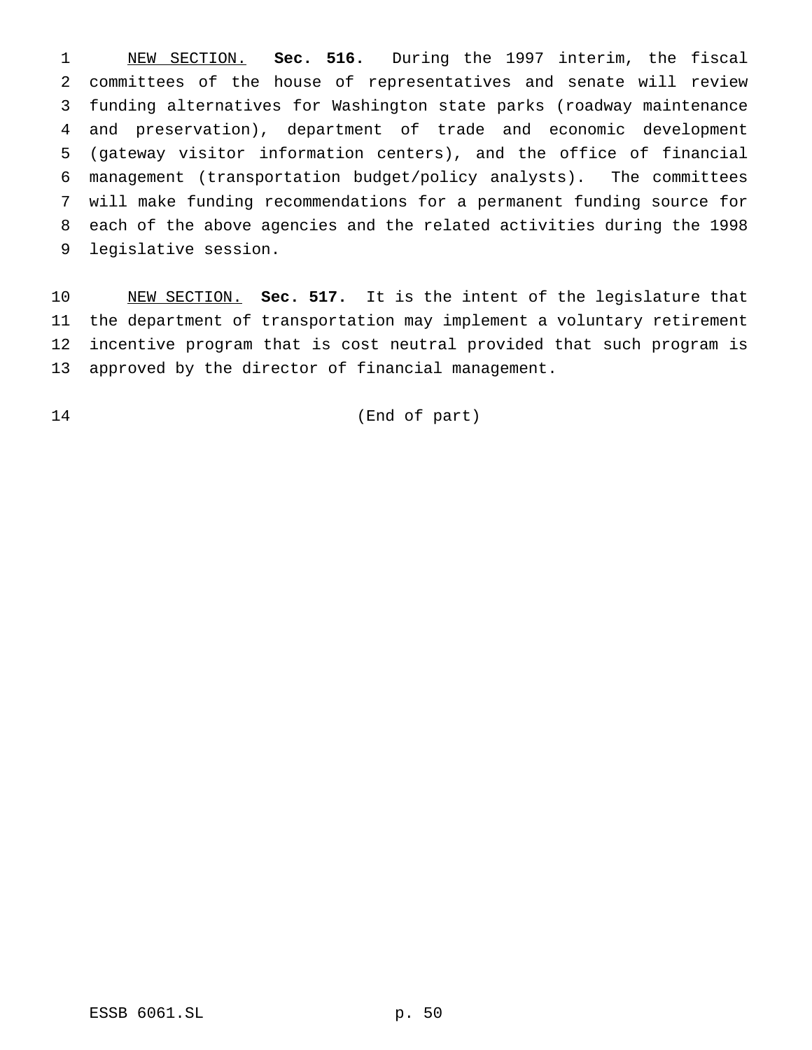NEW SECTION. **Sec. 516.** During the 1997 interim, the fiscal committees of the house of representatives and senate will review funding alternatives for Washington state parks (roadway maintenance and preservation), department of trade and economic development (gateway visitor information centers), and the office of financial management (transportation budget/policy analysts). The committees will make funding recommendations for a permanent funding source for each of the above agencies and the related activities during the 1998 legislative session.

 NEW SECTION. **Sec. 517.** It is the intent of the legislature that the department of transportation may implement a voluntary retirement incentive program that is cost neutral provided that such program is approved by the director of financial management.

(End of part)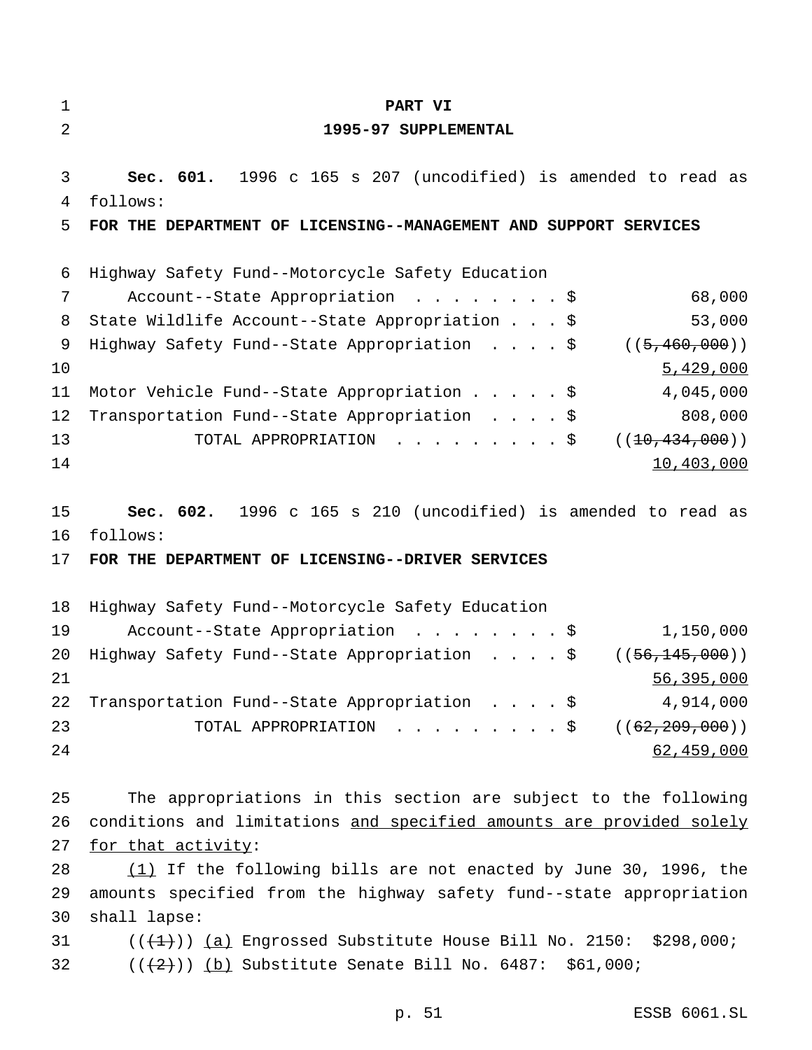| $\mathbf 1$    | PART VI                                                                                                                       |
|----------------|-------------------------------------------------------------------------------------------------------------------------------|
| 2              | 1995-97 SUPPLEMENTAL                                                                                                          |
| 3              | Sec. 601. 1996 c 165 s 207 (uncodified) is amended to read as                                                                 |
| 4              | follows:                                                                                                                      |
| 5              | FOR THE DEPARTMENT OF LICENSING--MANAGEMENT AND SUPPORT SERVICES                                                              |
| 6              | Highway Safety Fund--Motorcycle Safety Education                                                                              |
| 7              | 68,000<br>Account--State Appropriation \$                                                                                     |
| 8              | 53,000<br>State Wildlife Account--State Appropriation \$                                                                      |
| 9              | Highway Safety Fund--State Appropriation \$<br>((5, 460, 000))                                                                |
| 10             | 5,429,000                                                                                                                     |
| 11             | Motor Vehicle Fund--State Appropriation \$<br>4,045,000                                                                       |
| 12             | 808,000<br>Transportation Fund--State Appropriation \$                                                                        |
| 13             | TOTAL APPROPRIATION \$<br>((10, 434, 000))                                                                                    |
| 14             | 10,403,000                                                                                                                    |
| 15<br>16<br>17 | Sec. 602. 1996 c 165 s 210 (uncodified) is amended to read as<br>follows:<br>FOR THE DEPARTMENT OF LICENSING--DRIVER SERVICES |
| 18             | Highway Safety Fund--Motorcycle Safety Education                                                                              |
| 19             | 1,150,000<br>Account--State Appropriation \$                                                                                  |
| 20             | Highway Safety Fund--State Appropriation<br>((56, 145, 000))<br>- Ş                                                           |
| 21             | 56,395,000                                                                                                                    |
| 22             | Transportation Fund--State Appropriation \$<br>4,914,000                                                                      |
| 23             | TOTAL APPROPRIATION \$<br>(( <del>62,209,000</del> ))                                                                         |
| 24             | 62,459,000                                                                                                                    |
| 25             | The appropriations in this section are subject to the following                                                               |
| 26             | conditions and limitations and specified amounts are provided solely                                                          |
| 27             | for that activity:                                                                                                            |
| 28             | $(1)$ If the following bills are not enacted by June 30, 1996, the                                                            |
| 29             | amounts specified from the highway safety fund--state appropriation                                                           |
| 30             | shall lapse:                                                                                                                  |
| 31             | $((+1))$ (a) Engrossed Substitute House Bill No. 2150: \$298,000;                                                             |
| 32             | $((+2))$ (b) Substitute Senate Bill No. 6487: \$61,000;                                                                       |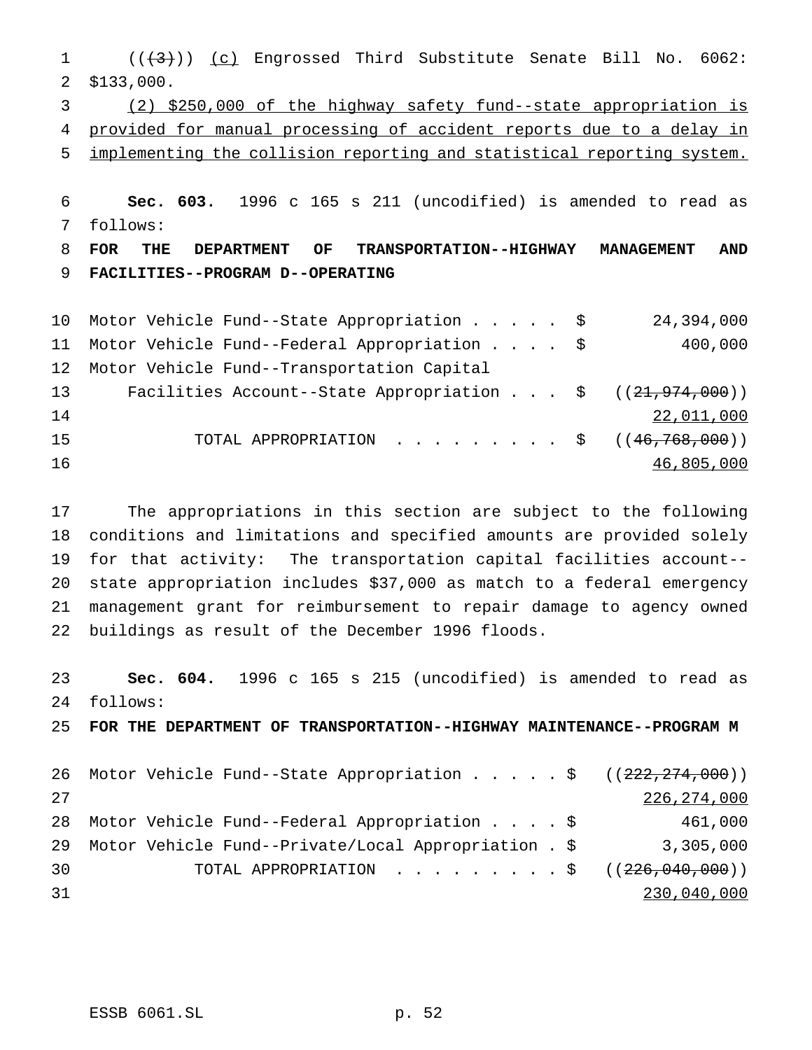$((+3))$   $(c)$  Engrossed Third Substitute Senate Bill No. 6062: \$133,000. (2) \$250,000 of the highway safety fund--state appropriation is provided for manual processing of accident reports due to a delay in implementing the collision reporting and statistical reporting system. **Sec. 603.** 1996 c 165 s 211 (uncodified) is amended to read as follows: **FOR THE DEPARTMENT OF TRANSPORTATION--HIGHWAY MANAGEMENT AND FACILITIES--PROGRAM D--OPERATING** Motor Vehicle Fund--State Appropriation..... \$ 24,394,000 Motor Vehicle Fund--Federal Appropriation.... \$ 400,000 Motor Vehicle Fund--Transportation Capital 13 Facilities Account--State Appropriation . . . \$ ((21,974,000)) 22,011,000

15 TOTAL APPROPRIATION . . . . . . . . \$ ((46,768,000)) 46,805,000

 The appropriations in this section are subject to the following conditions and limitations and specified amounts are provided solely for that activity: The transportation capital facilities account-- state appropriation includes \$37,000 as match to a federal emergency management grant for reimbursement to repair damage to agency owned buildings as result of the December 1996 floods.

 **Sec. 604.** 1996 c 165 s 215 (uncodified) is amended to read as follows: **FOR THE DEPARTMENT OF TRANSPORTATION--HIGHWAY MAINTENANCE--PROGRAM M** 26 Motor Vehicle Fund--State Appropriation . . . . \$ ((222,274,000)) 27 27 28  $226,274,000$  Motor Vehicle Fund--Federal Appropriation....\$ 461,000 29 Motor Vehicle Fund--Private/Local Appropriation . \$ 3,305,000 30 TOTAL APPROPRIATION . . . . . . . . \$ ((<del>226,040,000</del>)) 230,040,000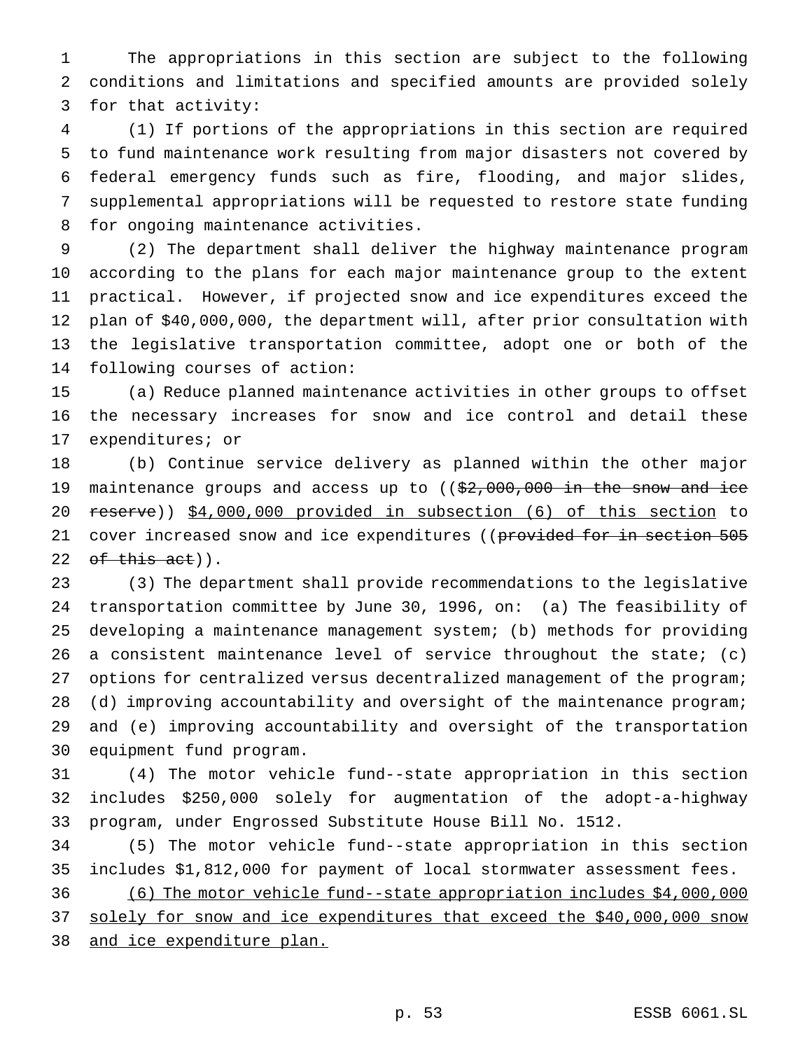The appropriations in this section are subject to the following conditions and limitations and specified amounts are provided solely for that activity:

 (1) If portions of the appropriations in this section are required to fund maintenance work resulting from major disasters not covered by federal emergency funds such as fire, flooding, and major slides, supplemental appropriations will be requested to restore state funding for ongoing maintenance activities.

 (2) The department shall deliver the highway maintenance program according to the plans for each major maintenance group to the extent practical. However, if projected snow and ice expenditures exceed the plan of \$40,000,000, the department will, after prior consultation with the legislative transportation committee, adopt one or both of the following courses of action:

 (a) Reduce planned maintenance activities in other groups to offset the necessary increases for snow and ice control and detail these expenditures; or

 (b) Continue service delivery as planned within the other major 19 maintenance groups and access up to ((\$2,000,000 in the snow and ice reserve)) \$4,000,000 provided in subsection (6) of this section to 21 cover increased snow and ice expenditures ((provided for in section 505 22 of this  $\text{act}$ ).

 (3) The department shall provide recommendations to the legislative transportation committee by June 30, 1996, on: (a) The feasibility of developing a maintenance management system; (b) methods for providing a consistent maintenance level of service throughout the state; (c) options for centralized versus decentralized management of the program; (d) improving accountability and oversight of the maintenance program; and (e) improving accountability and oversight of the transportation equipment fund program.

 (4) The motor vehicle fund--state appropriation in this section includes \$250,000 solely for augmentation of the adopt-a-highway program, under Engrossed Substitute House Bill No. 1512.

 (5) The motor vehicle fund--state appropriation in this section includes \$1,812,000 for payment of local stormwater assessment fees.

 (6) The motor vehicle fund--state appropriation includes \$4,000,000 37 solely for snow and ice expenditures that exceed the \$40,000,000 snow

38 and ice expenditure plan.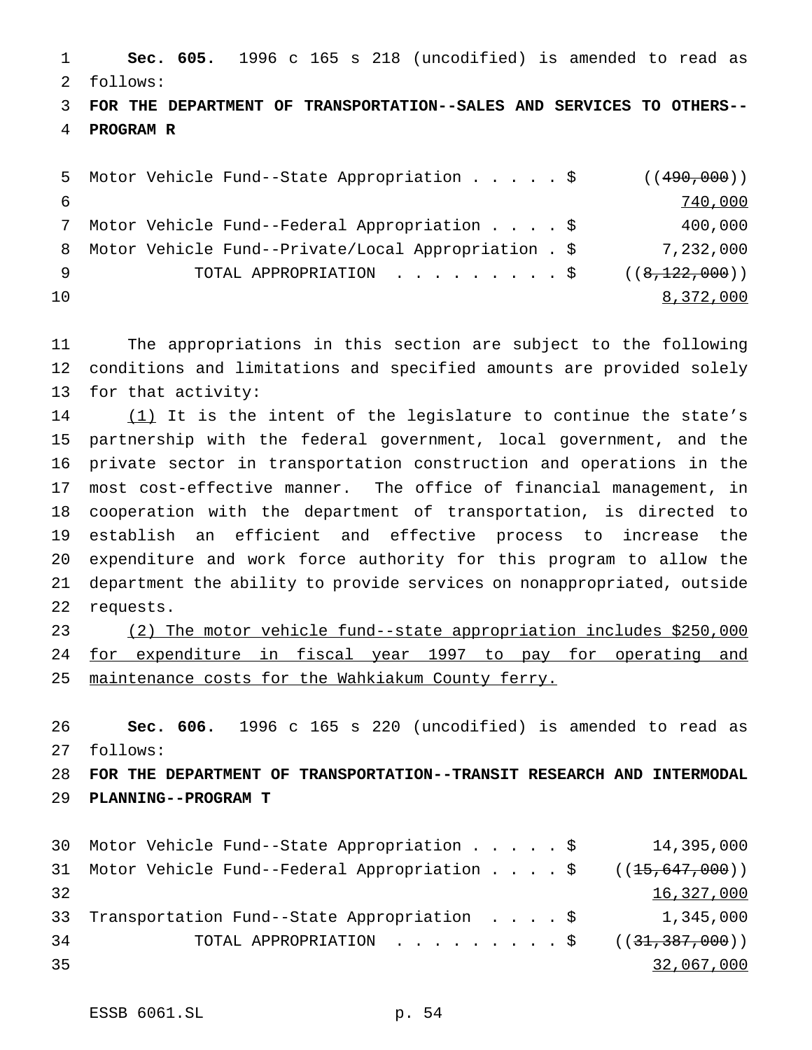**Sec. 605.** 1996 c 165 s 218 (uncodified) is amended to read as follows:

 **FOR THE DEPARTMENT OF TRANSPORTATION--SALES AND SERVICES TO OTHERS-- PROGRAM R**

```
5 Motor Vehicle Fund--State Appropriation . . . . $ ((490,000))
6 740,000
7 Motor Vehicle Fund--Federal Appropriation....$ 400,000
8 Motor Vehicle Fund--Private/Local Appropriation . $ 7,232,000
9 TOTAL APPROPRIATION . . . . . . . . $ ((8,122,000))
\frac{8,372,000}{}
```
 The appropriations in this section are subject to the following conditions and limitations and specified amounts are provided solely for that activity:

14 (1) It is the intent of the legislature to continue the state's partnership with the federal government, local government, and the private sector in transportation construction and operations in the most cost-effective manner. The office of financial management, in cooperation with the department of transportation, is directed to establish an efficient and effective process to increase the expenditure and work force authority for this program to allow the department the ability to provide services on nonappropriated, outside requests.

 (2) The motor vehicle fund--state appropriation includes \$250,000 24 for expenditure in fiscal year 1997 to pay for operating and maintenance costs for the Wahkiakum County ferry.

 **Sec. 606.** 1996 c 165 s 220 (uncodified) is amended to read as follows:

 **FOR THE DEPARTMENT OF TRANSPORTATION--TRANSIT RESEARCH AND INTERMODAL PLANNING--PROGRAM T**

|    | 30 Motor Vehicle Fund--State Appropriation \$                    |  |  | 14,395,000 |
|----|------------------------------------------------------------------|--|--|------------|
|    | 31 Motor Vehicle Fund--Federal Appropriation \$ $((15,647,000))$ |  |  |            |
| 32 |                                                                  |  |  | 16,327,000 |
|    | 33 Transportation Fund--State Appropriation \$ 1,345,000         |  |  |            |
| 34 | TOTAL APPROPRIATION $\ldots$ , ( $(31,387,000)$ )                |  |  |            |
| 35 |                                                                  |  |  | 32,067,000 |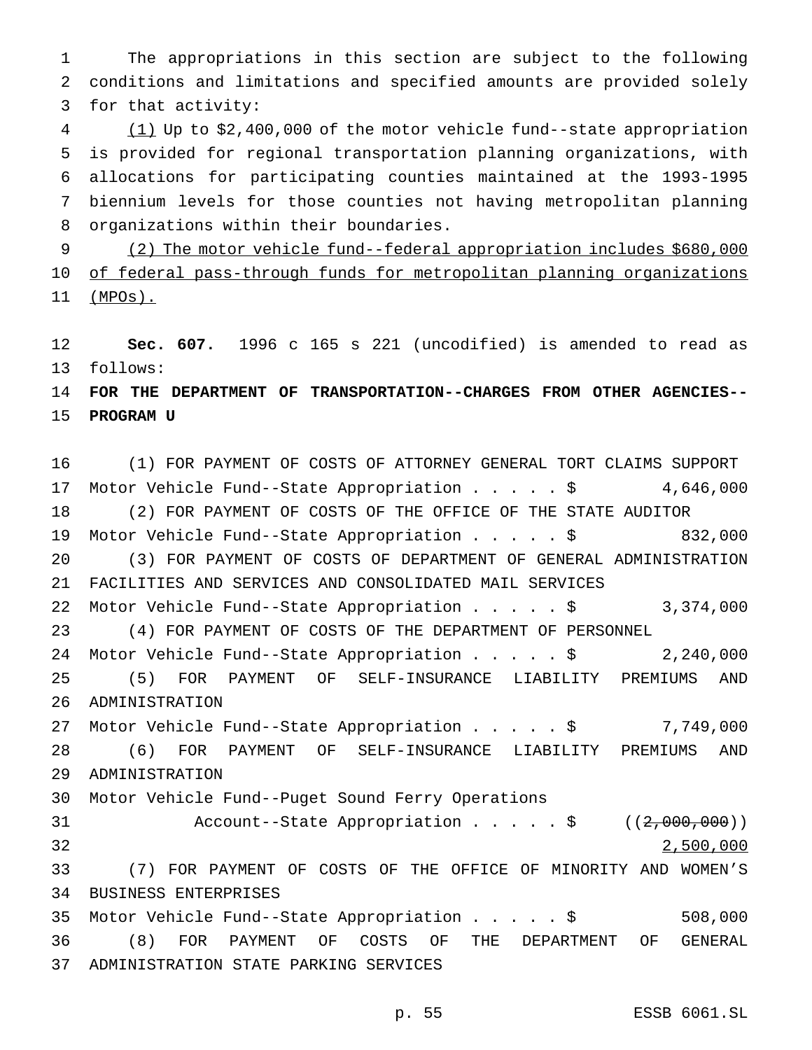The appropriations in this section are subject to the following conditions and limitations and specified amounts are provided solely for that activity:

 (1) Up to \$2,400,000 of the motor vehicle fund--state appropriation is provided for regional transportation planning organizations, with allocations for participating counties maintained at the 1993-1995 biennium levels for those counties not having metropolitan planning organizations within their boundaries.

 (2) The motor vehicle fund--federal appropriation includes \$680,000 10 of federal pass-through funds for metropolitan planning organizations (MPOs).

 **Sec. 607.** 1996 c 165 s 221 (uncodified) is amended to read as follows:

 **FOR THE DEPARTMENT OF TRANSPORTATION--CHARGES FROM OTHER AGENCIES-- PROGRAM U**

 (1) FOR PAYMENT OF COSTS OF ATTORNEY GENERAL TORT CLAIMS SUPPORT Motor Vehicle Fund--State Appropriation.....\$ 4,646,000 (2) FOR PAYMENT OF COSTS OF THE OFFICE OF THE STATE AUDITOR Motor Vehicle Fund--State Appropriation.....\$ 832,000 (3) FOR PAYMENT OF COSTS OF DEPARTMENT OF GENERAL ADMINISTRATION FACILITIES AND SERVICES AND CONSOLIDATED MAIL SERVICES Motor Vehicle Fund--State Appropriation.....\$ 3,374,000 (4) FOR PAYMENT OF COSTS OF THE DEPARTMENT OF PERSONNEL Motor Vehicle Fund--State Appropriation.....\$ 2,240,000 (5) FOR PAYMENT OF SELF-INSURANCE LIABILITY PREMIUMS AND ADMINISTRATION Motor Vehicle Fund--State Appropriation.....\$ 7,749,000 (6) FOR PAYMENT OF SELF-INSURANCE LIABILITY PREMIUMS AND ADMINISTRATION Motor Vehicle Fund--Puget Sound Ferry Operations 31 Account--State Appropriation . . . . \$ ((2,000,000)) 2,500,000 (7) FOR PAYMENT OF COSTS OF THE OFFICE OF MINORITY AND WOMEN'S BUSINESS ENTERPRISES Motor Vehicle Fund--State Appropriation.....\$ 508,000 (8) FOR PAYMENT OF COSTS OF THE DEPARTMENT OF GENERAL ADMINISTRATION STATE PARKING SERVICES

p. 55 ESSB 6061.SL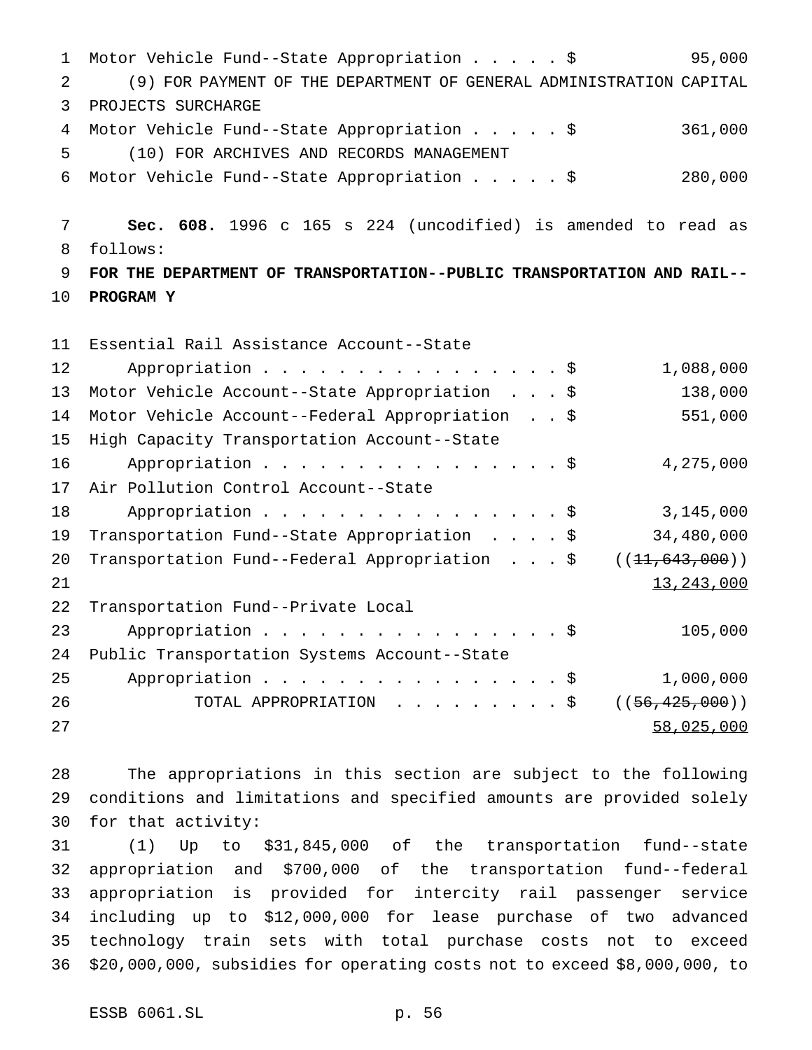Motor Vehicle Fund--State Appropriation.....\$ 95,000 (9) FOR PAYMENT OF THE DEPARTMENT OF GENERAL ADMINISTRATION CAPITAL PROJECTS SURCHARGE 4 Motor Vehicle Fund--State Appropriation . . . . \$ 361,000 (10) FOR ARCHIVES AND RECORDS MANAGEMENT Motor Vehicle Fund--State Appropriation.....\$ 280,000 **Sec. 608.** 1996 c 165 s 224 (uncodified) is amended to read as follows: **FOR THE DEPARTMENT OF TRANSPORTATION--PUBLIC TRANSPORTATION AND RAIL-- PROGRAM Y** Essential Rail Assistance Account--State 12 Appropriation . . . . . . . . . . . . . . \$ 1,088,000 Motor Vehicle Account--State Appropriation ...\$ 138,000 Motor Vehicle Account--Federal Appropriation . . \$ 551,000 High Capacity Transportation Account--State 16 Appropriation . . . . . . . . . . . . . . . \$ 4,275,000 Air Pollution Control Account--State 18 Appropriation . . . . . . . . . . . . . . \$ 3,145,000 Transportation Fund--State Appropriation ....\$ 34,480,000 20 Transportation Fund--Federal Appropriation . . . \$ ((<del>11,643,000</del>))  $13,243,000$  Transportation Fund--Private Local Appropriation................\$ 105,000 Public Transportation Systems Account--State Appropriation................\$ 1,000,000 26 TOTAL APPROPRIATION . . . . . . . . \$ ((56,425,000)) 58,025,000

 The appropriations in this section are subject to the following conditions and limitations and specified amounts are provided solely for that activity:

 (1) Up to \$31,845,000 of the transportation fund--state appropriation and \$700,000 of the transportation fund--federal appropriation is provided for intercity rail passenger service including up to \$12,000,000 for lease purchase of two advanced technology train sets with total purchase costs not to exceed \$20,000,000, subsidies for operating costs not to exceed \$8,000,000, to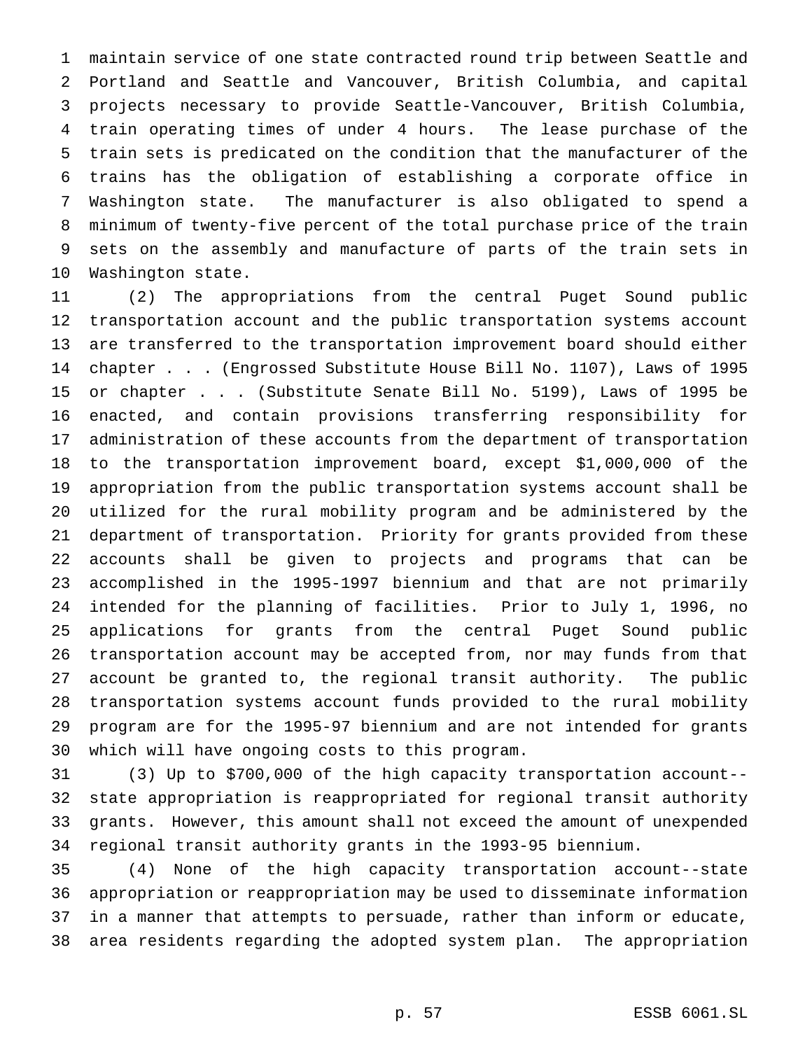maintain service of one state contracted round trip between Seattle and Portland and Seattle and Vancouver, British Columbia, and capital projects necessary to provide Seattle-Vancouver, British Columbia, train operating times of under 4 hours. The lease purchase of the train sets is predicated on the condition that the manufacturer of the trains has the obligation of establishing a corporate office in Washington state. The manufacturer is also obligated to spend a minimum of twenty-five percent of the total purchase price of the train sets on the assembly and manufacture of parts of the train sets in Washington state.

 (2) The appropriations from the central Puget Sound public transportation account and the public transportation systems account are transferred to the transportation improvement board should either chapter . . . (Engrossed Substitute House Bill No. 1107), Laws of 1995 or chapter . . . (Substitute Senate Bill No. 5199), Laws of 1995 be enacted, and contain provisions transferring responsibility for administration of these accounts from the department of transportation to the transportation improvement board, except \$1,000,000 of the appropriation from the public transportation systems account shall be utilized for the rural mobility program and be administered by the department of transportation. Priority for grants provided from these accounts shall be given to projects and programs that can be accomplished in the 1995-1997 biennium and that are not primarily intended for the planning of facilities. Prior to July 1, 1996, no applications for grants from the central Puget Sound public transportation account may be accepted from, nor may funds from that account be granted to, the regional transit authority. The public transportation systems account funds provided to the rural mobility program are for the 1995-97 biennium and are not intended for grants which will have ongoing costs to this program.

 (3) Up to \$700,000 of the high capacity transportation account-- state appropriation is reappropriated for regional transit authority grants. However, this amount shall not exceed the amount of unexpended regional transit authority grants in the 1993-95 biennium.

 (4) None of the high capacity transportation account--state appropriation or reappropriation may be used to disseminate information in a manner that attempts to persuade, rather than inform or educate, area residents regarding the adopted system plan. The appropriation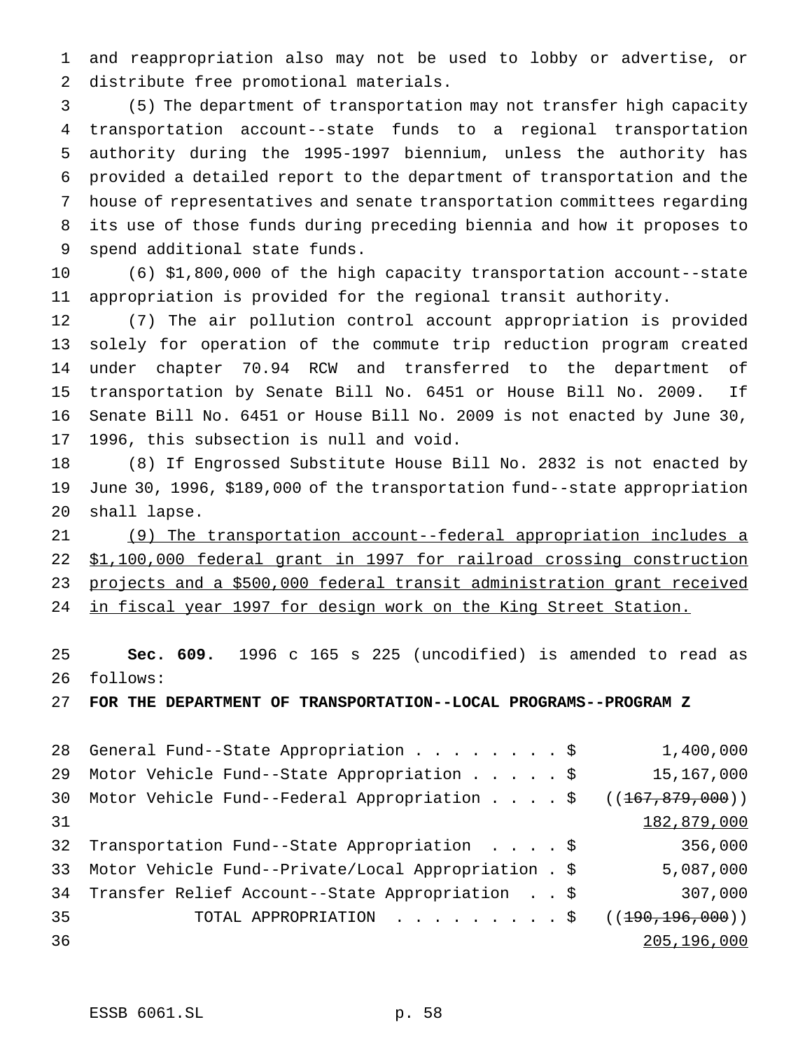and reappropriation also may not be used to lobby or advertise, or distribute free promotional materials.

 (5) The department of transportation may not transfer high capacity transportation account--state funds to a regional transportation authority during the 1995-1997 biennium, unless the authority has provided a detailed report to the department of transportation and the house of representatives and senate transportation committees regarding its use of those funds during preceding biennia and how it proposes to spend additional state funds.

 (6) \$1,800,000 of the high capacity transportation account--state appropriation is provided for the regional transit authority.

 (7) The air pollution control account appropriation is provided solely for operation of the commute trip reduction program created under chapter 70.94 RCW and transferred to the department of transportation by Senate Bill No. 6451 or House Bill No. 2009. If Senate Bill No. 6451 or House Bill No. 2009 is not enacted by June 30, 1996, this subsection is null and void.

 (8) If Engrossed Substitute House Bill No. 2832 is not enacted by June 30, 1996, \$189,000 of the transportation fund--state appropriation shall lapse.

 (9) The transportation account--federal appropriation includes a \$1,100,000 federal grant in 1997 for railroad crossing construction projects and a \$500,000 federal transit administration grant received in fiscal year 1997 for design work on the King Street Station.

 **Sec. 609.** 1996 c 165 s 225 (uncodified) is amended to read as follows:

**FOR THE DEPARTMENT OF TRANSPORTATION--LOCAL PROGRAMS--PROGRAM Z**

| 28 General Fund--State Appropriation \$                                     | 1,400,000   |
|-----------------------------------------------------------------------------|-------------|
| Motor Vehicle Fund--State Appropriation \$                                  | 15,167,000  |
| Motor Vehicle Fund--Federal Appropriation $\frac{2}{3}$ ((167,879,000))     |             |
|                                                                             | 182,879,000 |
| Transportation Fund--State Appropriation \$                                 | 356,000     |
| Motor Vehicle Fund--Private/Local Appropriation . \$                        | 5,087,000   |
| Transfer Relief Account--State Appropriation \$                             | 307,000     |
| TOTAL APPROPRIATION $\ldots$ , $\ldots$ , $\ddot{\text{S}}$ ((190,196,000)) |             |
|                                                                             | 205,196,000 |
|                                                                             |             |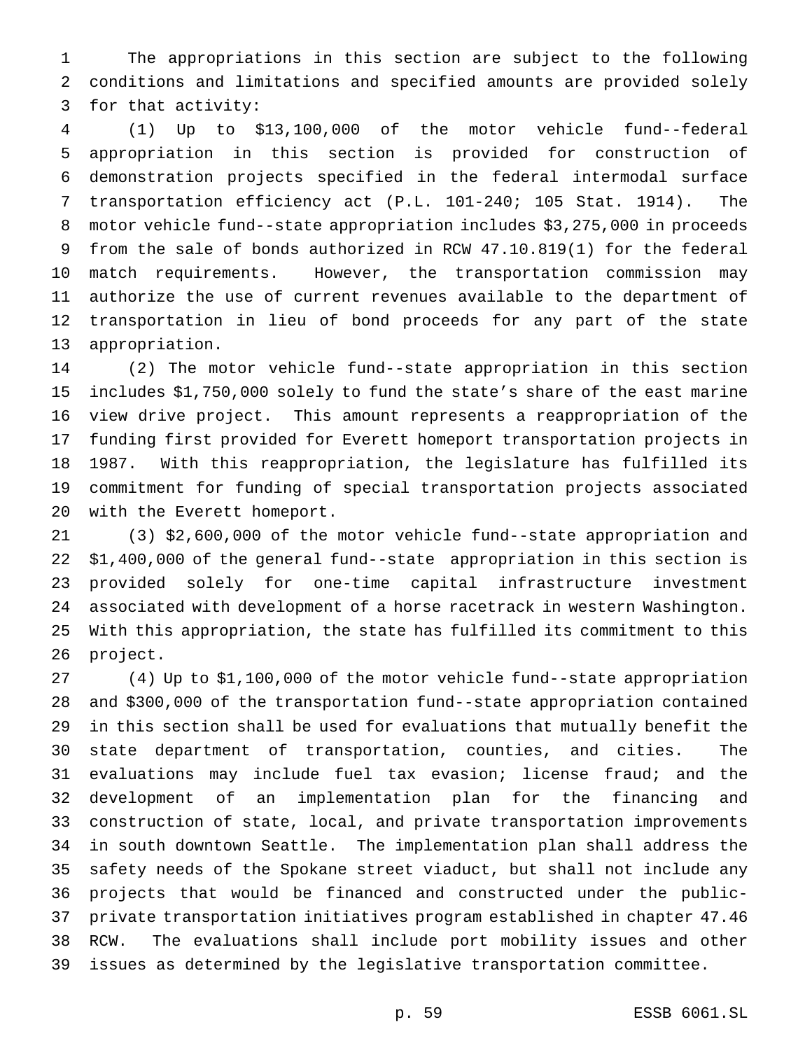The appropriations in this section are subject to the following conditions and limitations and specified amounts are provided solely for that activity:

 (1) Up to \$13,100,000 of the motor vehicle fund--federal appropriation in this section is provided for construction of demonstration projects specified in the federal intermodal surface transportation efficiency act (P.L. 101-240; 105 Stat. 1914). The motor vehicle fund--state appropriation includes \$3,275,000 in proceeds from the sale of bonds authorized in RCW 47.10.819(1) for the federal match requirements. However, the transportation commission may authorize the use of current revenues available to the department of transportation in lieu of bond proceeds for any part of the state appropriation.

 (2) The motor vehicle fund--state appropriation in this section includes \$1,750,000 solely to fund the state's share of the east marine view drive project. This amount represents a reappropriation of the funding first provided for Everett homeport transportation projects in 1987. With this reappropriation, the legislature has fulfilled its commitment for funding of special transportation projects associated with the Everett homeport.

 (3) \$2,600,000 of the motor vehicle fund--state appropriation and \$1,400,000 of the general fund--state appropriation in this section is provided solely for one-time capital infrastructure investment associated with development of a horse racetrack in western Washington. With this appropriation, the state has fulfilled its commitment to this project.

 (4) Up to \$1,100,000 of the motor vehicle fund--state appropriation and \$300,000 of the transportation fund--state appropriation contained in this section shall be used for evaluations that mutually benefit the state department of transportation, counties, and cities. The evaluations may include fuel tax evasion; license fraud; and the development of an implementation plan for the financing and construction of state, local, and private transportation improvements in south downtown Seattle. The implementation plan shall address the safety needs of the Spokane street viaduct, but shall not include any projects that would be financed and constructed under the public- private transportation initiatives program established in chapter 47.46 RCW. The evaluations shall include port mobility issues and other issues as determined by the legislative transportation committee.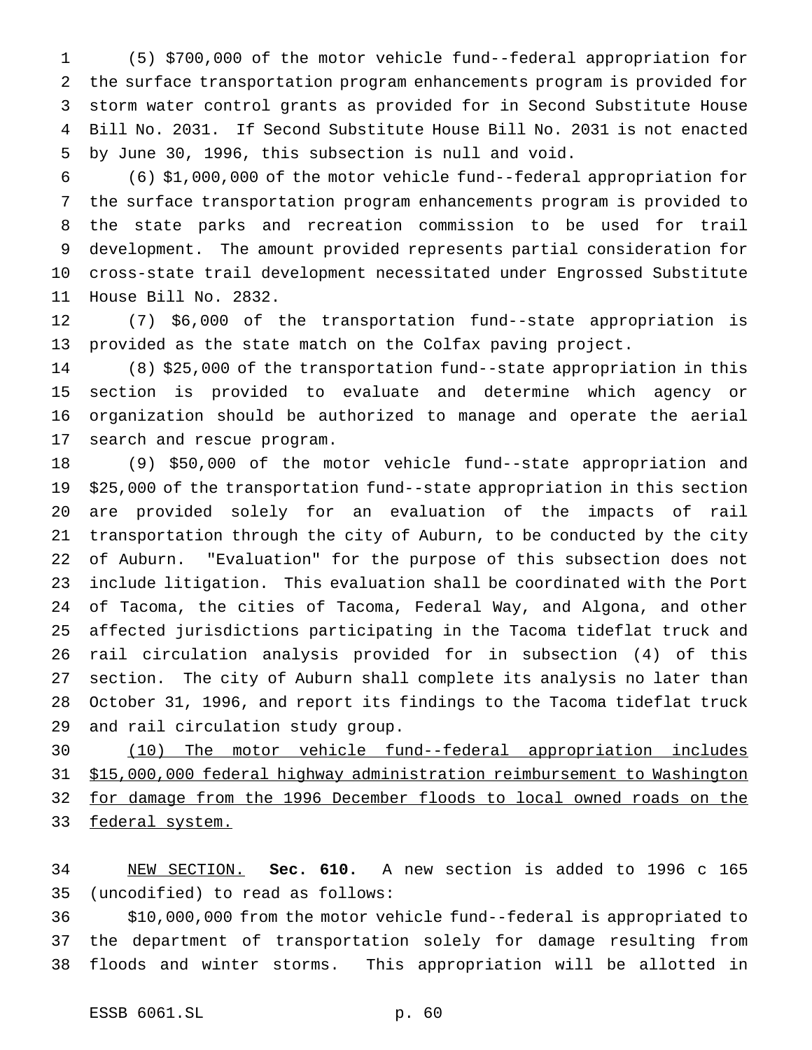(5) \$700,000 of the motor vehicle fund--federal appropriation for the surface transportation program enhancements program is provided for storm water control grants as provided for in Second Substitute House Bill No. 2031. If Second Substitute House Bill No. 2031 is not enacted by June 30, 1996, this subsection is null and void.

 (6) \$1,000,000 of the motor vehicle fund--federal appropriation for the surface transportation program enhancements program is provided to the state parks and recreation commission to be used for trail development. The amount provided represents partial consideration for cross-state trail development necessitated under Engrossed Substitute House Bill No. 2832.

 (7) \$6,000 of the transportation fund--state appropriation is provided as the state match on the Colfax paving project.

 (8) \$25,000 of the transportation fund--state appropriation in this section is provided to evaluate and determine which agency or organization should be authorized to manage and operate the aerial search and rescue program.

 (9) \$50,000 of the motor vehicle fund--state appropriation and \$25,000 of the transportation fund--state appropriation in this section are provided solely for an evaluation of the impacts of rail transportation through the city of Auburn, to be conducted by the city of Auburn. "Evaluation" for the purpose of this subsection does not include litigation. This evaluation shall be coordinated with the Port of Tacoma, the cities of Tacoma, Federal Way, and Algona, and other affected jurisdictions participating in the Tacoma tideflat truck and rail circulation analysis provided for in subsection (4) of this section. The city of Auburn shall complete its analysis no later than October 31, 1996, and report its findings to the Tacoma tideflat truck and rail circulation study group.

 (10) The motor vehicle fund--federal appropriation includes \$15,000,000 federal highway administration reimbursement to Washington for damage from the 1996 December floods to local owned roads on the 33 federal system.

 NEW SECTION. **Sec. 610.** A new section is added to 1996 c 165 (uncodified) to read as follows:

 \$10,000,000 from the motor vehicle fund--federal is appropriated to the department of transportation solely for damage resulting from floods and winter storms. This appropriation will be allotted in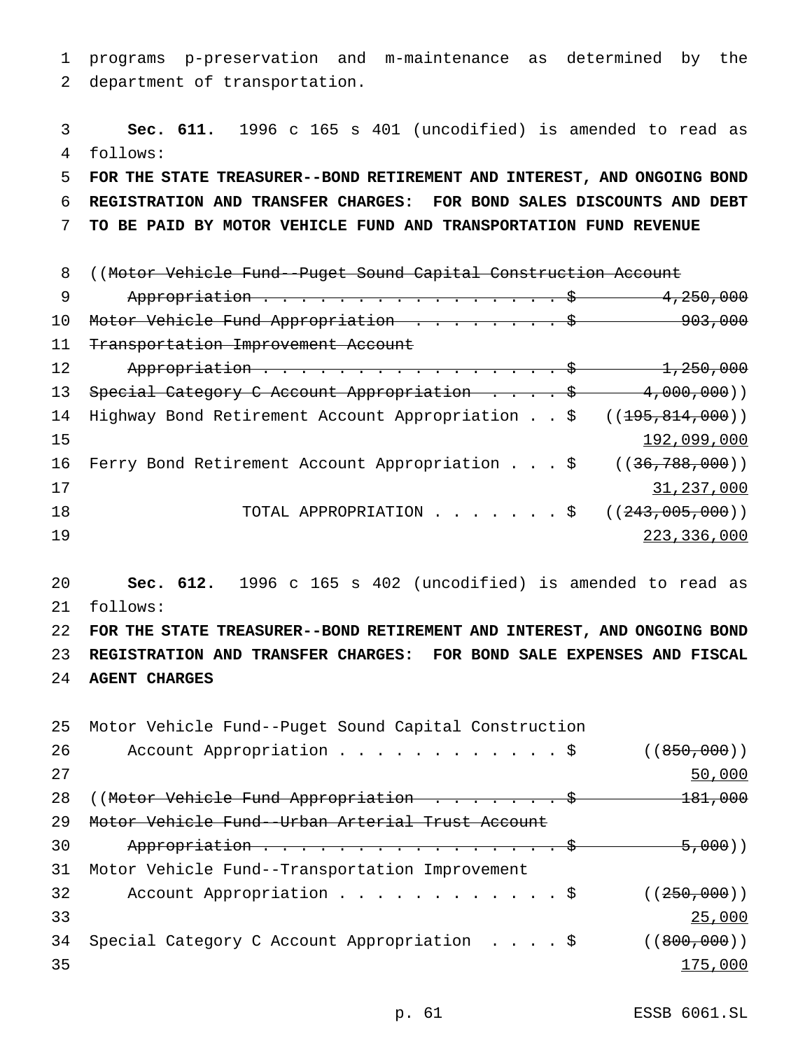1 programs p-preservation and m-maintenance as determined by the 2 department of transportation.

3 **Sec. 611.** 1996 c 165 s 401 (uncodified) is amended to read as 4 follows: 5 **FOR THE STATE TREASURER--BOND RETIREMENT AND INTEREST, AND ONGOING BOND** 6 **REGISTRATION AND TRANSFER CHARGES: FOR BOND SALES DISCOUNTS AND DEBT** 7 **TO BE PAID BY MOTOR VEHICLE FUND AND TRANSPORTATION FUND REVENUE** 8 ((Motor Vehicle Fund--Puget Sound Capital Construction Account 9 Appropriation . . . . . . . . . . . . . . . \$ 4,250,000 10 Motor Vehicle Fund Appropriation . . . . . . . . \$ 903,000 11 Transportation Improvement Account 12 Appropriation . . . . . . . . . . . . . . . . \$ 1,250,000 13 Special Category C Account Appropriation . . . . \$ 4,000,000)) 14 Highway Bond Retirement Account Appropriation . . \$ ((195,814,000))  $15$  192,099,000 16 Ferry Bond Retirement Account Appropriation . . . \$ ((36,788,000)) 17 31,237,000 18 TOTAL APPROPRIATION . . . . . . \$ ((<del>243,005,000</del>)) 19 223,336,000

20 **Sec. 612.** 1996 c 165 s 402 (uncodified) is amended to read as 21 follows:

22 **FOR THE STATE TREASURER--BOND RETIREMENT AND INTEREST, AND ONGOING BOND** 23 **REGISTRATION AND TRANSFER CHARGES: FOR BOND SALE EXPENSES AND FISCAL** 24 **AGENT CHARGES**

25 Motor Vehicle Fund--Puget Sound Capital Construction 26 Account Appropriation . . . . . . . . . . . \$ ((850,000)) 27 50,000 28 ((Motor Vehicle Fund Appropriation . . . . . . \$ 181,000 29 Motor Vehicle Fund--Urban Arterial Trust Account 30 Appropriation . . . . . . . . . . . . . . . \$ 5,000)) 31 Motor Vehicle Fund--Transportation Improvement 32 Account Appropriation . . . . . . . . . . \$ ((250,000)) 33 25,000 34 Special Category C Account Appropriation . . . . \$ ((800,000)) 35 175,000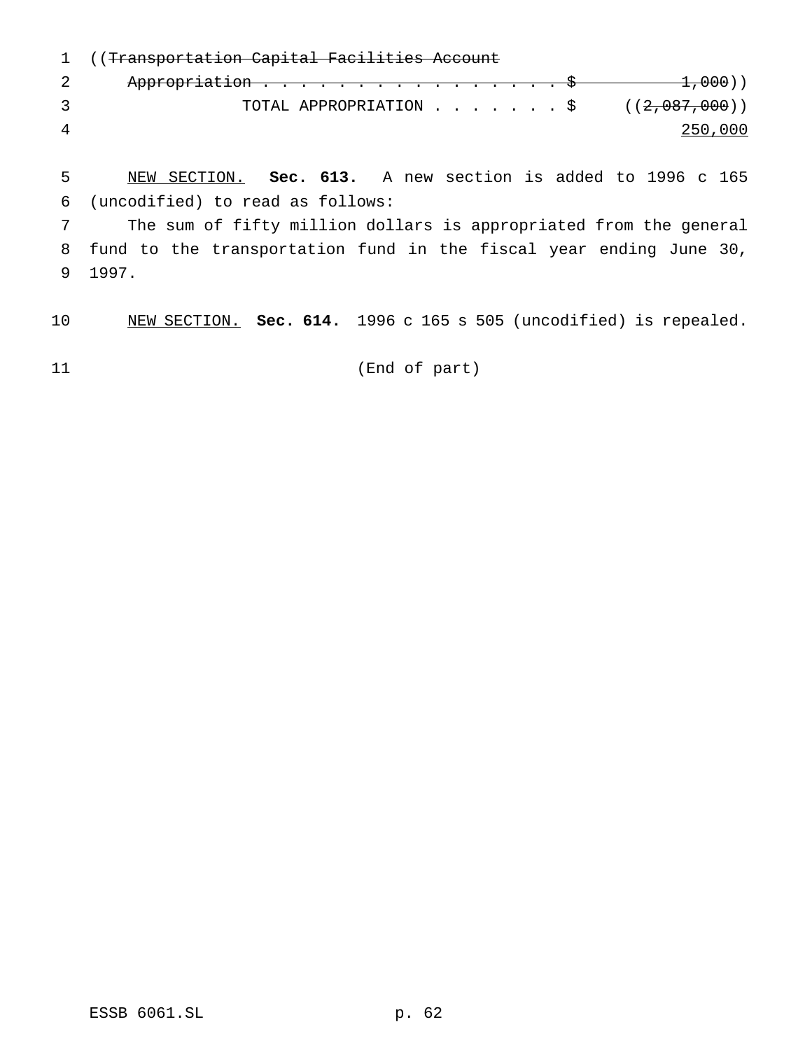((Transportation Capital Facilities Account 2 Appropriation . . . . . . . . . . . . . . . \$ 1,000)) 3 TOTAL APPROPRIATION . . . . . . \$ ((2,087,000)) 250,000

 NEW SECTION. **Sec. 613.** A new section is added to 1996 c 165 (uncodified) to read as follows:

 The sum of fifty million dollars is appropriated from the general fund to the transportation fund in the fiscal year ending June 30, 1997.

NEW SECTION. **Sec. 614.** 1996 c 165 s 505 (uncodified) is repealed.

(End of part)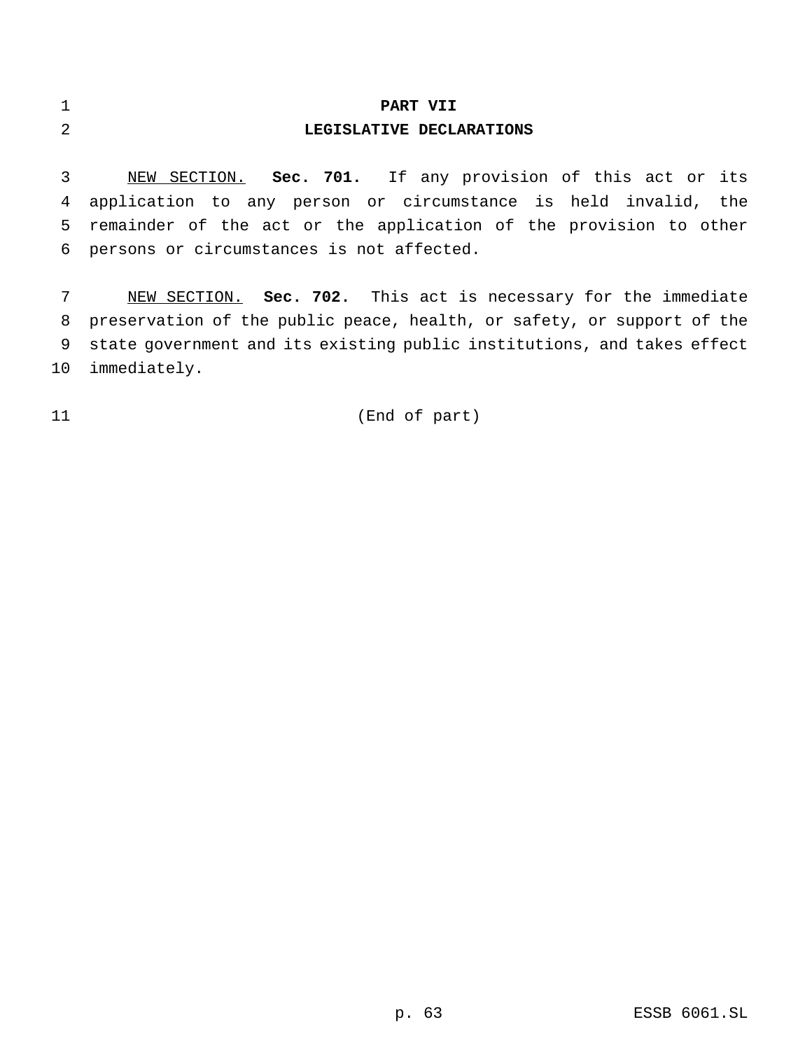# **PART VII LEGISLATIVE DECLARATIONS**

 NEW SECTION. **Sec. 701.** If any provision of this act or its application to any person or circumstance is held invalid, the remainder of the act or the application of the provision to other persons or circumstances is not affected.

 NEW SECTION. **Sec. 702.** This act is necessary for the immediate preservation of the public peace, health, or safety, or support of the state government and its existing public institutions, and takes effect immediately.

## (End of part)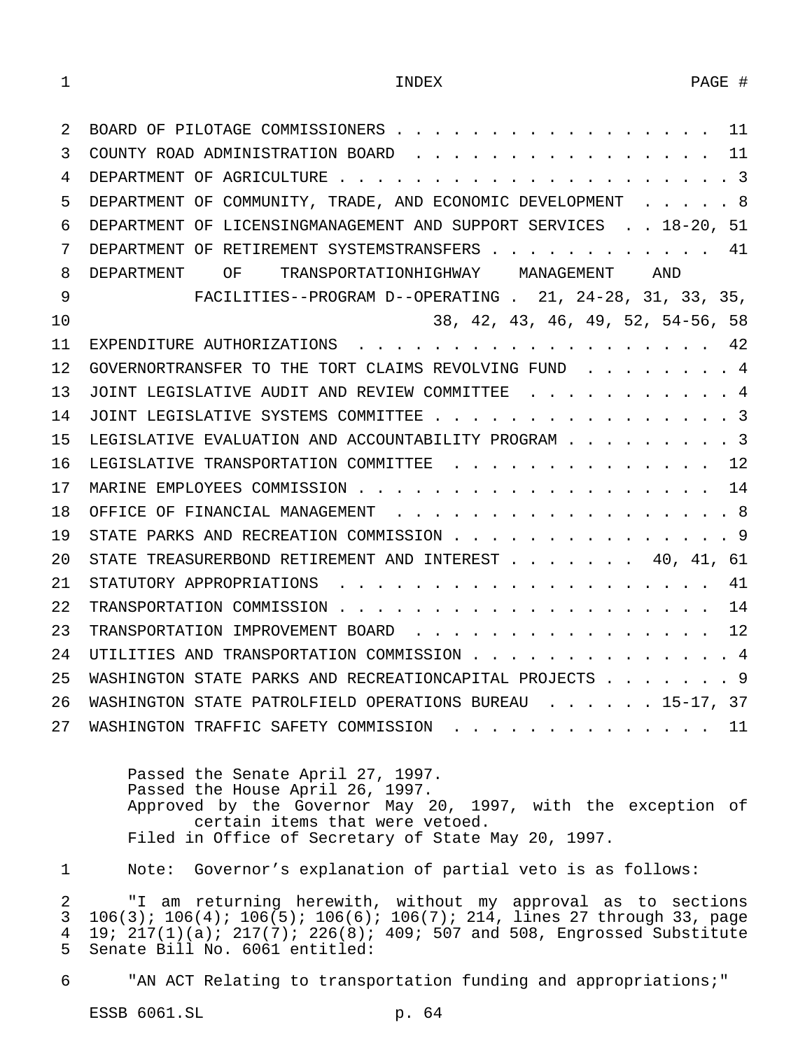| 2  | BOARD OF PILOTAGE COMMISSIONERS 11                                                       |
|----|------------------------------------------------------------------------------------------|
| 3  | COUNTY ROAD ADMINISTRATION BOARD 11                                                      |
| 4  |                                                                                          |
| 5  | DEPARTMENT OF COMMUNITY, TRADE, AND ECONOMIC DEVELOPMENT 8                               |
| 6  | DEPARTMENT OF LICENSINGMANAGEMENT AND SUPPORT SERVICES 18-20, 51                         |
| 7  | DEPARTMENT OF RETIREMENT SYSTEMSTRANSFERS 41                                             |
| 8  | DEPARTMENT OF TRANSPORTATIONHIGHWAY MANAGEMENT AND                                       |
| 9  | FACILITIES--PROGRAM D--OPERATING . 21, 24-28, 31, 33, 35,                                |
| 10 | 38, 42, 43, 46, 49, 52, 54-56, 58                                                        |
| 11 | EXPENDITURE AUTHORIZATIONS 42                                                            |
| 12 | GOVERNORTRANSFER TO THE TORT CLAIMS REVOLVING FUND $\cdot \cdot \cdot \cdot \cdot \cdot$ |
| 13 | JOINT LEGISLATIVE AUDIT AND REVIEW COMMITTEE 4                                           |
| 14 | JOINT LEGISLATIVE SYSTEMS COMMITTEE 3                                                    |
| 15 | LEGISLATIVE EVALUATION AND ACCOUNTABILITY PROGRAM 3                                      |
| 16 | LEGISLATIVE TRANSPORTATION COMMITTEE 12                                                  |
| 17 |                                                                                          |
| 18 | OFFICE OF FINANCIAL MANAGEMENT 8                                                         |
| 19 | STATE PARKS AND RECREATION COMMISSION 9                                                  |
| 20 | STATE TREASURERBOND RETIREMENT AND INTEREST 40, 41, 61                                   |
| 21 |                                                                                          |
| 22 |                                                                                          |
| 23 | TRANSPORTATION IMPROVEMENT BOARD 12                                                      |
| 24 | UTILITIES AND TRANSPORTATION COMMISSION 4                                                |
| 25 | WASHINGTON STATE PARKS AND RECREATIONCAPITAL PROJECTS 9                                  |
| 26 | WASHINGTON STATE PATROLFIELD OPERATIONS BUREAU 15-17, 37                                 |
| 27 | WASHINGTON TRAFFIC SAFETY COMMISSION<br>11                                               |

Passed the Senate April 27, 1997. Passed the House April 26, 1997. Approved by the Governor May 20, 1997, with the exception of certain items that were vetoed. Filed in Office of Secretary of State May 20, 1997.

1 Note: Governor's explanation of partial veto is as follows:

 "I am returning herewith, without my approval as to sections 106(3); 106(4); 106(5); 106(6); 106(7); 214, lines 27 through 33, page 4 19;  $217(1)(a)$ ;  $217(7)$ ;  $226(8)$ ;  $409$ ; 507 and 508, Engrossed Substitute<br>5 Senate Bill No. 6061 entitled: Senate Bill No. 6061 entitled:

6 "AN ACT Relating to transportation funding and appropriations;"

ESSB 6061.SL p. 64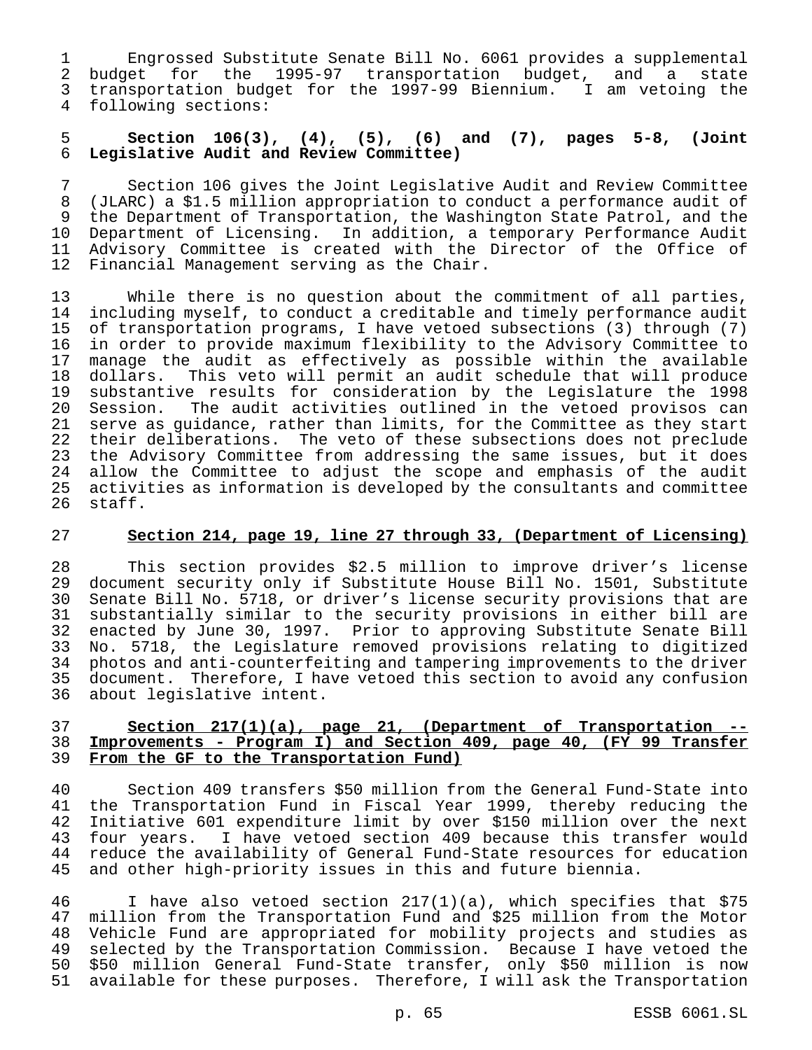Engrossed Substitute Senate Bill No. 6061 provides a supplemental budget for the 1995-97 transportation budget, and a state transportation budget for the 1997-99 Biennium. I am vetoing the following sections:

## 5 **Section 106(3), (4), (5), (6) and (7), pages 5-8, (Joint** 6 **Legislative Audit and Review Committee)**

7 Section 106 gives the Joint Legislative Audit and Review Committee 8 (JLARC) a \$1.5 million appropriation to conduct a performance audit of the Department of Transportation, the Washington State Patrol, and the 10 Department of Licensing. In addition, a temporary Performance Audit 11 Advisory Committee is created with the Director of the Office of<br>12 Financial Management serving as the Chair. Financial Management serving as the Chair.

13 While there is no question about the commitment of all parties,<br>14 including myself, to conduct a creditable and timely performance audit 14 including myself, to conduct a creditable and timely performance audit<br>15 of transportation programs, I have vetoed subsections (3) through (7) of transportation programs, I have vetoed subsections (3) through (7) 16 in order to provide maximum flexibility to the Advisory Committee to 17 manage the audit as effectively as possible within the available 18 dollars. This veto will permit an audit schedule that will produce<br>19 substantive results for consideration by the Legislature the 1998 19 substantive results for consideration by the Legislature the 1998<br>20 Session. The audit activities outlined in the vetoed provisos can Session. The audit activities outlined in the vetoed provisos can 21 serve as guidance, rather than limits, for the Committee as they start 22 their deliberations. The veto of these subsections does not preclude 23 the Advisory Committee from addressing the same issues, but it does 24 allow the Committee to adjust the scope and emphasis of the audit<br>25 activities as information is developed by the consultants and committee 25 activities as information is developed by the consultants and committee staff.

#### 27 **Section 214, page 19, line 27 through 33, (Department of Licensing)**

 This section provides \$2.5 million to improve driver's license document security only if Substitute House Bill No. 1501, Substitute Senate Bill No. 5718, or driver's license security provisions that are substantially similar to the security provisions in either bill are enacted by June 30, 1997. Prior to approving Substitute Senate Bill No. 5718, the Legislature removed provisions relating to digitized 34 photos and anti-counterfeiting and tampering improvements to the driver<br>35 document. Therefore, I have vetoed this section to avoid any confusion document. Therefore, I have vetoed this section to avoid any confusion about legislative intent.

## 37 **Section 217(1)(a), page 21, (Department of Transportation --** 38 **Improvements - Program I) and Section 409, page 40, (FY 99 Transfer** 39 **From the GF to the Transportation Fund)**

40 Section 409 transfers \$50 million from the General Fund-State into 41 the Transportation Fund in Fiscal Year 1999, thereby reducing the 42 Initiative 601 expenditure limit by over \$150 million over the next<br>43 four years. I have vetoed section 409 because this transfer would four years. I have vetoed section 409 because this transfer would 44 reduce the availability of General Fund-State resources for education<br>45 and other high-priority issues in this and future biennia. and other high-priority issues in this and future biennia.

46 I have also vetoed section 217(1)(a), which specifies that \$75<br>47 million from the Transportation Fund and \$25 million from the Motor million from the Transportation Fund and \$25 million from the Motor Vehicle Fund are appropriated for mobility projects and studies as selected by the Transportation Commission. Because I have vetoed the \$50 million General Fund-State transfer, only \$50 million is now available for these purposes. Therefore, I will ask the Transportation